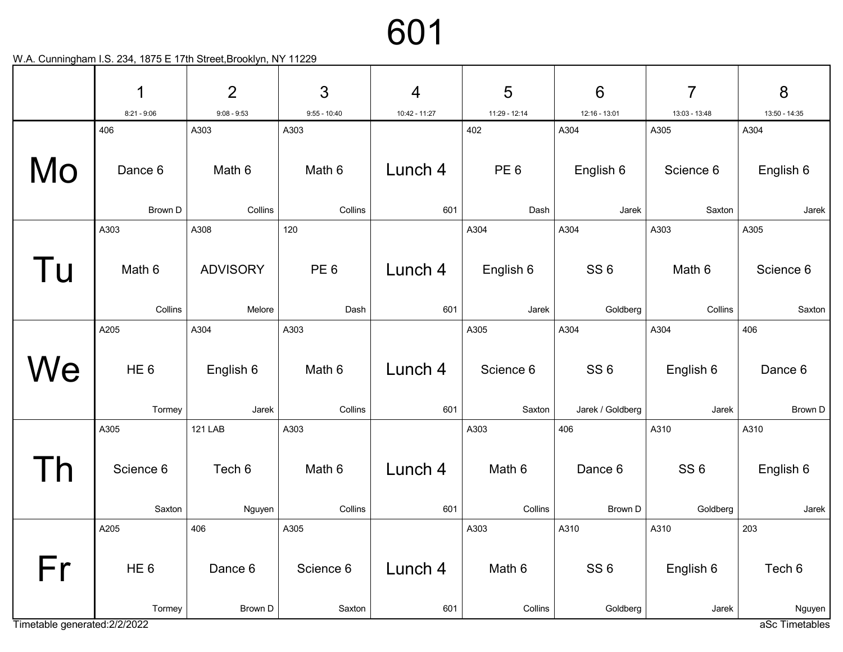|                               | 1                           | $\overline{2}$     | 3                   | 4              | 5                         | $6\phantom{1}6$                     | $\overline{7}$              | 8                     |
|-------------------------------|-----------------------------|--------------------|---------------------|----------------|---------------------------|-------------------------------------|-----------------------------|-----------------------|
|                               | $8:21 - 9:06$<br>406        | $9:08 - 9:53$      | $9:55 - 10:40$      | 10:42 - 11:27  | 11:29 - 12:14<br>402      | 12:16 - 13:01<br>A304               | 13:03 - 13:48               | 13:50 - 14:35<br>A304 |
|                               |                             | A303               | A303                |                |                           |                                     | A305                        |                       |
| Mo                            | Dance 6                     | Math 6             | Math 6              | Lunch 4        | PE <sub>6</sub>           | English 6                           | Science 6                   | English 6             |
|                               | Brown D                     | Collins            | Collins             | 601            | Dash                      | Jarek                               | Saxton                      | Jarek                 |
|                               | A303                        | A308               | 120                 |                | A304                      | A304                                | A303                        | A305                  |
| Tu                            | Math 6                      | <b>ADVISORY</b>    | PE <sub>6</sub>     | Lunch 4        | English 6                 | SS <sub>6</sub>                     | Math 6                      | Science 6             |
|                               | Collins                     | Melore             | Dash                | 601            | Jarek                     | Goldberg                            | Collins                     | Saxton                |
|                               | A205                        | A304               | A303                |                | A305                      | A304                                | A304                        | 406                   |
| We                            | HE <sub>6</sub><br>Tormey   | English 6<br>Jarek | Math 6<br>Collins   | Lunch 4<br>601 | Science 6<br>Saxton       | SS <sub>6</sub><br>Jarek / Goldberg | English 6<br>Jarek          | Dance 6<br>Brown D    |
|                               |                             | <b>121 LAB</b>     | A303                |                |                           | 406                                 | A310                        | A310                  |
|                               | A305<br>Science 6<br>Saxton | Tech 6<br>Nguyen   | Math 6<br>Collins   | Lunch 4<br>601 | A303<br>Math 6<br>Collins | Dance 6<br>Brown D                  | SS <sub>6</sub><br>Goldberg | English 6<br>Jarek    |
|                               | A205                        | 406                | A305                |                | A303                      | A310                                | A310                        | 203                   |
| Fr                            | HE <sub>6</sub><br>Tormey   | Dance 6<br>Brown D | Science 6<br>Saxton | Lunch 4<br>601 | Math 6<br>Collins         | SS <sub>6</sub><br>Goldberg         | English 6<br>Jarek          | Tech 6<br>Nguyen      |
| Timetable generated: 2/2/2022 |                             |                    |                     |                |                           |                                     |                             | aSc Timetables        |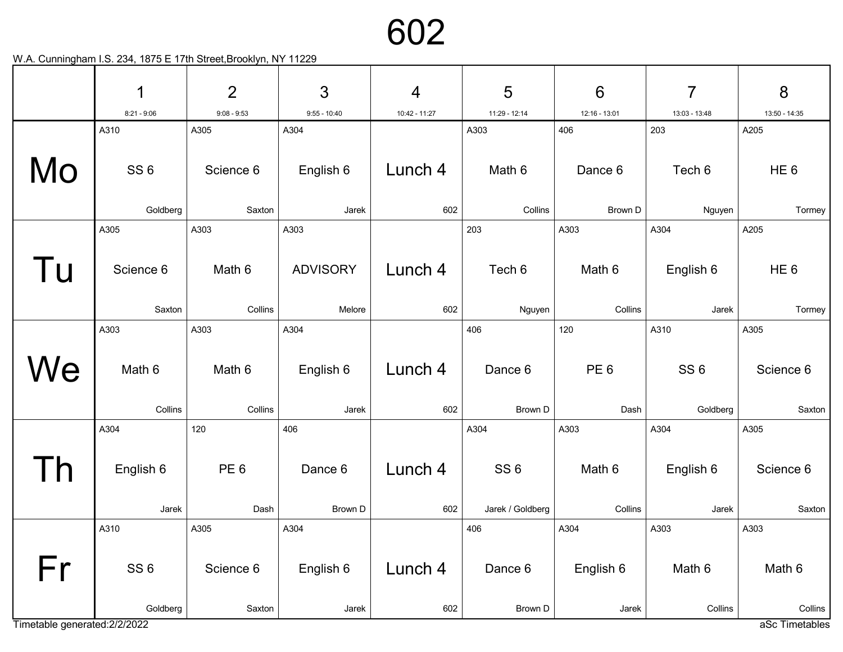|                               | 1                 | $\overline{2}$         | 3               | $\overline{4}$ | 5                       | $6\phantom{1}6$ | 7                 | 8                 |
|-------------------------------|-------------------|------------------------|-----------------|----------------|-------------------------|-----------------|-------------------|-------------------|
|                               | $8:21 - 9:06$     | $9:08 - 9:53$          | $9:55 - 10:40$  | 10:42 - 11:27  | 11:29 - 12:14           | 12:16 - 13:01   | 13:03 - 13:48     | 13:50 - 14:35     |
|                               | A310              | A305                   | A304            |                | A303                    | 406             | 203               | A205              |
| Mo                            | SS <sub>6</sub>   | Science 6              | English 6       | Lunch 4        | Math 6                  | Dance 6         | Tech 6            | HE <sub>6</sub>   |
|                               | Goldberg          | Saxton                 | Jarek           | 602            | Collins                 | Brown D         | Nguyen            | Tormey            |
|                               | A305              | A303                   | A303            |                | 203                     | A303            | A304              | A205              |
| Tu                            | Science 6         | Math 6                 | <b>ADVISORY</b> | Lunch 4        | Tech 6                  | Math 6          | English 6         | HE <sub>6</sub>   |
|                               | Saxton            | Collins                | Melore          | 602            | Nguyen                  | Collins         | Jarek             | Tormey            |
|                               | A303              | A303                   | A304            |                | 406                     | 120             | A310              | A305              |
| We                            | Math 6            | Math 6                 | English 6       | Lunch 4        | Dance 6                 | PE <sub>6</sub> | SS <sub>6</sub>   | Science 6         |
|                               | Collins           | Collins                | Jarek           | 602            | Brown D                 | Dash            | Goldberg          | Saxton            |
|                               | A304<br>English 6 | 120<br>PE <sub>6</sub> | 406<br>Dance 6  | Lunch 4        | A304<br>SS <sub>6</sub> | A303<br>Math 6  | A304<br>English 6 | A305<br>Science 6 |
|                               | Jarek             | Dash                   | Brown D         | 602            | Jarek / Goldberg        | Collins         | Jarek             | Saxton            |
|                               | A310              | A305                   | A304            |                | 406                     | A304            | A303              | A303              |
| Fr                            | SS <sub>6</sub>   | Science 6              | English 6       | Lunch 4        | Dance 6                 | English 6       | Math 6            | Math 6            |
|                               | Goldberg          | Saxton                 | Jarek           | 602            | Brown D                 | Jarek           | Collins           | Collins           |
| Timetable generated: 2/2/2022 |                   |                        |                 |                |                         |                 |                   | aSc Timetables    |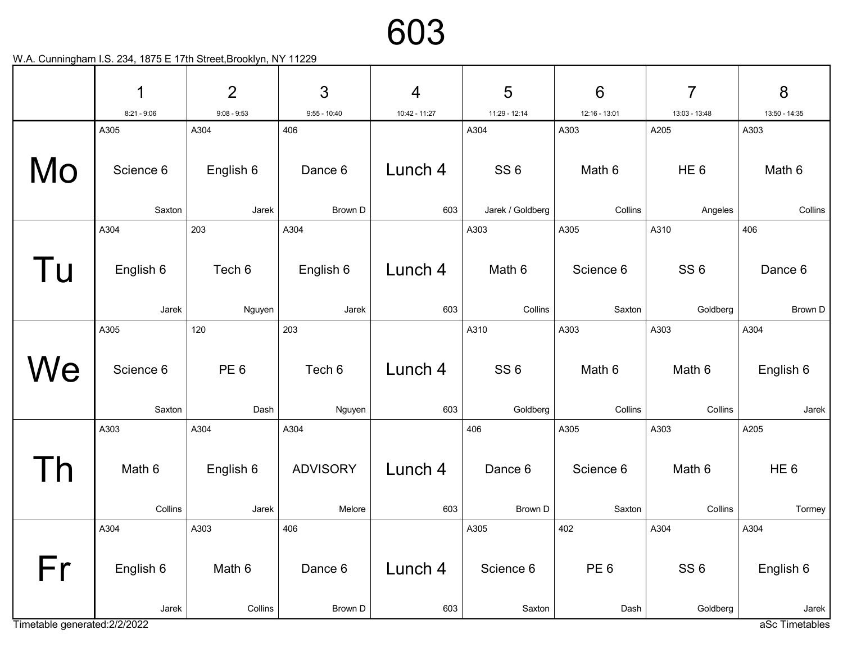|                               | 1                   | $\overline{2}$          | 3                         | $\overline{4}$ | 5                           | $6\phantom{1}6$         | 7                           | 8                         |
|-------------------------------|---------------------|-------------------------|---------------------------|----------------|-----------------------------|-------------------------|-----------------------------|---------------------------|
|                               | $8:21 - 9:06$       | $9:08 - 9:53$           | $9:55 - 10:40$            | 10:42 - 11:27  | 11:29 - 12:14               | 12:16 - 13:01           | 13:03 - 13:48               | 13:50 - 14:35             |
|                               | A305                | A304                    | 406                       |                | A304                        | A303                    | A205                        | A303                      |
| Mo                            | Science 6           | English 6               | Dance 6                   | Lunch 4        | SS <sub>6</sub>             | Math 6                  | HE <sub>6</sub>             | Math 6                    |
|                               | Saxton              | Jarek                   | Brown D                   | 603            | Jarek / Goldberg            | Collins                 | Angeles                     | Collins                   |
|                               | A304                | 203                     | A304                      |                | A303                        | A305                    | A310                        | 406                       |
| l u                           | English 6<br>Jarek  | Tech 6<br>Nguyen        | English 6<br>Jarek        | Lunch 4<br>603 | Math 6<br>Collins           | Science 6<br>Saxton     | SS <sub>6</sub><br>Goldberg | Dance 6<br>Brown D        |
|                               | A305                | 120                     | 203                       |                | A310                        | A303                    | A303                        | A304                      |
| We                            | Science 6<br>Saxton | PE <sub>6</sub><br>Dash | Tech 6<br>Nguyen          | Lunch 4<br>603 | SS <sub>6</sub><br>Goldberg | Math 6<br>Collins       | Math 6<br>Collins           | English 6<br>Jarek        |
|                               | A303                | A304                    | A304                      |                | 406                         | A305                    | A303                        | A205                      |
|                               | Math 6<br>Collins   | English 6<br>Jarek      | <b>ADVISORY</b><br>Melore | Lunch 4<br>603 | Dance 6<br>Brown D          | Science 6<br>Saxton     | Math 6<br>Collins           | HE <sub>6</sub><br>Tormey |
|                               | A304                | A303                    | 406                       |                | A305                        | 402                     | A304                        | A304                      |
| Fr                            | English 6<br>Jarek  | Math 6<br>Collins       | Dance 6<br>Brown D        | Lunch 4<br>603 | Science 6<br>Saxton         | PE <sub>6</sub><br>Dash | SS <sub>6</sub><br>Goldberg | English 6<br>Jarek        |
| Timetable generated: 2/2/2022 |                     |                         |                           |                |                             |                         |                             | aSc Timetables            |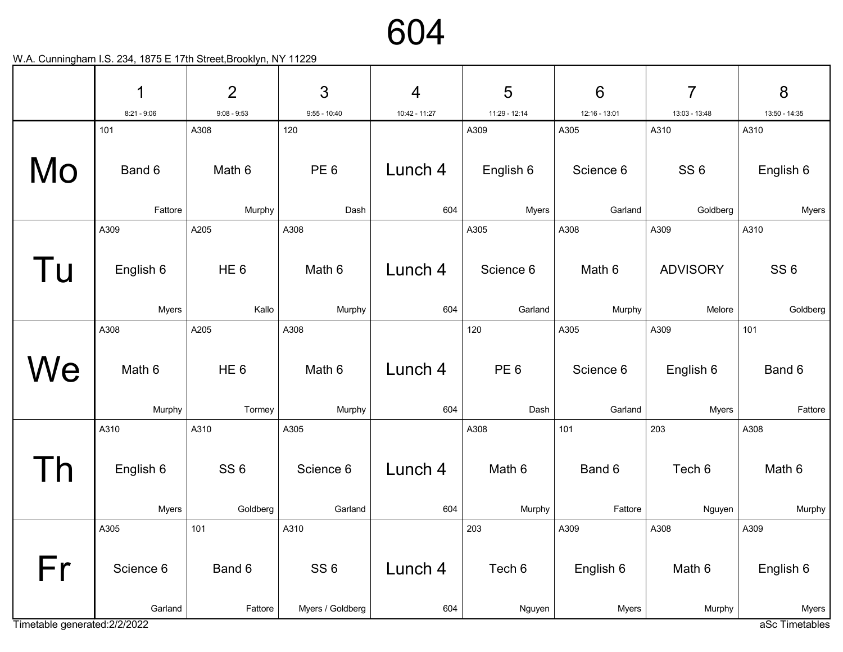604

|                               | 1             | $\overline{2}$  | 3                | $\overline{4}$ | 5               | $6\phantom{1}6$ | 7               | 8                                    |
|-------------------------------|---------------|-----------------|------------------|----------------|-----------------|-----------------|-----------------|--------------------------------------|
|                               | $8:21 - 9:06$ | $9:08 - 9:53$   | $9:55 - 10:40$   | 10:42 - 11:27  | 11:29 - 12:14   | 12:16 - 13:01   | 13:03 - 13:48   | 13:50 - 14:35                        |
|                               | 101           | A308            | 120              |                | A309            | A305            | A310            | A310                                 |
| Mo                            | Band 6        | Math 6          | PE <sub>6</sub>  | Lunch 4        | English 6       | Science 6       | SS <sub>6</sub> | English 6                            |
|                               | Fattore       | Murphy          | Dash             | 604            | <b>Myers</b>    | Garland         | Goldberg        | <b>Myers</b>                         |
|                               | A309          | A205            | A308             |                | A305            | A308            | A309            | A310                                 |
| Tu                            | English 6     | HE <sub>6</sub> | Math 6           | Lunch 4        | Science 6       | Math 6          | <b>ADVISORY</b> | SS <sub>6</sub>                      |
|                               | <b>Myers</b>  | Kallo           | Murphy           | 604            | Garland         | Murphy          | Melore          | Goldberg                             |
|                               | A308          | A205            | A308             |                | 120             | A305            | A309            | 101                                  |
| We                            | Math 6        | HE <sub>6</sub> | Math 6           | Lunch 4        | PE <sub>6</sub> | Science 6       | English 6       | Band 6                               |
|                               | Murphy        | Tormey          | Murphy           | 604            | Dash            | Garland         | <b>Myers</b>    | Fattore                              |
|                               | A310          | A310            | A305             |                | A308            | 101             | 203             | A308                                 |
|                               | English 6     | SS <sub>6</sub> | Science 6        | Lunch 4        | Math 6          | Band 6          | Tech 6          | Math 6                               |
|                               | <b>Myers</b>  | Goldberg        | Garland          | 604            | Murphy          | Fattore         | Nguyen          | Murphy                               |
|                               | A305          | 101             | A310             |                | 203             | A309            | A308            | A309                                 |
| Fr                            | Science 6     | Band 6          | SS <sub>6</sub>  | Lunch 4        | Tech 6          | English 6       | Math 6          | English 6                            |
| Timetable generated: 2/2/2022 | Garland       | Fattore         | Myers / Goldberg | 604            | Nguyen          | <b>Myers</b>    | Murphy          | Myers <sup>1</sup><br>aSc Timetables |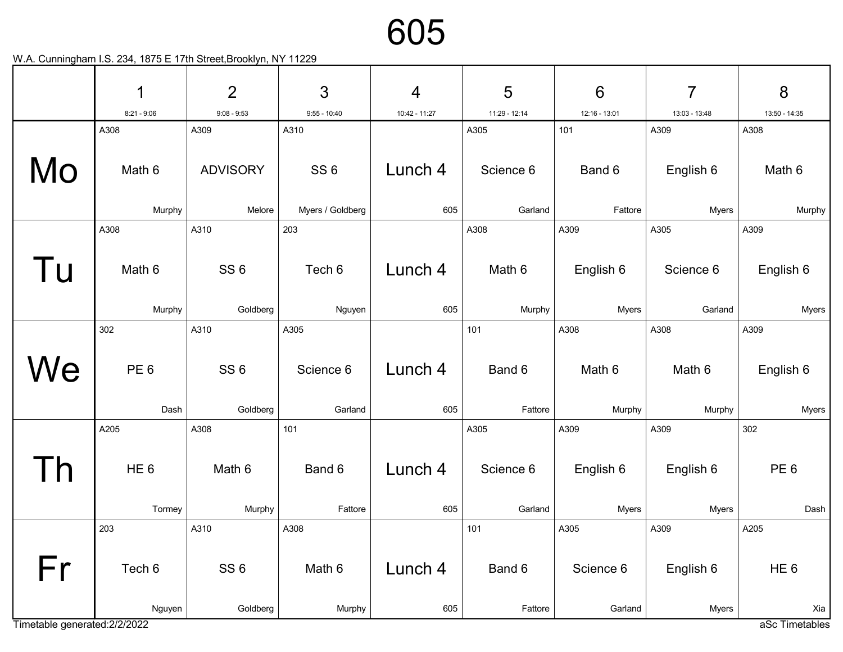|                               | 1               | $\overline{2}$  | 3                | $\overline{4}$ | 5             | $6\phantom{1}6$ | $\overline{7}$ | 8               |
|-------------------------------|-----------------|-----------------|------------------|----------------|---------------|-----------------|----------------|-----------------|
|                               | $8:21 - 9:06$   | $9:08 - 9:53$   | $9:55 - 10:40$   | 10:42 - 11:27  | 11:29 - 12:14 | 12:16 - 13:01   | 13:03 - 13:48  | 13:50 - 14:35   |
|                               | A308            | A309            | A310             |                | A305          | 101             | A309           | A308            |
| Mo                            | Math 6          | <b>ADVISORY</b> | SS <sub>6</sub>  | Lunch 4        | Science 6     | Band 6          | English 6      | Math 6          |
|                               | Murphy          | Melore          | Myers / Goldberg | 605            | Garland       | Fattore         | <b>Myers</b>   | Murphy          |
|                               | A308            | A310            | 203              |                | A308          | A309            | A305           | A309            |
| Tu                            | Math 6          | SS <sub>6</sub> | Tech 6           | Lunch 4        | Math 6        | English 6       | Science 6      | English 6       |
|                               | Murphy          | Goldberg        | Nguyen           | 605            | Murphy        | <b>Myers</b>    | Garland        | <b>Myers</b>    |
|                               | 302             | A310            | A305             |                | 101           | A308            | A308           | A309            |
| We                            | PE <sub>6</sub> | SS <sub>6</sub> | Science 6        | Lunch 4        | Band 6        | Math 6          | Math 6         | English 6       |
|                               | Dash            | Goldberg        | Garland          | 605            | Fattore       | Murphy          | Murphy         | <b>Myers</b>    |
|                               | A205            | A308            | 101              |                | A305          | A309            | A309           | 302             |
|                               | HE <sub>6</sub> | Math 6          | Band 6           | Lunch 4        | Science 6     | English 6       | English 6      | PE <sub>6</sub> |
|                               | Tormey          | Murphy          | Fattore          | 605            | Garland       | <b>Myers</b>    | <b>Myers</b>   | Dash            |
|                               | 203             | A310            | A308             |                | 101           | A305            | A309           | A205            |
| Fr                            | Tech 6          | SS <sub>6</sub> | Math 6           | Lunch 4        | Band 6        | Science 6       | English 6      | HE <sub>6</sub> |
|                               | Nguyen          | Goldberg        | Murphy           | 605            | Fattore       | Garland         | <b>Myers</b>   | Xia             |
| Timetable generated: 2/2/2022 |                 |                 |                  |                |               |                 |                | aSc Timetables  |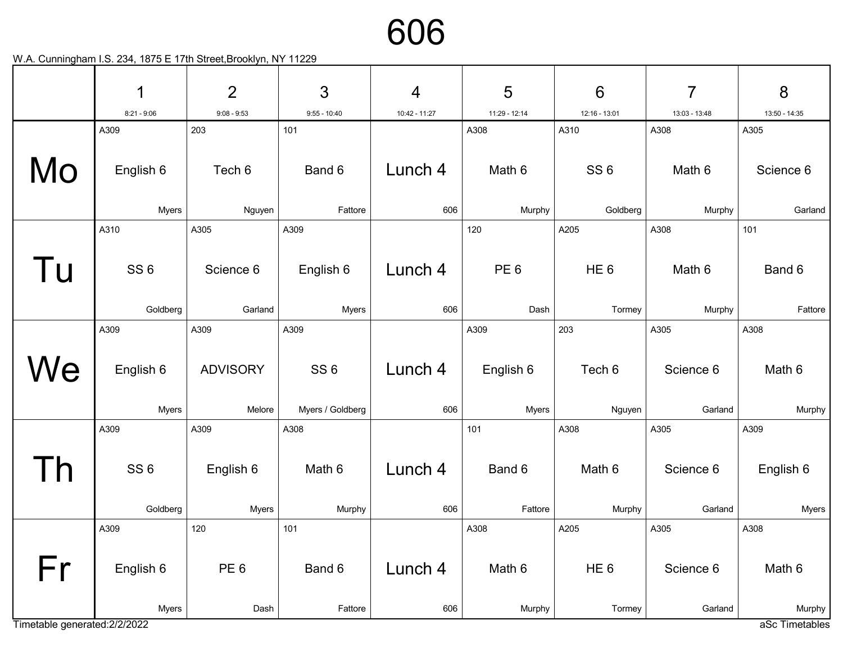

|                               | 1               | $\overline{2}$  | $\mathfrak{S}$   | $\overline{4}$ | 5               | $6\phantom{1}6$ | $\overline{7}$ | 8              |
|-------------------------------|-----------------|-----------------|------------------|----------------|-----------------|-----------------|----------------|----------------|
|                               | $8:21 - 9:06$   | $9:08 - 9:53$   | $9:55 - 10:40$   | 10:42 - 11:27  | 11:29 - 12:14   | 12:16 - 13:01   | 13:03 - 13:48  | 13:50 - 14:35  |
|                               | A309            | 203             | 101              |                | A308            | A310            | A308           | A305           |
| Mo                            | English 6       | Tech 6          | Band 6           | Lunch 4        | Math 6          | SS <sub>6</sub> | Math 6         | Science 6      |
|                               | <b>Myers</b>    | Nguyen          | Fattore          | 606            | Murphy          | Goldberg        | Murphy         | Garland        |
|                               | A310            | A305            | A309             |                | 120             | A205            | A308           | 101            |
| Tu                            | SS <sub>6</sub> | Science 6       | English 6        | Lunch 4        | PE <sub>6</sub> | HE <sub>6</sub> | Math 6         | Band 6         |
|                               | Goldberg        | Garland         | <b>Myers</b>     | 606            | Dash            | Tormey          | Murphy         | Fattore        |
|                               | A309            | A309            | A309             |                | A309            | 203             | A305           | A308           |
| We                            | English 6       | <b>ADVISORY</b> | SS <sub>6</sub>  | Lunch 4        | English 6       | Tech 6          | Science 6      | Math 6         |
|                               | <b>Myers</b>    | Melore          | Myers / Goldberg | 606            | <b>Myers</b>    | Nguyen          | Garland        | Murphy         |
|                               | A309            | A309            | A308             |                | 101             | A308            | A305           | A309           |
|                               | SS <sub>6</sub> | English 6       | Math 6           | Lunch 4        | Band 6          | Math 6          | Science 6      | English 6      |
|                               | Goldberg        | <b>Myers</b>    | Murphy           | 606            | Fattore         | Murphy          | Garland        | <b>Myers</b>   |
|                               | A309            | 120             | 101              |                | A308            | A205            | A305           | A308           |
| Fr                            | English 6       | PE <sub>6</sub> | Band 6           | Lunch 4        | Math 6          | HE <sub>6</sub> | Science 6      | Math 6         |
|                               | <b>Myers</b>    | Dash            | Fattore          | 606            | Murphy          | Tormey          | Garland        | Murphy         |
| Timetable generated: 2/2/2022 |                 |                 |                  |                |                 |                 |                | aSc Timetables |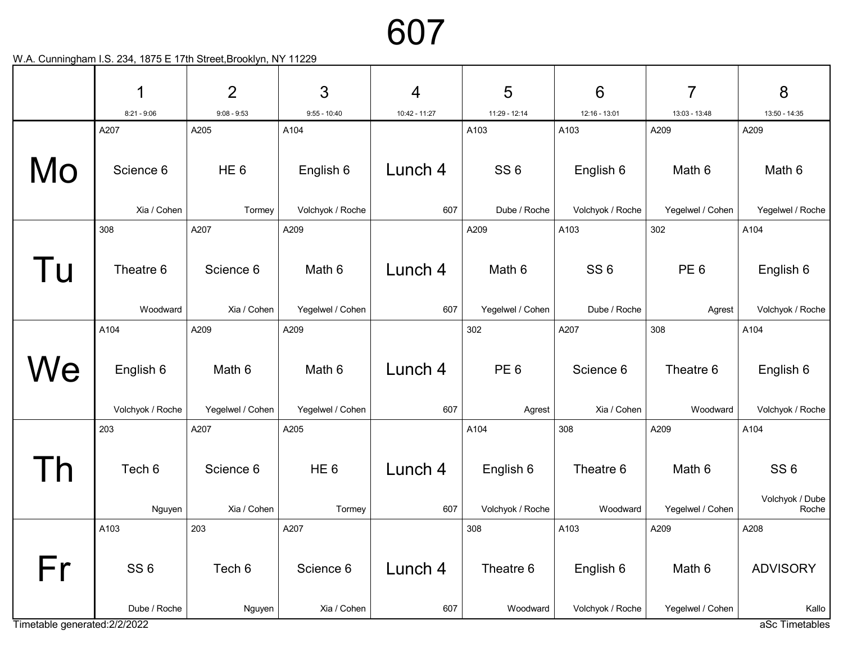|                               | 1                               | $\overline{2}$   | 3                        | 4              | 5                     | $6\phantom{1}6$               | 7                          | 8                        |
|-------------------------------|---------------------------------|------------------|--------------------------|----------------|-----------------------|-------------------------------|----------------------------|--------------------------|
|                               | $8:21 - 9:06$                   | $9:08 - 9:53$    | $9:55 - 10:40$           | 10:42 - 11:27  | 11:29 - 12:14         | 12:16 - 13:01                 | 13:03 - 13:48              | 13:50 - 14:35            |
|                               | A207                            | A205             | A104                     |                | A103                  | A103                          | A209                       | A209                     |
| Mo                            | Science 6                       | HE <sub>6</sub>  | English 6                | Lunch 4        | SS <sub>6</sub>       | English 6                     | Math 6                     | Math 6                   |
|                               | Xia / Cohen                     | Tormey           | Volchyok / Roche         | 607            | Dube / Roche          | Volchyok / Roche              | Yegelwel / Cohen           | Yegelwel / Roche         |
|                               | 308                             | A207             | A209                     |                | A209                  | A103                          | 302                        | A104                     |
| Tu                            | Theatre 6                       | Science 6        | Math 6                   | Lunch 4        | Math 6                | SS <sub>6</sub>               | PE <sub>6</sub>            | English 6                |
|                               | Woodward                        | Xia / Cohen      | Yegelwel / Cohen         | 607            | Yegelwel / Cohen      | Dube / Roche                  | Agrest                     | Volchyok / Roche         |
|                               | A104                            | A209             | A209                     |                | 302                   | A207                          | 308                        | A104                     |
| We                            | English 6                       | Math 6           | Math 6                   | Lunch 4        | PE <sub>6</sub>       | Science 6                     | Theatre 6                  | English 6                |
|                               | Volchyok / Roche                | Yegelwel / Cohen | Yegelwel / Cohen         | 607            | Agrest                | Xia / Cohen                   | Woodward                   | Volchyok / Roche         |
|                               | 203                             | A207             | A205                     |                | A104                  | 308                           | A209                       | A104                     |
|                               | Tech 6                          | Science 6        | HE <sub>6</sub>          | Lunch 4        | English 6             | Theatre 6                     | Math 6                     | SS <sub>6</sub>          |
|                               | Nguyen                          | Xia / Cohen      | Tormey                   | 607            | Volchyok / Roche      | Woodward                      | Yegelwel / Cohen           | Volchyok / Dube<br>Roche |
|                               | A103                            | 203              | A207                     |                | 308                   | A103                          | A209                       | A208                     |
| Fr                            | SS <sub>6</sub><br>Dube / Roche | Tech 6           | Science 6<br>Xia / Cohen | Lunch 4<br>607 | Theatre 6<br>Woodward | English 6<br>Volchyok / Roche | Math 6<br>Yegelwel / Cohen | <b>ADVISORY</b><br>Kallo |
| Timetable generated: 2/2/2022 |                                 | Nguyen           |                          |                |                       |                               |                            | aSc Timetables           |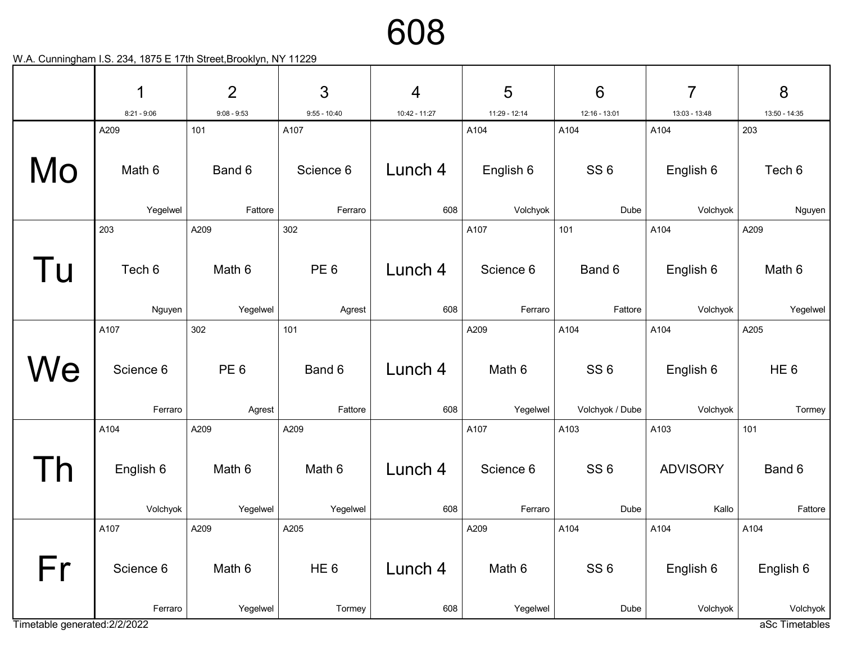|                              | 1                    | $\overline{2}$     | $\mathbf{3}$              | $\overline{4}$ | 5                  | $6\phantom{1}6$         | 7                       | 8                                  |
|------------------------------|----------------------|--------------------|---------------------------|----------------|--------------------|-------------------------|-------------------------|------------------------------------|
|                              | $8:21 - 9:06$        | $9:08 - 9:53$      | $9:55 - 10:40$            | 10:42 - 11:27  | 11:29 - 12:14      | 12:16 - 13:01           | 13:03 - 13:48           | 13:50 - 14:35                      |
|                              | A209                 | 101                | A107                      |                | A104               | A104                    | A104                    | 203                                |
| Mo                           | Math 6               | Band 6             | Science 6                 | Lunch 4        | English 6          | SS <sub>6</sub>         | English 6               | Tech 6                             |
|                              | Yegelwel             | Fattore            | Ferraro                   | 608            | Volchyok           | Dube                    | Volchyok                | Nguyen                             |
|                              | 203                  | A209               | 302                       |                | A107               | 101                     | A104                    | A209                               |
| Tu                           | Tech 6               | Math 6             | PE <sub>6</sub>           | Lunch 4        | Science 6          | Band 6                  | English 6               | Math 6                             |
|                              | Nguyen               | Yegelwel           | Agrest                    | 608            | Ferraro            | Fattore                 | Volchyok                | Yegelwel                           |
|                              | A107                 | 302                | 101                       |                | A209               | A104                    | A104                    | A205                               |
| We                           | Science 6            | PE <sub>6</sub>    | Band 6                    | Lunch 4        | Math 6             | SS <sub>6</sub>         | English 6               | HE <sub>6</sub>                    |
|                              | Ferraro              | Agrest             | Fattore                   | 608            | Yegelwel           | Volchyok / Dube         | Volchyok                | Tormey                             |
|                              | A104<br>English 6    | A209<br>Math 6     | A209<br>Math 6            | Lunch 4        | A107<br>Science 6  | A103<br>SS <sub>6</sub> | A103<br><b>ADVISORY</b> | 101<br>Band 6                      |
|                              | Volchyok             | Yegelwel           | Yegelwel                  | 608            | Ferraro            | Dube                    | Kallo                   | Fattore                            |
|                              | A107                 | A209               | A205                      |                | A209               | A104                    | A104                    | A104                               |
| Fr                           | Science 6<br>Ferraro | Math 6<br>Yegelwel | HE <sub>6</sub><br>Tormey | Lunch 4<br>608 | Math 6<br>Yegelwel | SS <sub>6</sub><br>Dube | English 6<br>Volchyok   | English 6<br>Volchyok <sup>1</sup> |
| Timetable generated:2/2/2022 |                      |                    |                           |                |                    |                         |                         | aSc Timetables                     |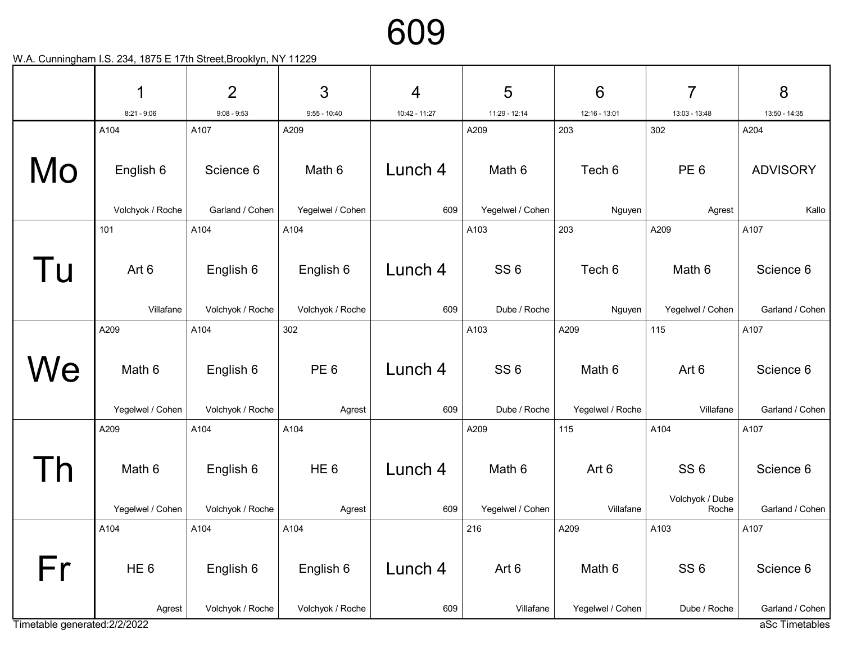

|                               | 1                         | $\overline{2}$                | 3                             | 4              | 5                  | $6\phantom{1}6$            | 7                                  | 8                            |
|-------------------------------|---------------------------|-------------------------------|-------------------------------|----------------|--------------------|----------------------------|------------------------------------|------------------------------|
|                               | $8:21 - 9:06$             | $9:08 - 9:53$                 | $9:55 - 10:40$                | 10:42 - 11:27  | 11:29 - 12:14      | 12:16 - 13:01              | 13:03 - 13:48                      | 13:50 - 14:35                |
|                               | A104                      | A107                          | A209                          |                | A209               | 203                        | 302                                | A204                         |
| Mo                            | English 6                 | Science 6                     | Math 6                        | Lunch 4        | Math 6             | Tech 6                     | PE <sub>6</sub>                    | <b>ADVISORY</b>              |
|                               | Volchyok / Roche          | Garland / Cohen               | Yegelwel / Cohen              | 609            | Yegelwel / Cohen   | Nguyen                     | Agrest                             | Kallo                        |
|                               | 101                       | A104                          | A104                          |                | A103               | 203                        | A209                               | A107                         |
| Tu                            | Art 6                     | English 6                     | English 6                     | Lunch 4        | SS <sub>6</sub>    | Tech 6                     | Math 6                             | Science 6                    |
|                               | Villafane                 | Volchyok / Roche              | Volchyok / Roche              | 609            | Dube / Roche       | Nguyen                     | Yegelwel / Cohen                   | Garland / Cohen              |
|                               | A209                      | A104                          | 302                           |                | A103               | A209                       | 115                                | A107                         |
| We                            | Math 6                    | English 6                     | PE <sub>6</sub>               | Lunch 4        | SS <sub>6</sub>    | Math 6                     | Art 6                              | Science 6                    |
|                               | Yegelwel / Cohen          | Volchyok / Roche              | Agrest                        | 609            | Dube / Roche       | Yegelwel / Roche           | Villafane                          | Garland / Cohen              |
|                               | A209                      | A104                          | A104                          |                | A209               | 115                        | A104                               | A107                         |
| <u>n</u>                      | Math 6                    | English 6                     | HE <sub>6</sub>               | Lunch 4        | Math 6             | Art 6                      | SS <sub>6</sub><br>Volchyok / Dube | Science 6                    |
|                               | Yegelwel / Cohen          | Volchyok / Roche              | Agrest                        | 609            | Yegelwel / Cohen   | Villafane                  | Roche                              | Garland / Cohen              |
|                               | A104                      | A104                          | A104                          |                | 216                | A209                       | A103                               | A107                         |
| Fr                            | HE <sub>6</sub><br>Agrest | English 6<br>Volchyok / Roche | English 6<br>Volchyok / Roche | Lunch 4<br>609 | Art 6<br>Villafane | Math 6<br>Yegelwel / Cohen | SS <sub>6</sub><br>Dube / Roche    | Science 6<br>Garland / Cohen |
| Timetable generated: 2/2/2022 |                           |                               |                               |                |                    |                            |                                    | aSc Timetables               |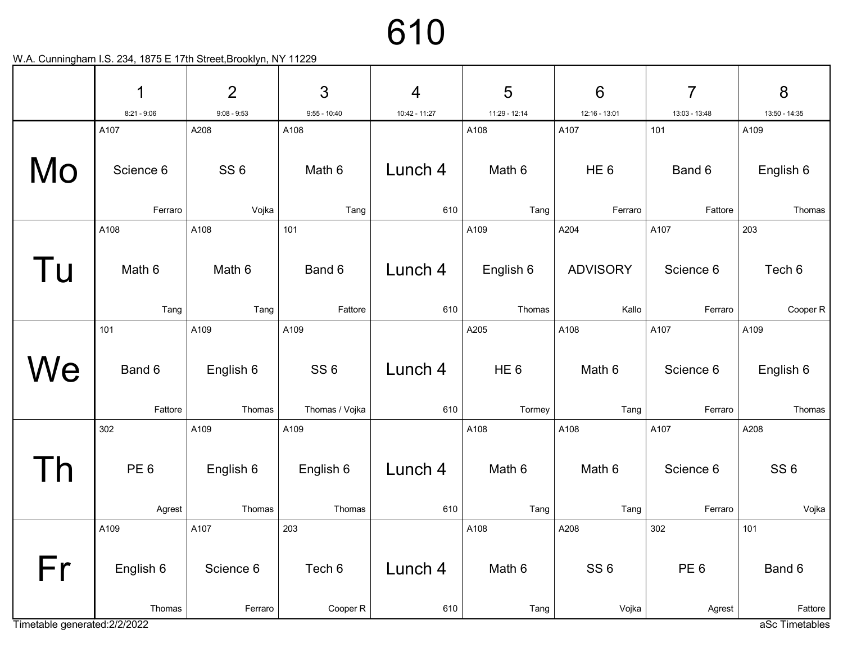|                               | 1               | $\overline{2}$  | 3               | $\overline{4}$ | 5               | $6\phantom{1}6$ | $\overline{7}$  | 8                         |
|-------------------------------|-----------------|-----------------|-----------------|----------------|-----------------|-----------------|-----------------|---------------------------|
|                               | $8:21 - 9:06$   | $9:08 - 9:53$   | $9:55 - 10:40$  | 10:42 - 11:27  | 11:29 - 12:14   | 12:16 - 13:01   | 13:03 - 13:48   | 13:50 - 14:35             |
|                               | A107            | A208            | A108            |                | A108            | A107            | 101             | A109                      |
| Mo                            | Science 6       | SS <sub>6</sub> | Math 6          | Lunch 4        | Math 6          | HE <sub>6</sub> | Band 6          | English 6                 |
|                               | Ferraro         | Vojka           | Tang            | 610            | Tang            | Ferraro         | Fattore         | Thomas                    |
|                               | A108            | A108            | 101             |                | A109            | A204            | A107            | 203                       |
| l u                           | Math 6          | Math 6          | Band 6          | Lunch 4        | English 6       | <b>ADVISORY</b> | Science 6       | Tech 6                    |
|                               | Tang            | Tang            | Fattore         | 610            | Thomas          | Kallo           | Ferraro         | Cooper R                  |
|                               | 101             | A109            | A109            |                | A205            | A108            | A107            | A109                      |
| We                            | Band 6          | English 6       | SS <sub>6</sub> | Lunch 4        | HE <sub>6</sub> | Math 6          | Science 6       | English 6                 |
|                               | Fattore         | Thomas          | Thomas / Vojka  | 610            | Tormey          | Tang            | Ferraro         | Thomas                    |
|                               | 302             | A109            | A109            |                | A108            | A108            | A107            | A208                      |
|                               | PE <sub>6</sub> | English 6       | English 6       | Lunch 4        | Math 6          | Math 6          | Science 6       | SS <sub>6</sub>           |
|                               | Agrest          | Thomas          | Thomas          | 610            | Tang            | Tang            | Ferraro         | Vojka                     |
|                               | A109            | A107            | 203             |                | A108            | A208            | 302             | 101                       |
| Fr                            | English 6       | Science 6       | Tech 6          | Lunch 4        | Math 6          | SS <sub>6</sub> | PE <sub>6</sub> | Band 6                    |
| Timetable generated: 2/2/2022 | Thomas          | Ferraro         | Cooper R        | 610            | Tang            | Vojka           | Agrest          | Fattore<br>aSc Timetables |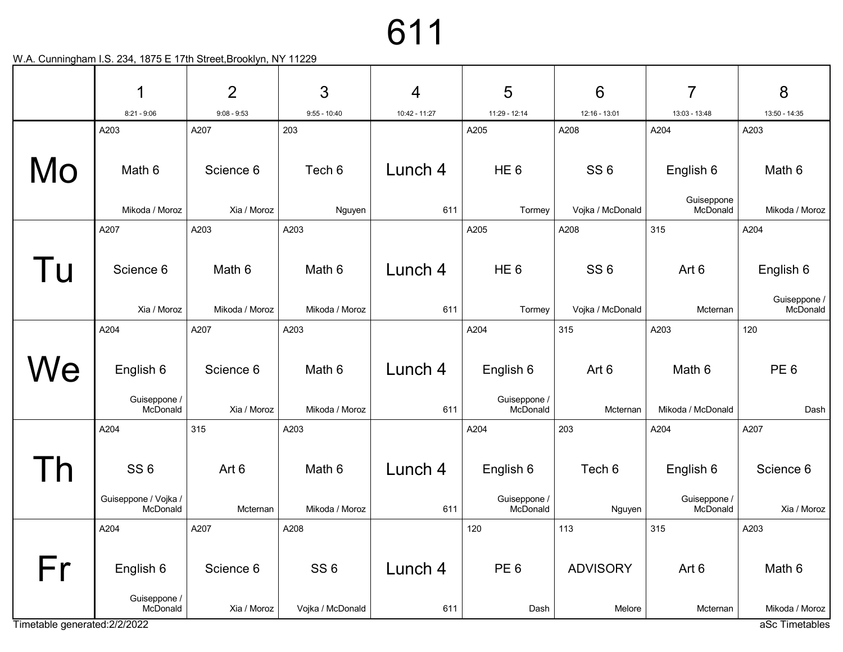|                               | 1                                                   | $\overline{2}$           | 3                                   | 4              | 5                                     | $6\phantom{1}6$           | 7                                     | 8                        |
|-------------------------------|-----------------------------------------------------|--------------------------|-------------------------------------|----------------|---------------------------------------|---------------------------|---------------------------------------|--------------------------|
|                               | $8:21 - 9:06$                                       | $9:08 - 9:53$            | $9:55 - 10:40$                      | 10:42 - 11:27  | 11:29 - 12:14                         | 12:16 - 13:01             | 13:03 - 13:48                         | 13:50 - 14:35            |
|                               | A203                                                | A207                     | 203                                 |                | A205                                  | A208                      | A204                                  | A203                     |
| Mo                            | Math 6                                              | Science 6                | Tech 6                              | Lunch 4        | HE <sub>6</sub>                       | SS <sub>6</sub>           | English 6                             | Math 6                   |
|                               | Mikoda / Moroz                                      | Xia / Moroz              | Nguyen                              | 611            | Tormey                                | Vojka / McDonald          | Guiseppone<br>McDonald                | Mikoda / Moroz           |
|                               | A207                                                | A203                     | A203                                |                | A205                                  | A208                      | 315                                   | A204                     |
| Tu                            | Science 6                                           | Math 6                   | Math 6                              | Lunch 4        | HE <sub>6</sub>                       | SS <sub>6</sub>           | Art 6                                 | English 6                |
|                               | Xia / Moroz                                         | Mikoda / Moroz           | Mikoda / Moroz                      | 611            | Tormey                                | Vojka / McDonald          | Mcternan                              | Guiseppone /<br>McDonald |
|                               | A204                                                | A207                     | A203                                |                | A204                                  | 315                       | A203                                  | 120                      |
| We                            | English 6<br>Guiseppone /<br>McDonald               | Science 6<br>Xia / Moroz | Math 6<br>Mikoda / Moroz            | Lunch 4<br>611 | English 6<br>Guiseppone /<br>McDonald | Art 6<br>Mcternan         | Math 6<br>Mikoda / McDonald           | PE <sub>6</sub><br>Dash  |
|                               | A204                                                | 315                      | A203                                |                | A204                                  | 203                       | A204                                  | A207                     |
|                               | SS <sub>6</sub><br>Guiseppone / Vojka /<br>McDonald | Art 6<br>Mcternan        | Math 6<br>Mikoda / Moroz            | Lunch 4<br>611 | English 6<br>Guiseppone /<br>McDonald | Tech 6<br>Nguyen          | English 6<br>Guiseppone /<br>McDonald | Science 6<br>Xia / Moroz |
|                               | A204                                                | A207                     | A208                                |                | 120                                   | 113                       | 315                                   | A203                     |
| Fr                            | English 6<br>Guiseppone /<br>McDonald               | Science 6<br>Xia / Moroz | SS <sub>6</sub><br>Vojka / McDonald | Lunch 4<br>611 | PE <sub>6</sub><br>Dash               | <b>ADVISORY</b><br>Melore | Art 6<br>Mcternan                     | Math 6<br>Mikoda / Moroz |
| Timetable generated: 2/2/2022 |                                                     |                          |                                     |                |                                       |                           |                                       | aSc Timetables           |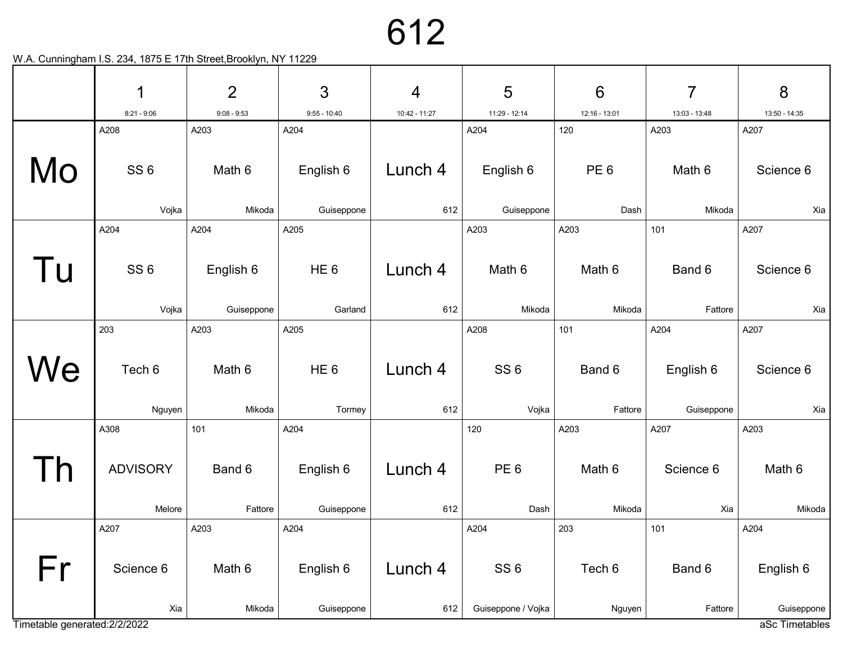|                               | 1               | $\overline{2}$ | 3               | $\overline{4}$ | 5                                     | $6\phantom{1}6$ | $\overline{7}$ | 8                            |
|-------------------------------|-----------------|----------------|-----------------|----------------|---------------------------------------|-----------------|----------------|------------------------------|
|                               | $8:21 - 9:06$   | $9:08 - 9:53$  | $9:55 - 10:40$  | 10:42 - 11:27  | 11:29 - 12:14                         | 12:16 - 13:01   | 13:03 - 13:48  | 13:50 - 14:35                |
|                               | A208            | A203           | A204            |                | A204                                  | 120             | A203           | A207                         |
| Mo                            | SS <sub>6</sub> | Math 6         | English 6       | Lunch 4        | English 6                             | PE <sub>6</sub> | Math 6         | Science 6                    |
|                               | Vojka           | Mikoda         | Guiseppone      | 612            | Guiseppone                            | Dash            | Mikoda         | Xia                          |
|                               | A204            | A204           | A205            |                | A203                                  | A203            | 101            | A207                         |
| Tu                            | SS <sub>6</sub> | English 6      | HE <sub>6</sub> | Lunch 4        | Math 6                                | Math 6          | Band 6         | Science 6                    |
|                               | Vojka           | Guiseppone     | Garland         | 612            | Mikoda                                | Mikoda          | Fattore        | Xia                          |
|                               | 203             | A203           | A205            |                | A208                                  | 101             | A204           | A207                         |
| We                            | Tech 6          | Math 6         | HE <sub>6</sub> | Lunch 4        | SS <sub>6</sub>                       | Band 6          | English 6      | Science 6                    |
|                               | Nguyen          | Mikoda         | Tormey          | 612            | Vojka                                 | Fattore         | Guiseppone     | Xia                          |
|                               | A308            | 101            | A204            |                | 120                                   | A203            | A207           | A203                         |
|                               | <b>ADVISORY</b> | Band 6         | English 6       | Lunch 4        | PE <sub>6</sub>                       | Math 6          | Science 6      | Math 6                       |
|                               | Melore          | Fattore        | Guiseppone      | 612            | Dash                                  | Mikoda          | Xia            | Mikoda                       |
|                               | A207            | A203           | A204            |                | A204                                  | 203             | 101            | A204                         |
| Fr                            | Science 6       | Math 6         | English 6       | Lunch 4        | SS <sub>6</sub><br>Guiseppone / Vojka | Tech 6          | Band 6         | English 6                    |
| Timetable generated: 2/2/2022 | Xia             | Mikoda         | Guiseppone      | 612            |                                       | Nguyen          | Fattore        | Guiseppone<br>aSc Timetables |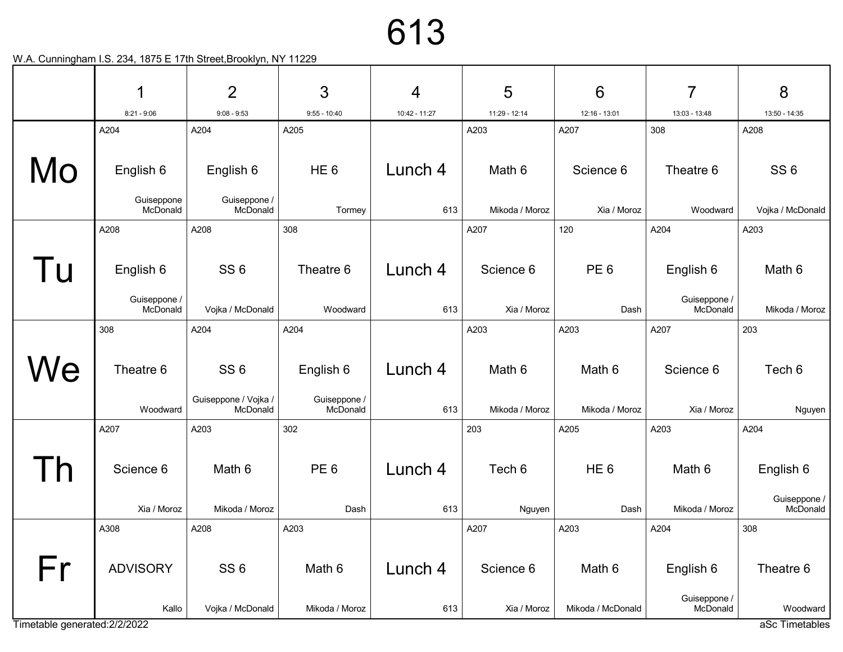|                               | 1                        | $\overline{2}$                                      | 3                                     | 4              | 5                        | $6\phantom{1}6$          | 7                        | 8                                     |
|-------------------------------|--------------------------|-----------------------------------------------------|---------------------------------------|----------------|--------------------------|--------------------------|--------------------------|---------------------------------------|
|                               | $8:21 - 9:06$            | $9:08 - 9:53$                                       | $9:55 - 10:40$                        | 10:42 - 11:27  | 11:29 - 12:14            | 12:16 - 13:01            | 13:03 - 13:48            | 13:50 - 14:35                         |
|                               | A204                     | A204                                                | A205                                  |                | A203                     | A207                     | 308                      | A208                                  |
| Mo                            | English 6                | English 6                                           | HE <sub>6</sub>                       | Lunch 4        | Math 6                   | Science 6                | Theatre 6                | SS <sub>6</sub>                       |
|                               | Guiseppone<br>McDonald   | Guiseppone /<br>McDonald                            | Tormey                                | 613            | Mikoda / Moroz           | Xia / Moroz              | Woodward                 | Vojka / McDonald                      |
|                               | A208                     | A208                                                | 308                                   |                | A207                     | 120                      | A204                     | A203                                  |
| Tu                            | English 6                | SS <sub>6</sub>                                     | Theatre 6                             | Lunch 4        | Science 6                | PE <sub>6</sub>          | English 6                | Math 6                                |
|                               | Guiseppone /<br>McDonald | Vojka / McDonald                                    | Woodward                              | 613            | Xia / Moroz              | Dash                     | Guiseppone /<br>McDonald | Mikoda / Moroz                        |
|                               | 308                      | A204                                                | A204                                  |                | A203                     | A203                     | A207                     | 203                                   |
| Vе                            | Theatre 6<br>Woodward    | SS <sub>6</sub><br>Guiseppone / Vojka /<br>McDonald | English 6<br>Guiseppone /<br>McDonald | Lunch 4<br>613 | Math 6<br>Mikoda / Moroz | Math 6<br>Mikoda / Moroz | Science 6<br>Xia / Moroz | Tech 6<br>Nguyen                      |
|                               | A207                     | A203                                                | 302                                   |                | 203                      | A205                     | A203                     | A204                                  |
|                               | Science 6<br>Xia / Moroz | Math 6<br>Mikoda / Moroz                            | PE <sub>6</sub><br>Dash               | Lunch 4<br>613 | Tech 6<br>Nguyen         | HE <sub>6</sub><br>Dash  | Math 6<br>Mikoda / Moroz | English 6<br>Guiseppone /<br>McDonald |
|                               | A308                     | A208                                                | A203                                  |                | A207                     | A203                     | A204                     | 308                                   |
|                               |                          |                                                     |                                       |                |                          |                          |                          |                                       |
| Fr                            | <b>ADVISORY</b>          | SS <sub>6</sub>                                     | Math 6                                | Lunch 4        | Science 6                | Math 6                   | English 6                | Theatre 6                             |
| Timetable generated: 2/2/2022 | Kallo                    | Vojka / McDonald                                    | Mikoda / Moroz                        | 613            | Xia / Moroz              | Mikoda / McDonald        | Guiseppone /<br>McDonald | Woodward<br>aSc Timetables            |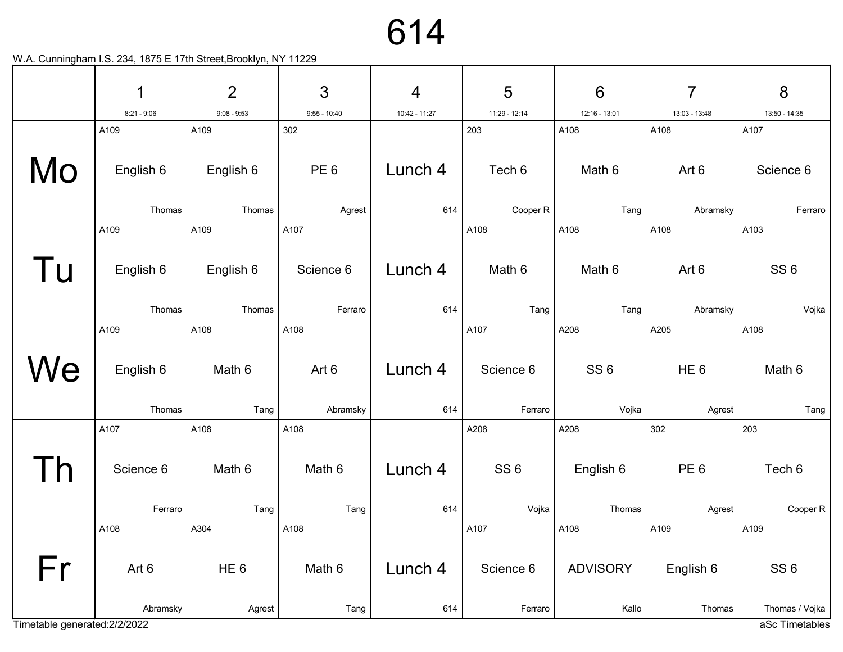|                               | 1                   | $\overline{2}$      | 3                    | $\overline{4}$ | 5                    | 6                        | $\overline{7}$            | 8                                |
|-------------------------------|---------------------|---------------------|----------------------|----------------|----------------------|--------------------------|---------------------------|----------------------------------|
|                               | $8:21 - 9:06$       | $9:08 - 9:53$       | $9:55 - 10:40$       | 10:42 - 11:27  | 11:29 - 12:14        | 12:16 - 13:01            | 13:03 - 13:48             | 13:50 - 14:35                    |
|                               | A109                | A109                | 302                  |                | 203                  | A108                     | A108                      | A107                             |
| Mo                            | English 6           | English 6           | PE <sub>6</sub>      | Lunch 4        | Tech 6               | Math 6                   | Art 6                     | Science 6                        |
|                               | Thomas              | Thomas              | Agrest               | 614            | Cooper R             | Tang                     | Abramsky                  | Ferraro                          |
|                               | A109                | A109                | A107                 |                | A108                 | A108                     | A108                      | A103                             |
| Tu                            | English 6<br>Thomas | English 6<br>Thomas | Science 6<br>Ferraro | Lunch 4<br>614 | Math 6<br>Tang       | Math 6<br>Tang           | Art 6<br>Abramsky         | SS <sub>6</sub><br>Vojka         |
|                               | A109                | A108                | A108                 |                | A107                 | A208                     | A205                      | A108                             |
| We                            | English 6<br>Thomas | Math 6<br>Tang      | Art 6<br>Abramsky    | Lunch 4<br>614 | Science 6<br>Ferraro | SS <sub>6</sub><br>Vojka | HE <sub>6</sub><br>Agrest | Math 6<br>Tang                   |
|                               | A107                | A108                | A108                 |                | A208                 | A208                     | 302                       | 203                              |
|                               | Science 6           | Math 6              | Math 6               | Lunch 4        | SS <sub>6</sub>      | English 6                | PE <sub>6</sub>           | Tech 6                           |
|                               | Ferraro             | Tang                | Tang                 | 614            | Vojka                | Thomas                   | Agrest                    | Cooper R                         |
|                               | A108                | A304                | A108                 |                | A107                 | A108                     | A109                      | A109                             |
| Fr                            | Art 6               | HE <sub>6</sub>     | Math 6               | Lunch 4        | Science 6            | <b>ADVISORY</b>          | English 6                 | SS <sub>6</sub>                  |
| Timetable generated: 2/2/2022 | Abramsky            | Agrest              | Tang                 | 614            | Ferraro              | Kallo                    | Thomas                    | Thomas / Vojka<br>aSc Timetables |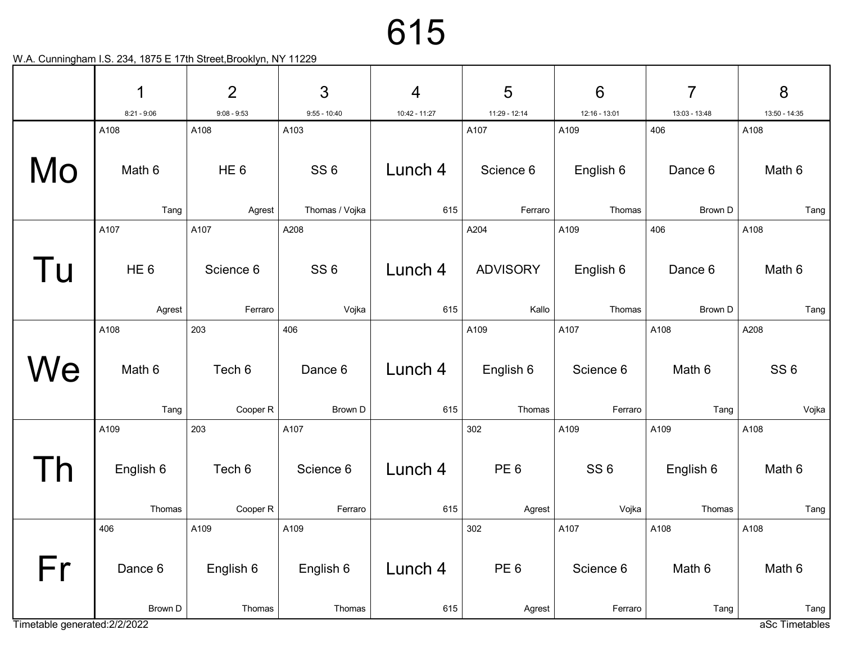|                               | 1               | $\overline{2}$  | 3               | $\overline{4}$ | 5               | $6\phantom{1}6$ | $\overline{7}$ | 8               |
|-------------------------------|-----------------|-----------------|-----------------|----------------|-----------------|-----------------|----------------|-----------------|
|                               | $8:21 - 9:06$   | $9:08 - 9:53$   | $9:55 - 10:40$  | 10:42 - 11:27  | 11:29 - 12:14   | 12:16 - 13:01   | 13:03 - 13:48  | 13:50 - 14:35   |
|                               | A108            | A108            | A103            |                | A107            | A109            | 406            | A108            |
| Mo                            | Math 6          | HE <sub>6</sub> | SS <sub>6</sub> | Lunch 4        | Science 6       | English 6       | Dance 6        | Math 6          |
|                               | Tang            | Agrest          | Thomas / Vojka  | 615            | Ferraro         | Thomas          | Brown D        | Tang            |
|                               | A107            | A107            | A208            |                | A204            | A109            | 406            | A108            |
| Tu                            | HE <sub>6</sub> | Science 6       | SS <sub>6</sub> | Lunch 4        | <b>ADVISORY</b> | English 6       | Dance 6        | Math 6          |
|                               | Agrest          | Ferraro         | Vojka           | 615            | Kallo           | Thomas          | Brown D        | Tang            |
|                               | A108            | 203             | 406             |                | A109            | A107            | A108           | A208            |
| We                            | Math 6          | Tech 6          | Dance 6         | Lunch 4        | English 6       | Science 6       | Math 6         | SS <sub>6</sub> |
|                               | Tang            | Cooper R        | Brown D         | 615            | Thomas          | Ferraro         | Tang           | Vojka           |
|                               | A109            | 203             | A107            |                | 302             | A109            | A109           | A108            |
|                               | English 6       | Tech 6          | Science 6       | Lunch 4        | PE <sub>6</sub> | SS <sub>6</sub> | English 6      | Math 6          |
|                               | Thomas          | Cooper R        | Ferraro         | 615            | Agrest          | Vojka           | Thomas         | Tang            |
|                               | 406             | A109            | A109            |                | 302             | A107            | A108           | A108            |
| Fr                            | Dance 6         | English 6       | English 6       | Lunch 4        | PE <sub>6</sub> | Science 6       | Math 6         | Math 6          |
|                               | Brown D         | Thomas          | Thomas          | 615            | Agrest          | Ferraro         | Tang           | Tang            |
| Timetable generated: 2/2/2022 |                 |                 |                 |                |                 |                 |                | aSc Timetables  |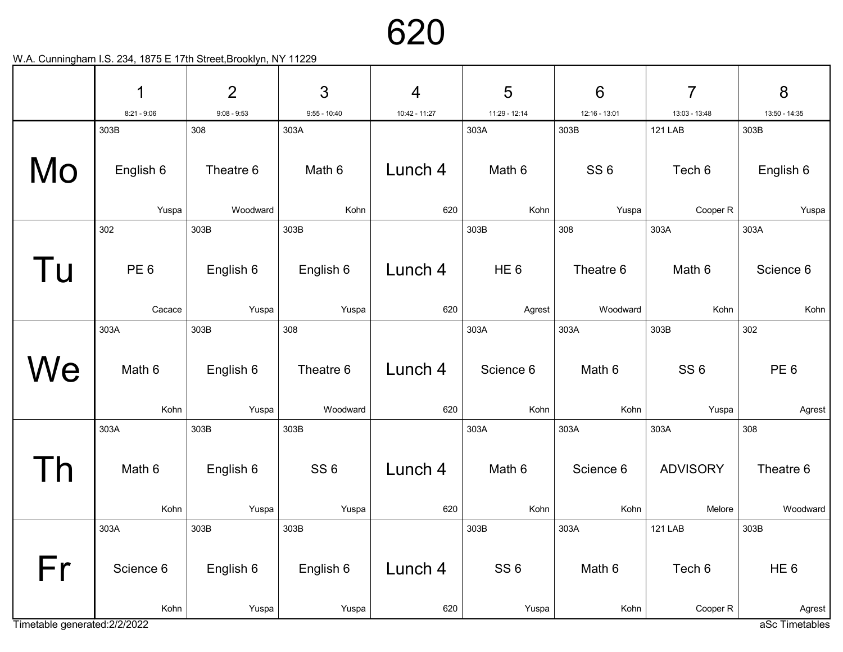

|                               | 1                         | $\overline{2}$     | 3                        | $\overline{4}$ | 5                        | $6\phantom{1}6$       | 7                         | 8                         |
|-------------------------------|---------------------------|--------------------|--------------------------|----------------|--------------------------|-----------------------|---------------------------|---------------------------|
|                               | $8:21 - 9:06$             | $9:08 - 9:53$      | $9:55 - 10:40$           | 10:42 - 11:27  | 11:29 - 12:14            | 12:16 - 13:01         | 13:03 - 13:48             | 13:50 - 14:35             |
|                               | 303B                      | 308                | 303A                     |                | 303A                     | 303B                  | <b>121 LAB</b>            | 303B                      |
| Mo                            | English 6                 | Theatre 6          | Math 6                   | Lunch 4        | Math 6                   | SS <sub>6</sub>       | Tech 6                    | English 6                 |
|                               | Yuspa                     | Woodward           | Kohn                     | 620            | Kohn                     | Yuspa                 | Cooper R                  | Yuspa                     |
|                               | 302                       | 303B               | 303B                     |                | 303B                     | 308                   | 303A                      | 303A                      |
| l u                           | PE <sub>6</sub><br>Cacace | English 6          | English 6                | Lunch 4<br>620 | HE <sub>6</sub>          | Theatre 6<br>Woodward | Math 6<br>Kohn            | Science 6<br>Kohn         |
|                               | 303A                      | Yuspa<br>303B      | Yuspa<br>308             |                | Agrest<br>303A           | 303A                  | 303B                      | 302                       |
| We                            | Math 6<br>Kohn            | English 6<br>Yuspa | Theatre 6<br>Woodward    | Lunch 4<br>620 | Science 6<br>Kohn        | Math 6<br>Kohn        | SS <sub>6</sub><br>Yuspa  | PE <sub>6</sub><br>Agrest |
|                               | 303A                      | 303B               | 303B                     |                | 303A                     | 303A                  | 303A                      | 308                       |
|                               | Math 6<br>Kohn            | English 6<br>Yuspa | SS <sub>6</sub><br>Yuspa | Lunch 4<br>620 | Math 6<br>Kohn           | Science 6<br>Kohn     | <b>ADVISORY</b><br>Melore | Theatre 6<br>Woodward     |
|                               | 303A                      | 303B               | 303B                     |                | 303B                     | 303A                  | <b>121 LAB</b>            | 303B                      |
| Fr                            | Science 6<br>Kohn         | English 6<br>Yuspa | English 6<br>Yuspa       | Lunch 4<br>620 | SS <sub>6</sub><br>Yuspa | Math 6<br>Kohn        | Tech 6<br>Cooper R        | HE <sub>6</sub><br>Agrest |
| Timetable generated: 2/2/2022 |                           |                    |                          |                |                          |                       |                           | aSc Timetables            |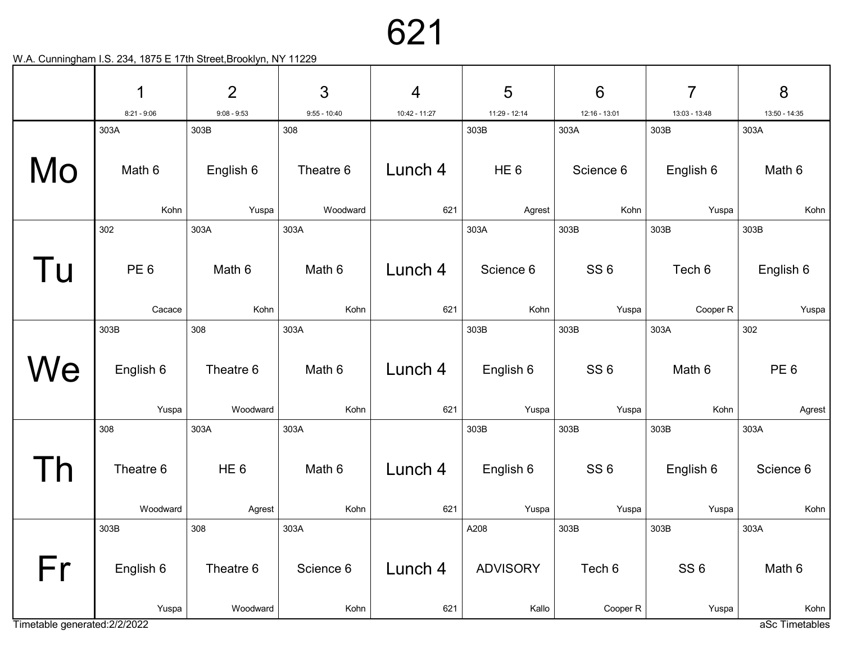|                               | 1                         | $\overline{2}$            | 3              | $\overline{4}$ | 5                  | $6\phantom{1}6$          | 7                  | 8                      |
|-------------------------------|---------------------------|---------------------------|----------------|----------------|--------------------|--------------------------|--------------------|------------------------|
|                               | $8:21 - 9:06$             | $9:08 - 9:53$             | $9:55 - 10:40$ | 10:42 - 11:27  | 11:29 - 12:14      | 12:16 - 13:01            | 13:03 - 13:48      | 13:50 - 14:35          |
|                               | 303A                      | 303B                      | 308            |                | 303B               | 303A                     | 303B               | 303A                   |
| Mo                            | Math 6                    | English 6                 | Theatre 6      | Lunch 4        | HE <sub>6</sub>    | Science 6                | English 6          | Math 6                 |
|                               | Kohn                      | Yuspa                     | Woodward       | 621            | Agrest             | Kohn                     | Yuspa              | Kohn                   |
|                               | 302                       | 303A                      | 303A           |                | 303A               | 303B                     | 303B               | 303B                   |
| l u                           | PE <sub>6</sub><br>Cacace | Math 6<br>Kohn            | Math 6<br>Kohn | Lunch 4<br>621 | Science 6<br>Kohn  | SS <sub>6</sub><br>Yuspa | Tech 6<br>Cooper R | English 6<br>Yuspa     |
|                               | 303B                      | 308                       | 303A           |                | 303B               | 303B                     | 303A               | 302                    |
| We                            | English 6                 | Theatre 6                 | Math 6         | Lunch 4        | English 6          | SS <sub>6</sub>          | Math 6             | PE <sub>6</sub>        |
|                               | Yuspa                     | Woodward                  | Kohn           | 621            | Yuspa              | Yuspa                    | Kohn               | Agrest                 |
|                               | 308                       | 303A                      | 303A           |                | 303B               | 303B                     | 303B               | 303A                   |
|                               | Theatre 6<br>Woodward     | HE <sub>6</sub><br>Agrest | Math 6<br>Kohn | Lunch 4<br>621 | English 6<br>Yuspa | SS <sub>6</sub><br>Yuspa | English 6<br>Yuspa | Science 6<br>Kohn      |
|                               |                           |                           |                |                |                    |                          |                    |                        |
|                               | 303B                      | 308                       | 303A           |                | A208               | 303B                     | 303B               | 303A                   |
| Fr                            | English 6                 | Theatre 6                 | Science 6      | Lunch 4        | <b>ADVISORY</b>    | Tech 6                   | SS <sub>6</sub>    | Math 6                 |
| Timetable generated: 2/2/2022 | Yuspa                     | Woodward                  | Kohn           | 621            | Kallo              | Cooper R                 | Yuspa              | Kohn<br>aSc Timetables |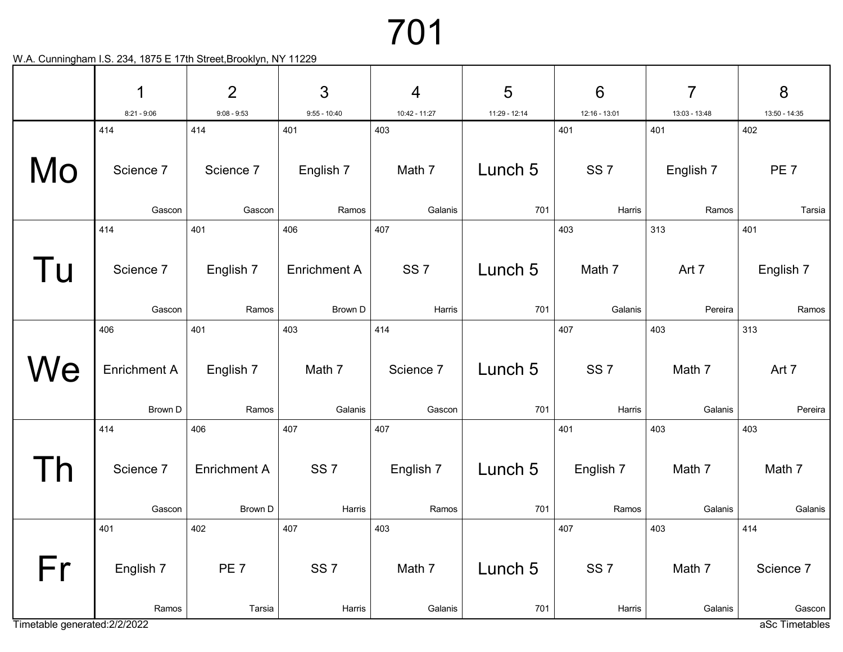|                               | 1                    | $\overline{2}$       | 3                     | $\overline{4}$       | 5             | $6\phantom{1}6$      | $\overline{7}$       | 8                        |
|-------------------------------|----------------------|----------------------|-----------------------|----------------------|---------------|----------------------|----------------------|--------------------------|
|                               | $8:21 - 9:06$<br>414 | $9:08 - 9:53$<br>414 | $9:55 - 10:40$<br>401 | 10:42 - 11:27<br>403 | 11:29 - 12:14 | 12:16 - 13:01<br>401 | 13:03 - 13:48<br>401 | 13:50 - 14:35<br>402     |
|                               |                      |                      |                       |                      |               |                      |                      |                          |
| Mo                            | Science 7            | Science 7            | English 7             | Math 7               | Lunch 5       | SS <sub>7</sub>      | English 7            | PE <sub>7</sub>          |
|                               | Gascon               | Gascon               | Ramos                 | Galanis              | 701           | Harris               | Ramos                | Tarsia                   |
|                               | 414                  | 401                  | 406                   | 407                  |               | 403                  | 313                  | 401                      |
| l U                           | Science 7            | English 7            | <b>Enrichment A</b>   | SS <sub>7</sub>      | Lunch 5       | Math 7               | Art 7                | English 7                |
|                               | Gascon               | Ramos                | Brown D               | Harris               | 701           | Galanis              | Pereira              | Ramos                    |
|                               | 406                  | 401                  | 403                   | 414                  |               | 407                  | 403                  | 313                      |
| We                            | <b>Enrichment A</b>  | English 7            | Math 7                | Science 7            | Lunch 5       | SS <sub>7</sub>      | Math 7               | Art 7                    |
|                               | Brown D              | Ramos                | Galanis               | Gascon               | 701           | Harris               | Galanis              | Pereira                  |
|                               | 414                  | 406                  | 407                   | 407                  |               | 401                  | 403                  | 403                      |
|                               | Science 7            | <b>Enrichment A</b>  | SS <sub>7</sub>       | English 7            | Lunch 5       | English 7            | Math 7               | Math 7                   |
|                               | Gascon               | Brown D              | Harris                | Ramos                | 701           | Ramos                | Galanis              | Galanis                  |
|                               | 401                  | 402                  | 407                   | 403                  |               | 407                  | 403                  | 414                      |
| Fr                            | English 7            | PE <sub>7</sub>      | SS <sub>7</sub>       | Math 7               | Lunch 5       | SS <sub>7</sub>      | Math 7               | Science 7                |
| Timetable generated: 2/2/2022 | Ramos                | Tarsia               | Harris                | Galanis              | 701           | Harris               | Galanis              | Gascon<br>aSc Timetables |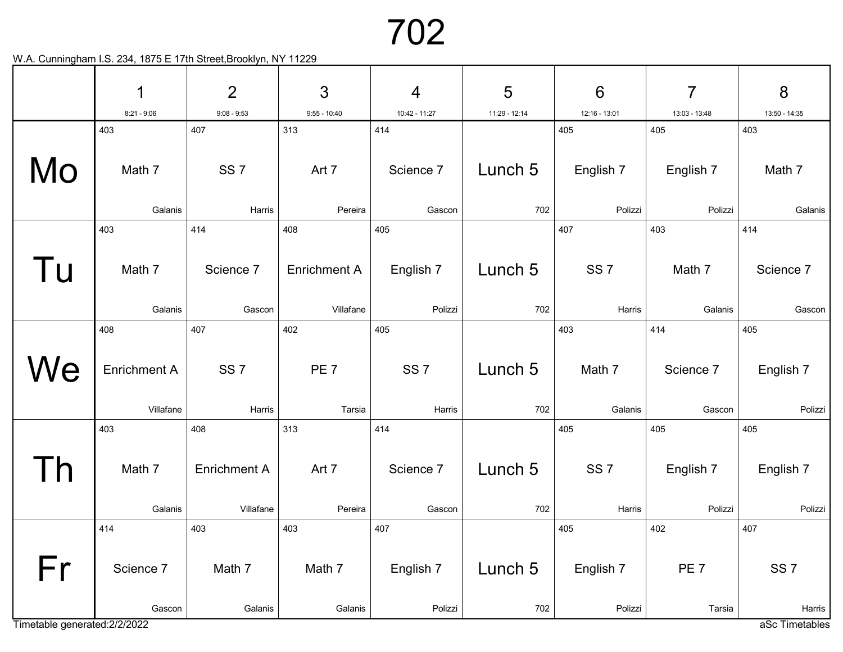|                               | 1                   | $\overline{2}$      | 3                   | $\overline{4}$  | 5             | $6\phantom{1}6$ | 7               | 8               |
|-------------------------------|---------------------|---------------------|---------------------|-----------------|---------------|-----------------|-----------------|-----------------|
|                               | $8:21 - 9:06$       | $9:08 - 9:53$       | $9:55 - 10:40$      | 10:42 - 11:27   | 11:29 - 12:14 | 12:16 - 13:01   | 13:03 - 13:48   | 13:50 - 14:35   |
|                               | 403                 | 407                 | 313                 | 414             |               | 405             | 405             | 403             |
| Mo                            | Math 7              | SS <sub>7</sub>     | Art 7               | Science 7       | Lunch 5       | English 7       | English 7       | Math 7          |
|                               | Galanis             | Harris              | Pereira             | Gascon          | 702           | Polizzi         | Polizzi         | Galanis         |
|                               | 403                 | 414                 | 408                 | 405             |               | 407             | 403             | 414             |
| l u                           | Math 7              | Science 7           | <b>Enrichment A</b> | English 7       | Lunch 5       | SS <sub>7</sub> | Math 7          | Science 7       |
|                               | Galanis             | Gascon              | Villafane           | Polizzi         | 702           | Harris          | Galanis         | Gascon          |
|                               | 408                 | 407                 | 402                 | 405             |               | 403             | 414             | 405             |
| We                            | <b>Enrichment A</b> | SS <sub>7</sub>     | PE <sub>7</sub>     | SS <sub>7</sub> | Lunch 5       | Math 7          | Science 7       | English 7       |
|                               | Villafane           | Harris              | Tarsia              | Harris          | 702           | Galanis         | Gascon          | Polizzi         |
|                               | 403                 | 408                 | 313                 | 414             |               | 405             | 405             | 405             |
|                               | Math 7              | <b>Enrichment A</b> | Art 7               | Science 7       | Lunch 5       | SS <sub>7</sub> | English 7       | English 7       |
|                               | Galanis             | Villafane           | Pereira             | Gascon          | 702           | Harris          | Polizzi         | Polizzi         |
|                               | 414                 | 403                 | 403                 | 407             |               | 405             | 402             | 407             |
| Fr                            | Science 7           | Math 7              | Math 7              | English 7       | Lunch 5       | English 7       | PE <sub>7</sub> | SS <sub>7</sub> |
|                               | Gascon              | Galanis             | Galanis             | Polizzi         | 702           | Polizzi         | Tarsia          | Harris          |
| Timetable generated: 2/2/2022 |                     |                     |                     |                 |               |                 |                 | aSc Timetables  |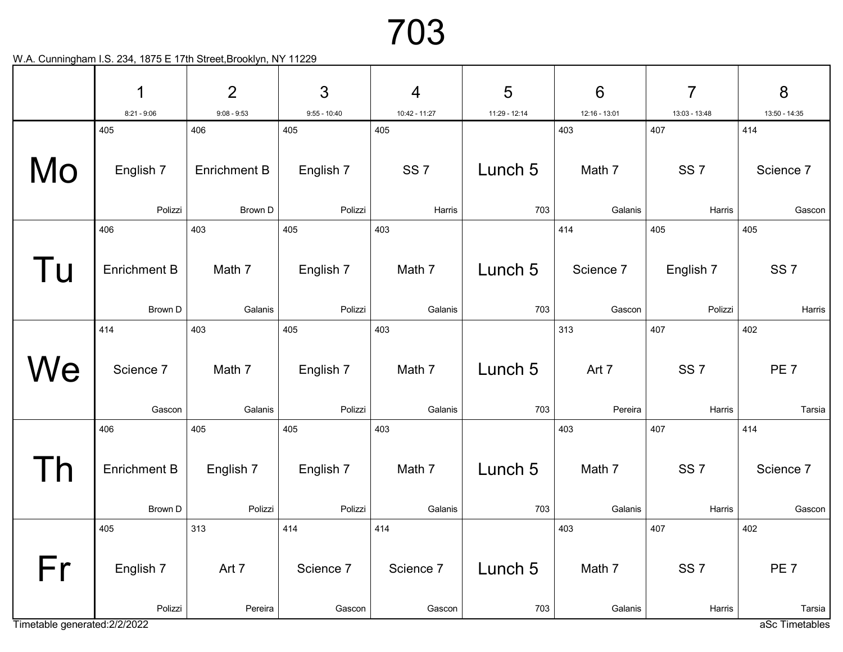|                               | 1                   | $\overline{2}$      | 3              | $\overline{4}$  | 5             | $6\phantom{1}6$ | 7               | 8               |
|-------------------------------|---------------------|---------------------|----------------|-----------------|---------------|-----------------|-----------------|-----------------|
|                               | $8:21 - 9:06$       | $9:08 - 9:53$       | $9:55 - 10:40$ | 10:42 - 11:27   | 11:29 - 12:14 | 12:16 - 13:01   | 13:03 - 13:48   | 13:50 - 14:35   |
|                               | 405                 | 406                 | 405            | 405             |               | 403             | 407             | 414             |
| Mo                            | English 7           | <b>Enrichment B</b> | English 7      | SS <sub>7</sub> | Lunch 5       | Math 7          | SS <sub>7</sub> | Science 7       |
|                               | Polizzi             | Brown D             | Polizzi        | Harris          | 703           | Galanis         | Harris          | Gascon          |
|                               | 406                 | 403                 | 405            | 403             |               | 414             | 405             | 405             |
| l u                           | <b>Enrichment B</b> | Math 7              | English 7      | Math 7          | Lunch 5       | Science 7       | English 7       | SS <sub>7</sub> |
|                               | Brown D             | Galanis             | Polizzi        | Galanis         | 703           | Gascon          | Polizzi         | Harris          |
|                               | 414                 | 403                 | 405            | 403             |               | 313             | 407             | 402             |
| We                            | Science 7           | Math 7              | English 7      | Math 7          | Lunch 5       | Art 7           | SS <sub>7</sub> | PE <sub>7</sub> |
|                               | Gascon              | Galanis             | Polizzi        | Galanis         | 703           | Pereira         | Harris          | Tarsia          |
|                               | 406                 | 405                 | 405            | 403             |               | 403             | 407             | 414             |
|                               | <b>Enrichment B</b> | English 7           | English 7      | Math 7          | Lunch 5       | Math 7          | SS <sub>7</sub> | Science 7       |
|                               | Brown D             | Polizzi             | Polizzi        | Galanis         | 703           | Galanis         | Harris          | Gascon          |
|                               | 405                 | 313                 | 414            | 414             |               | 403             | 407             | 402             |
| Fr                            | English 7           | Art 7               | Science 7      | Science 7       | Lunch 5       | Math 7          | SS <sub>7</sub> | PE <sub>7</sub> |
|                               | Polizzi             | Pereira             | Gascon         | Gascon          | 703           | Galanis         | Harris          | Tarsia          |
| Timetable generated: 2/2/2022 |                     |                     |                |                 |               |                 |                 | aSc Timetables  |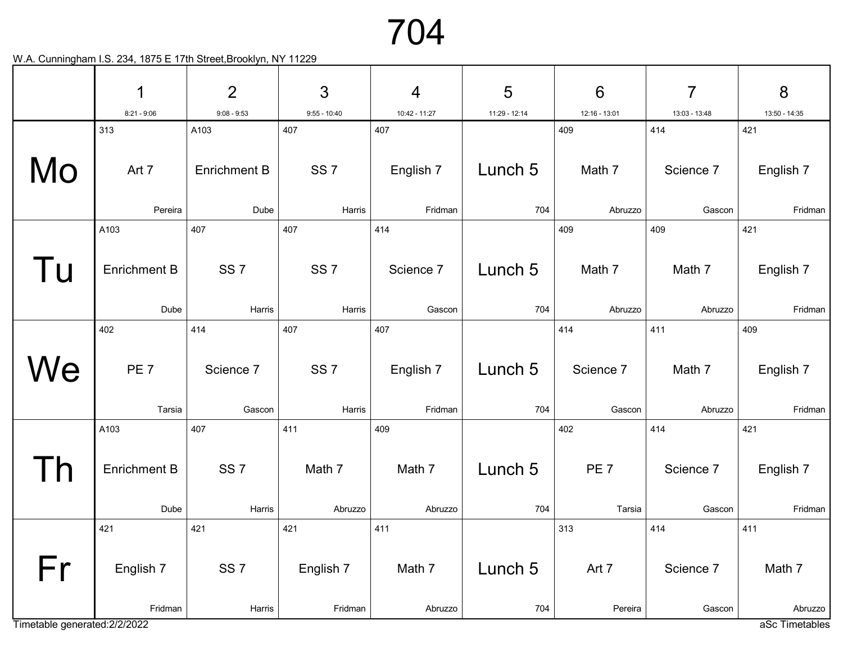|                               | 1                   | $\overline{2}$      | 3               | $\overline{4}$ | 5             | $6\phantom{1}6$ | 7             | 8                         |
|-------------------------------|---------------------|---------------------|-----------------|----------------|---------------|-----------------|---------------|---------------------------|
|                               | $8:21 - 9:06$       | $9:08 - 9:53$       | $9:55 - 10:40$  | 10:42 - 11:27  | 11:29 - 12:14 | 12:16 - 13:01   | 13:03 - 13:48 | 13:50 - 14:35             |
|                               | 313                 | A103                | 407             | 407            |               | 409             | 414           | 421                       |
| Mo                            | Art 7               | <b>Enrichment B</b> | SS <sub>7</sub> | English 7      | Lunch 5       | Math 7          | Science 7     | English 7                 |
|                               | Pereira             | Dube                | Harris          | Fridman        | 704           | Abruzzo         | Gascon        | Fridman                   |
|                               | A103                | 407                 | 407             | 414            |               | 409             | 409           | 421                       |
| l u                           | <b>Enrichment B</b> | SS <sub>7</sub>     | SS <sub>7</sub> | Science 7      | Lunch 5       | Math 7          | Math 7        | English 7                 |
|                               | Dube                | Harris              | Harris          | Gascon         | 704           | Abruzzo         | Abruzzo       | Fridman                   |
|                               | 402                 | 414                 | 407             | 407            |               | 414             | 411           | 409                       |
| We                            | PE <sub>7</sub>     | Science 7           | SS <sub>7</sub> | English 7      | Lunch 5       | Science 7       | Math 7        | English 7                 |
|                               | Tarsia              | Gascon              | Harris          | Fridman        | 704           | Gascon          | Abruzzo       | Fridman                   |
|                               | A103                | 407                 | 411             | 409            |               | 402             | 414           | 421                       |
|                               | <b>Enrichment B</b> | SS <sub>7</sub>     | Math 7          | Math 7         | Lunch 5       | PE <sub>7</sub> | Science 7     | English 7                 |
|                               | Dube                | Harris              | Abruzzo         | Abruzzo        | 704           | Tarsia          | Gascon        | Fridman                   |
|                               | 421                 | 421                 | 421             | 411            |               | 313             | 414           | 411                       |
| Fr                            | English 7           | SS <sub>7</sub>     | English 7       | Math 7         | Lunch 5       | Art 7           | Science 7     | Math 7                    |
| Timetable generated: 2/2/2022 | Fridman             | Harris              | Fridman         | Abruzzo        | 704           | Pereira         | Gascon        | Abruzzo<br>aSc Timetables |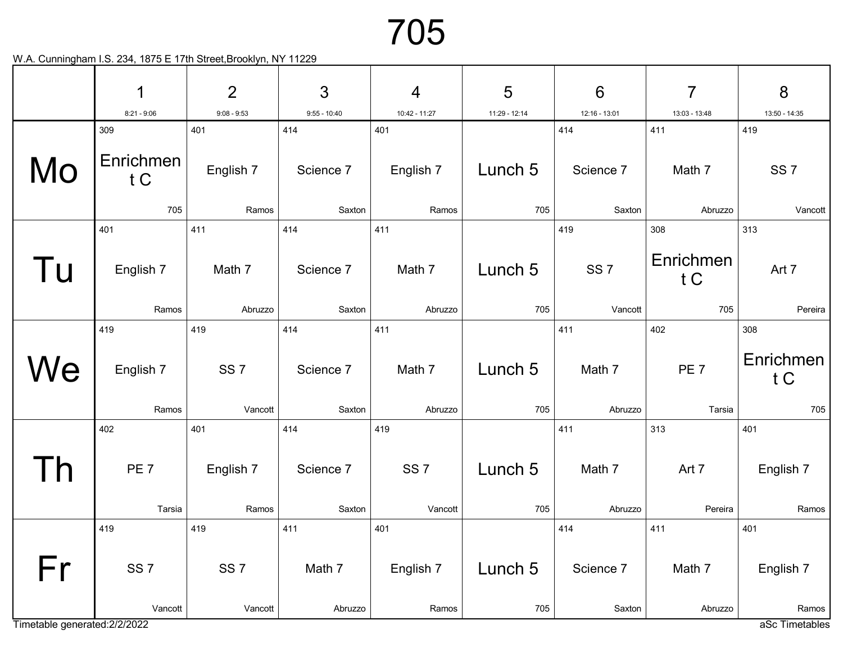|                               | 1                       | $\overline{2}$   | 3                | $\overline{4}$   | 5             | $6\phantom{1}6$  | $\overline{7}$   | 8                       |
|-------------------------------|-------------------------|------------------|------------------|------------------|---------------|------------------|------------------|-------------------------|
|                               | $8:21 - 9:06$           | $9:08 - 9:53$    | $9:55 - 10:40$   | 10:42 - 11:27    | 11:29 - 12:14 | 12:16 - 13:01    | 13:03 - 13:48    | 13:50 - 14:35           |
| Mo                            | 309<br>Enrichmen<br>t C | 401<br>English 7 | 414<br>Science 7 | 401<br>English 7 | Lunch 5       | 414<br>Science 7 | 411<br>Math 7    | 419<br>SS <sub>7</sub>  |
|                               | 705                     | Ramos            | Saxton           | Ramos            | 705           | Saxton           | Abruzzo          | Vancott                 |
|                               | 401                     | 411              | 414              | 411              |               | 419              | 308              | 313                     |
| l U                           | English 7               | Math 7           | Science 7        | Math 7           | Lunch 5       | SS <sub>7</sub>  | Enrichmen<br>t C | Art 7                   |
|                               | Ramos                   | Abruzzo          | Saxton           | Abruzzo          | 705           | Vancott          | 705              | Pereira                 |
|                               | 419                     | 419              | 414              | 411              |               | 411              | 402              | 308                     |
| We                            | English 7               | SS <sub>7</sub>  | Science 7        | Math 7           | Lunch 5       | Math 7           | PE <sub>7</sub>  | Enrichmen<br>t C        |
|                               | Ramos                   | Vancott          | Saxton           | Abruzzo          | 705           | Abruzzo          | Tarsia           | 705                     |
|                               | 402                     | 401              | 414              | 419              |               | 411              | 313              | 401                     |
|                               | PE <sub>7</sub>         | English 7        | Science 7        | SS <sub>7</sub>  | Lunch 5       | Math 7           | Art 7            | English 7               |
|                               | Tarsia                  | Ramos            | Saxton           | Vancott          | 705           | Abruzzo          | Pereira          | Ramos                   |
|                               | 419                     | 419              | 411              | 401              |               | 414              | 411              | 401                     |
| Fr                            | SS <sub>7</sub>         | SS <sub>7</sub>  | Math 7           | English 7        | Lunch 5       | Science 7        | Math 7           | English 7               |
| Timetable generated: 2/2/2022 | Vancott                 | Vancott          | Abruzzo          | Ramos            | 705           | Saxton           | Abruzzo          | Ramos<br>aSc Timetables |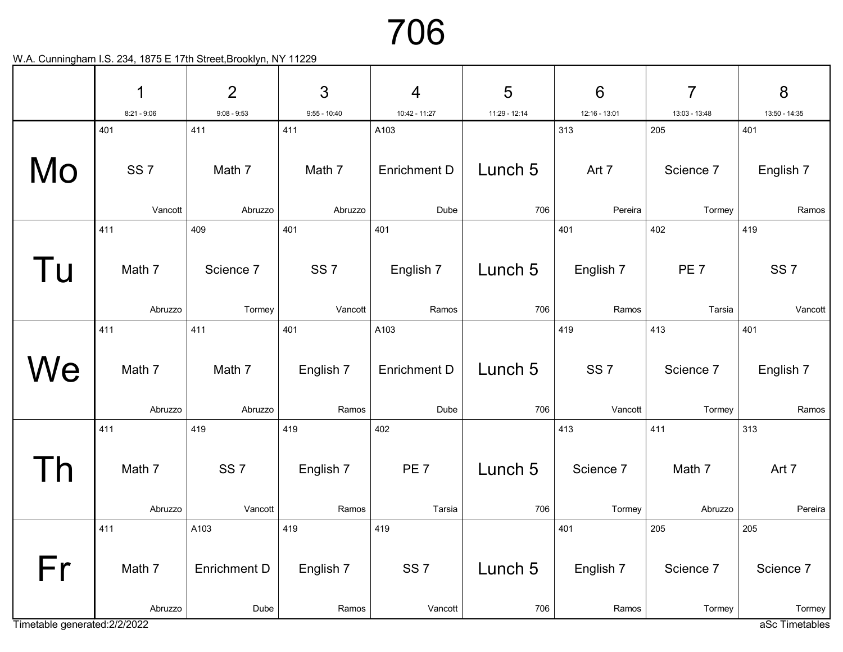|                               | 1                        | $\overline{2}$               | 3                         | $\overline{4}$                    | 5              | $6\phantom{1}6$            | $\overline{7}$             | 8                          |
|-------------------------------|--------------------------|------------------------------|---------------------------|-----------------------------------|----------------|----------------------------|----------------------------|----------------------------|
|                               | $8:21 - 9:06$            | $9:08 - 9:53$                | $9:55 - 10:40$            | 10:42 - 11:27                     | 11:29 - 12:14  | 12:16 - 13:01              | 13:03 - 13:48              | 13:50 - 14:35              |
|                               | 401                      | 411                          | 411                       | A103                              |                | 313                        | 205                        | 401                        |
| Mo                            | SS <sub>7</sub>          | Math 7                       | Math 7                    | <b>Enrichment D</b>               | Lunch 5        | Art 7                      | Science 7                  | English 7                  |
|                               | Vancott                  | Abruzzo                      | Abruzzo                   | Dube                              | 706            | Pereira                    | Tormey                     | Ramos                      |
|                               | 411                      | 409                          | 401                       | 401                               |                | 401                        | 402                        | 419                        |
| Tu                            | Math 7                   | Science 7                    | SS <sub>7</sub>           | English 7                         | Lunch 5        | English 7                  | PE <sub>7</sub>            | SS <sub>7</sub>            |
|                               | Abruzzo                  | Tormey                       | Vancott                   | Ramos                             | 706            | Ramos                      | Tarsia                     | Vancott                    |
|                               | 411                      | 411                          | 401                       | A103                              |                | 419                        | 413                        | 401                        |
| We                            | Math 7<br>Abruzzo        | Math 7<br>Abruzzo            | English 7<br>Ramos        | <b>Enrichment D</b><br>Dube       | Lunch 5<br>706 | SS <sub>7</sub><br>Vancott | Science 7<br>Tormey        | English 7<br>Ramos         |
|                               |                          | 419                          |                           |                                   |                |                            |                            |                            |
|                               | 411<br>Math 7            | SS <sub>7</sub>              | 419<br>English 7          | 402<br>PE <sub>7</sub>            | Lunch 5        | 413<br>Science 7           | 411<br>Math 7              | 313<br>Art 7               |
|                               | Abruzzo                  | Vancott                      | Ramos                     | Tarsia                            | 706            | Tormey                     | Abruzzo                    | Pereira                    |
| Fr                            | 411<br>Math 7<br>Abruzzo | A103<br>Enrichment D<br>Dube | 419<br>English 7<br>Ramos | 419<br>SS <sub>7</sub><br>Vancott | Lunch 5<br>706 | 401<br>English 7<br>Ramos  | 205<br>Science 7<br>Tormey | 205<br>Science 7<br>Tormey |
| Timetable generated: 2/2/2022 |                          |                              |                           |                                   |                |                            |                            | aSc Timetables             |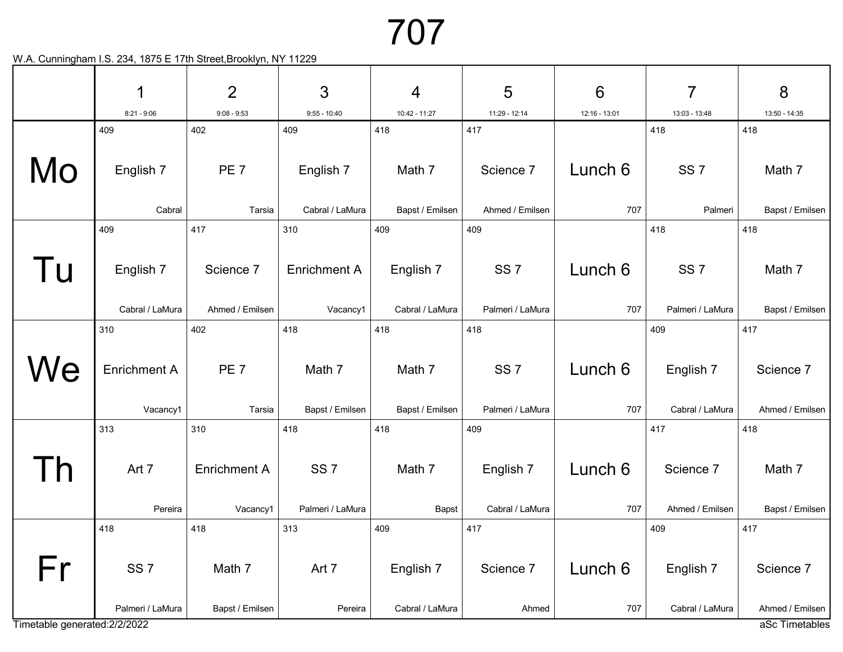|                               | 1                   | $\overline{2}$      | 3                   | 4               | 5                | $6\phantom{1}6$ | $\overline{7}$   | 8               |
|-------------------------------|---------------------|---------------------|---------------------|-----------------|------------------|-----------------|------------------|-----------------|
|                               | $8:21 - 9:06$       | $9:08 - 9:53$       | $9:55 - 10:40$      | 10:42 - 11:27   | 11:29 - 12:14    | 12:16 - 13:01   | 13:03 - 13:48    | 13:50 - 14:35   |
|                               | 409                 | 402                 | 409                 | 418             | 417              |                 | 418              | 418             |
| Mo                            | English 7           | PE <sub>7</sub>     | English 7           | Math 7          | Science 7        | Lunch 6         | SS <sub>7</sub>  | Math 7          |
|                               | Cabral              | Tarsia              | Cabral / LaMura     | Bapst / Emilsen | Ahmed / Emilsen  | 707             | Palmeri          | Bapst / Emilsen |
|                               | 409                 | 417                 | 310                 | 409             | 409              |                 | 418              | 418             |
| l U                           | English 7           | Science 7           | <b>Enrichment A</b> | English 7       | SS <sub>7</sub>  | Lunch 6         | SS <sub>7</sub>  | Math 7          |
|                               | Cabral / LaMura     | Ahmed / Emilsen     | Vacancy1            | Cabral / LaMura | Palmeri / LaMura | 707             | Palmeri / LaMura | Bapst / Emilsen |
|                               | 310                 | 402                 | 418                 | 418             | 418              |                 | 409              | 417             |
| We                            | <b>Enrichment A</b> | PE <sub>7</sub>     | Math 7              | Math 7          | SS <sub>7</sub>  | Lunch 6         | English 7        | Science 7       |
|                               | Vacancy1            | Tarsia              | Bapst / Emilsen     | Bapst / Emilsen | Palmeri / LaMura | 707             | Cabral / LaMura  | Ahmed / Emilsen |
|                               | 313                 | 310                 | 418                 | 418             | 409              |                 | 417              | 418             |
|                               | Art 7               | <b>Enrichment A</b> | SS <sub>7</sub>     | Math 7          | English 7        | Lunch 6         | Science 7        | Math 7          |
|                               | Pereira             | Vacancy1            | Palmeri / LaMura    | Bapst           | Cabral / LaMura  | 707             | Ahmed / Emilsen  | Bapst / Emilsen |
|                               | 418                 | 418                 | 313                 | 409             | 417              |                 | 409              | 417             |
| Fr                            | SS <sub>7</sub>     | Math 7              | Art 7               | English 7       | Science 7        | Lunch 6         | English 7        | Science 7       |
|                               | Palmeri / LaMura    | Bapst / Emilsen     | Pereira             | Cabral / LaMura | Ahmed            | 707             | Cabral / LaMura  | Ahmed / Emilsen |
| Timetable generated: 2/2/2022 |                     |                     |                     |                 |                  |                 |                  | aSc Timetables  |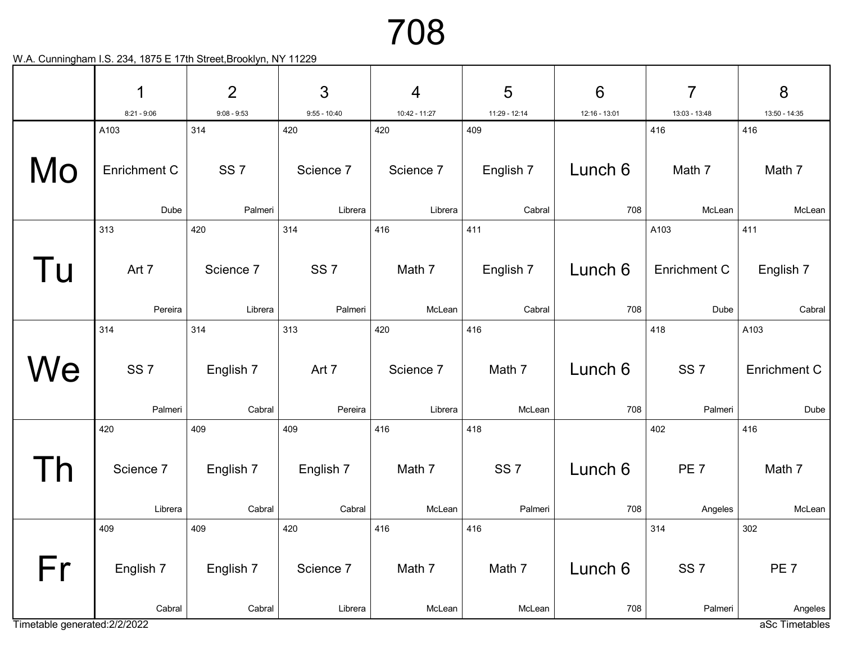|                               | 1                | $\overline{2}$       | 3                          | $\overline{4}$   | 5                   | $6\phantom{1}6$ | $\overline{7}$       | 8                         |
|-------------------------------|------------------|----------------------|----------------------------|------------------|---------------------|-----------------|----------------------|---------------------------|
|                               | $8:21 - 9:06$    | $9:08 - 9:53$        | $9:55 - 10:40$             | 10:42 - 11:27    | 11:29 - 12:14       | 12:16 - 13:01   | 13:03 - 13:48        | 13:50 - 14:35             |
|                               | A103             | 314                  | 420                        | 420              | 409                 |                 | 416                  | 416                       |
| Mo                            | Enrichment C     | SS <sub>7</sub>      | Science 7                  | Science 7        | English 7           | Lunch 6         | Math 7               | Math 7                    |
|                               | Dube             | Palmeri              | Librera                    | Librera          | Cabral              | 708             | McLean               | McLean                    |
|                               | 313              | 420                  | 314                        | 416              | 411                 |                 | A103                 | 411                       |
| Tu                            | Art 7<br>Pereira | Science 7<br>Librera | SS <sub>7</sub><br>Palmeri | Math 7<br>McLean | English 7<br>Cabral | Lunch 6<br>708  | Enrichment C<br>Dube | English 7<br>Cabral       |
|                               |                  |                      |                            |                  |                     |                 |                      |                           |
|                               | 314              | 314                  | 313                        | 420              | 416                 |                 | 418                  | A103                      |
| We                            | SS <sub>7</sub>  | English 7            | Art 7                      | Science 7        | Math 7              | Lunch 6         | SS <sub>7</sub>      | <b>Enrichment C</b>       |
|                               | Palmeri          | Cabral               | Pereira                    | Librera          | McLean              | 708             | Palmeri              | Dube                      |
|                               | 420              | 409                  | 409                        | 416              | 418                 |                 | 402                  | 416                       |
|                               | Science 7        | English 7            | English 7                  | Math 7           | SS <sub>7</sub>     | Lunch 6         | PE <sub>7</sub>      | Math 7                    |
|                               | Librera          | Cabral               | Cabral                     | McLean           | Palmeri             | 708             | Angeles              | McLean                    |
|                               | 409              | 409                  | 420                        | 416              | 416                 |                 | 314                  | 302                       |
| Fr                            | English 7        | English 7            | Science 7                  | Math 7           | Math 7              | Lunch 6         | SS <sub>7</sub>      | PE <sub>7</sub>           |
| Timetable generated: 2/2/2022 | Cabral           | Cabral               | Librera                    | McLean           | McLean              | 708             | Palmeri              | Angeles<br>aSc Timetables |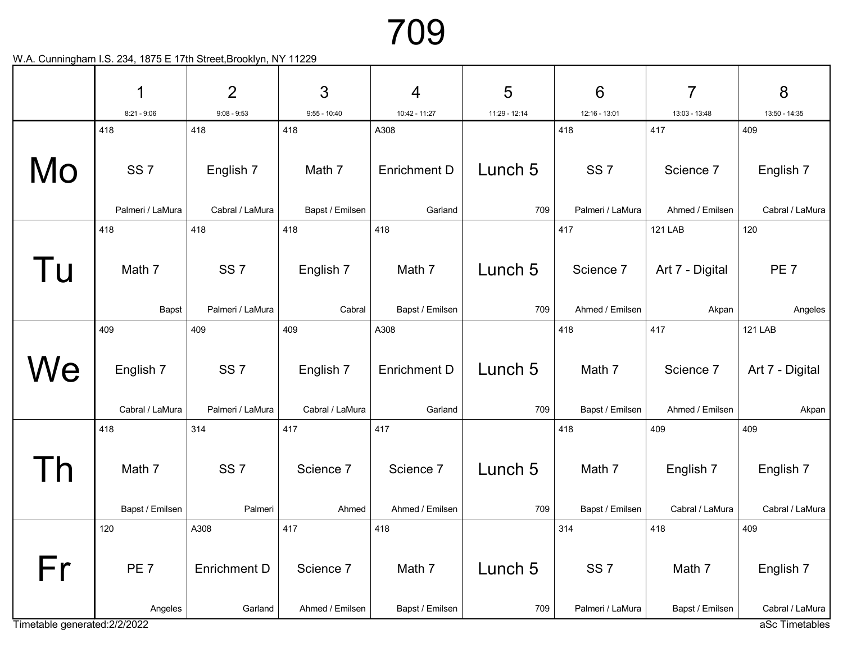|                               | 1                            | $\overline{2}$                      | 3                            | $\overline{4}$                 | 5              | $6\phantom{1}6$                     | $\overline{7}$               | 8                            |
|-------------------------------|------------------------------|-------------------------------------|------------------------------|--------------------------------|----------------|-------------------------------------|------------------------------|------------------------------|
|                               | $8:21 - 9:06$                | $9:08 - 9:53$                       | $9:55 - 10:40$               | 10:42 - 11:27                  | 11:29 - 12:14  | 12:16 - 13:01                       | 13:03 - 13:48                | 13:50 - 14:35                |
|                               | 418                          | 418                                 | 418                          | A308                           |                | 418                                 | 417                          | 409                          |
| Mo                            | SS <sub>7</sub>              | English 7                           | Math 7                       | <b>Enrichment D</b>            | Lunch 5        | SS <sub>7</sub>                     | Science 7                    | English 7                    |
|                               | Palmeri / LaMura             | Cabral / LaMura                     | Bapst / Emilsen              | Garland                        | 709            | Palmeri / LaMura                    | Ahmed / Emilsen              | Cabral / LaMura              |
|                               | 418                          | 418                                 | 418                          | 418                            |                | 417                                 | <b>121 LAB</b>               | 120                          |
| l U                           | Math 7                       | SS <sub>7</sub>                     | English 7                    | Math 7                         | Lunch 5        | Science 7                           | Art 7 - Digital              | PE <sub>7</sub>              |
|                               | Bapst                        | Palmeri / LaMura                    | Cabral                       | Bapst / Emilsen                | 709            | Ahmed / Emilsen                     | Akpan                        | Angeles                      |
|                               | 409                          | 409                                 | 409                          | A308                           |                | 418                                 | 417                          | <b>121 LAB</b>               |
| We                            | English 7<br>Cabral / LaMura | SS <sub>7</sub><br>Palmeri / LaMura | English 7<br>Cabral / LaMura | <b>Enrichment D</b><br>Garland | Lunch 5<br>709 | Math 7<br>Bapst / Emilsen           | Science 7<br>Ahmed / Emilsen | Art 7 - Digital<br>Akpan     |
|                               |                              |                                     |                              |                                |                |                                     |                              |                              |
|                               | 418                          | 314                                 | 417                          | 417                            |                | 418                                 | 409                          | 409                          |
|                               | Math 7                       | SS <sub>7</sub>                     | Science 7                    | Science 7                      | Lunch 5        | Math 7                              | English 7                    | English 7                    |
|                               | Bapst / Emilsen              | Palmeri                             | Ahmed                        | Ahmed / Emilsen                | 709            | Bapst / Emilsen                     | Cabral / LaMura              | Cabral / LaMura              |
|                               | 120                          | A308                                | 417                          | 418                            |                | 314                                 | 418                          | 409                          |
| Fr                            | PE <sub>7</sub><br>Angeles   | <b>Enrichment D</b><br>Garland      | Science 7<br>Ahmed / Emilsen | Math 7<br>Bapst / Emilsen      | Lunch 5<br>709 | SS <sub>7</sub><br>Palmeri / LaMura | Math 7<br>Bapst / Emilsen    | English 7<br>Cabral / LaMura |
| Timetable generated: 2/2/2022 |                              |                                     |                              |                                |                |                                     |                              | aSc Timetables               |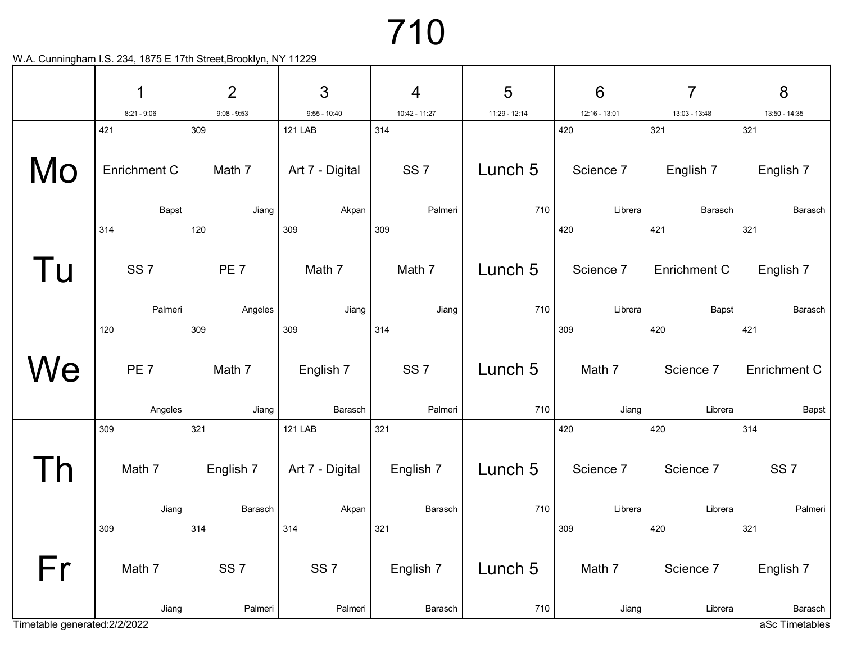|                                     | 1<br>$8:21 - 9:06$<br>421  | $\overline{2}$<br>$9:08 - 9:53$<br>309 | 3<br>$9:55 - 10:40$        | $\overline{4}$             | 5              | $6\phantom{1}6$      | $\overline{7}$        | 8                                      |
|-------------------------------------|----------------------------|----------------------------------------|----------------------------|----------------------------|----------------|----------------------|-----------------------|----------------------------------------|
|                                     |                            |                                        |                            |                            |                |                      |                       |                                        |
|                                     |                            |                                        |                            | 10:42 - 11:27              | 11:29 - 12:14  | 12:16 - 13:01        | 13:03 - 13:48         | 13:50 - 14:35                          |
|                                     |                            |                                        | <b>121 LAB</b>             | 314                        |                | 420                  | 321                   | 321                                    |
| Mo                                  | Enrichment C               | Math 7                                 | Art 7 - Digital            | SS <sub>7</sub>            | Lunch 5        | Science 7            | English 7             | English 7                              |
|                                     | Bapst                      | Jiang                                  | Akpan                      | Palmeri                    | 710            | Librera              | Barasch               | Barasch                                |
|                                     | 314                        | 120                                    | 309                        | 309                        |                | 420                  | 421                   | 321                                    |
| l U                                 | SS <sub>7</sub><br>Palmeri | PE <sub>7</sub><br>Angeles             | Math 7<br>Jiang            | Math 7<br>Jiang            | Lunch 5<br>710 | Science 7<br>Librera | Enrichment C<br>Bapst | English 7<br>Barasch                   |
|                                     | 120                        | 309                                    | 309                        | 314                        |                | 309                  | 420                   | 421                                    |
| We                                  | PE <sub>7</sub><br>Angeles | Math 7<br>Jiang                        | English 7<br>Barasch       | SS <sub>7</sub><br>Palmeri | Lunch 5<br>710 | Math 7<br>Jiang      | Science 7<br>Librera  | <b>Enrichment C</b><br>Bapst           |
|                                     | 309                        | 321                                    | <b>121 LAB</b>             | 321                        |                | 420                  | 420                   | 314                                    |
|                                     | Math 7<br>Jiang            | English 7<br>Barasch                   | Art 7 - Digital<br>Akpan   | English 7<br>Barasch       | Lunch 5<br>710 | Science 7<br>Librera | Science 7<br>Librera  | SS <sub>7</sub><br>Palmeri             |
|                                     | 309                        | 314                                    | 314                        | 321                        |                | 309                  | 420                   | 321                                    |
| Fr<br>Timetable generated: 2/2/2022 | Math 7<br>Jiang            | SS <sub>7</sub><br>Palmeri             | SS <sub>7</sub><br>Palmeri | English 7<br>Barasch       | Lunch 5<br>710 | Math 7<br>Jiang      | Science 7<br>Librera  | English 7<br>Barasch<br>aSc Timetables |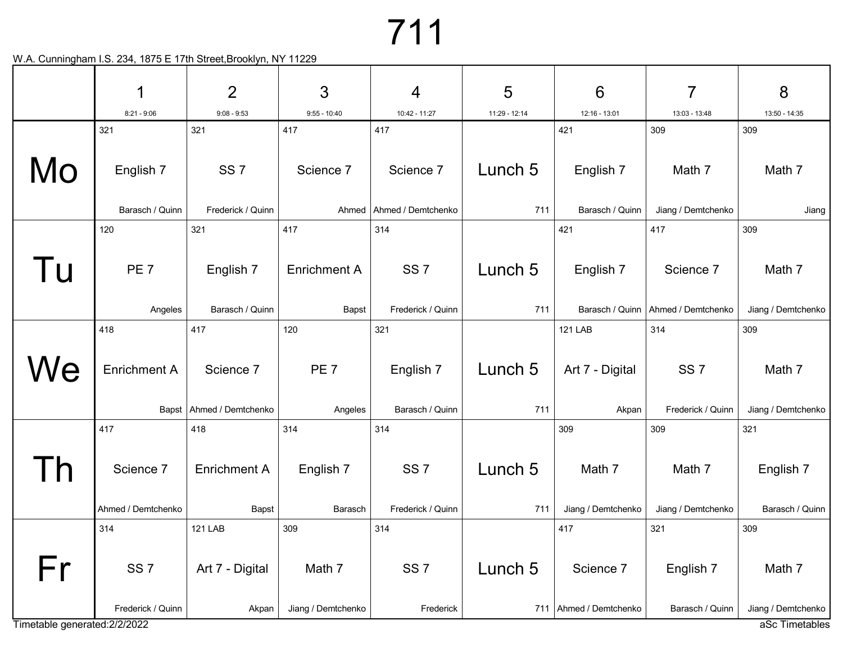|                               | 1                   | $\overline{2}$             | 3                   | 4                  | 5             | 6                        | $\overline{7}$                       | 8                                    |
|-------------------------------|---------------------|----------------------------|---------------------|--------------------|---------------|--------------------------|--------------------------------------|--------------------------------------|
|                               | $8:21 - 9:06$       | $9:08 - 9:53$              | $9:55 - 10:40$      | 10:42 - 11:27      | 11:29 - 12:14 | 12:16 - 13:01            | 13:03 - 13:48                        | 13:50 - 14:35                        |
|                               | 321                 | 321                        | 417                 | 417                |               | 421                      | 309                                  | 309                                  |
| Mo                            | English 7           | SS <sub>7</sub>            | Science 7           | Science 7          | Lunch 5       | English 7                | Math 7                               | Math 7                               |
|                               | Barasch / Quinn     | Frederick / Quinn          | Ahmed               | Ahmed / Demtchenko | 711           | Barasch / Quinn          | Jiang / Demtchenko                   | Jiang                                |
|                               | 120                 | 321                        | 417                 | 314                |               | 421                      | 417                                  | 309                                  |
| <b>U</b>                      | PE <sub>7</sub>     | English 7                  | <b>Enrichment A</b> | SS <sub>7</sub>    | Lunch 5       | English 7                | Science 7                            | Math 7                               |
|                               | Angeles             | Barasch / Quinn            | Bapst               | Frederick / Quinn  | 711           |                          | Barasch / Quinn   Ahmed / Demtchenko | Jiang / Demtchenko                   |
|                               | 418                 | 417                        | 120                 | 321                |               | <b>121 LAB</b>           | 314                                  | 309                                  |
| We                            | <b>Enrichment A</b> | Science 7                  | PE <sub>7</sub>     | English 7          | Lunch 5       | Art 7 - Digital          | SS <sub>7</sub>                      | Math 7                               |
|                               |                     | Bapst   Ahmed / Demtchenko | Angeles             | Barasch / Quinn    | 711           | Akpan                    | Frederick / Quinn                    | Jiang / Demtchenko                   |
|                               | 417                 | 418                        | 314                 | 314                |               | 309                      | 309                                  | 321                                  |
|                               | Science 7           | <b>Enrichment A</b>        | English 7           | SS <sub>7</sub>    | Lunch 5       | Math 7                   | Math 7                               | English 7                            |
|                               | Ahmed / Demtchenko  | Bapst                      | Barasch             | Frederick / Quinn  | 711           | Jiang / Demtchenko       | Jiang / Demtchenko                   | Barasch / Quinn                      |
|                               | 314                 | <b>121 LAB</b>             | 309                 | 314                |               | 417                      | 321                                  | 309                                  |
| Fr                            | SS <sub>7</sub>     | Art 7 - Digital            | Math 7              | SS <sub>7</sub>    | Lunch 5       | Science 7                | English 7                            | Math 7                               |
|                               | Frederick / Quinn   | Akpan                      | Jiang / Demtchenko  | Frederick          |               | 711   Ahmed / Demtchenko | Barasch / Quinn                      |                                      |
| Timetable generated: 2/2/2022 |                     |                            |                     |                    |               |                          |                                      | Jiang / Demtchenko<br>aSc Timetables |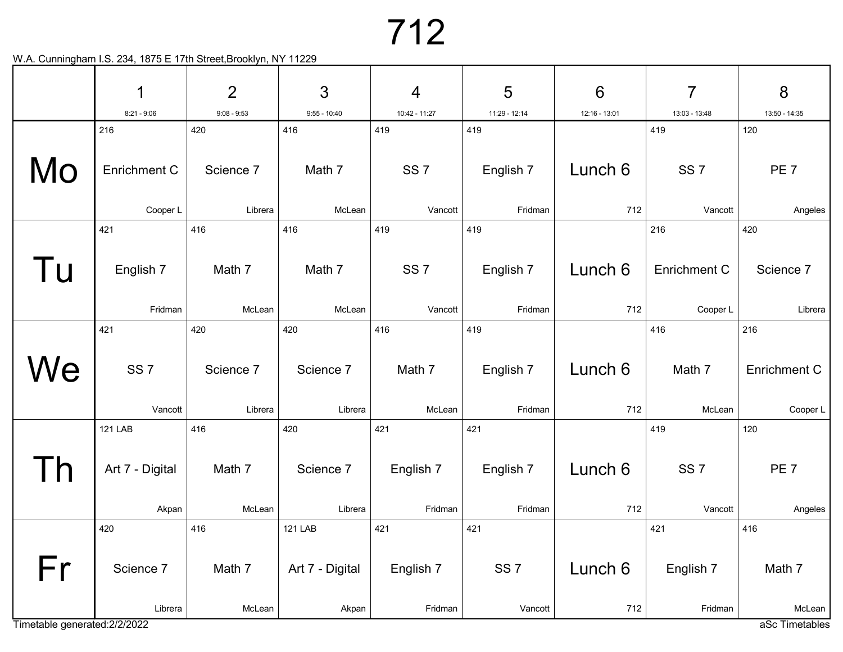|                               | 1                                 | $\overline{2}$   | 3                        | $\overline{4}$         | 5                          | $6\phantom{1}6$ | 7                      | 8                      |
|-------------------------------|-----------------------------------|------------------|--------------------------|------------------------|----------------------------|-----------------|------------------------|------------------------|
|                               | $8:21 - 9:06$                     | $9:08 - 9:53$    | $9:55 - 10:40$           | 10:42 - 11:27          | 11:29 - 12:14              | 12:16 - 13:01   | 13:03 - 13:48          | 13:50 - 14:35          |
| Mo                            | 216<br>Enrichment C               | 420<br>Science 7 | 416<br>Math 7            | 419<br>SS <sub>7</sub> | 419<br>English 7           | Lunch 6         | 419<br>SS <sub>7</sub> | 120<br>PE <sub>7</sub> |
|                               | Cooper L                          | Librera          | McLean                   | Vancott                | Fridman                    | 712             | Vancott                | Angeles                |
|                               | 421                               | 416              | 416                      | 419                    | 419                        |                 | 216                    | 420                    |
| Tu                            | English 7                         | Math 7           | Math 7                   | SS <sub>7</sub>        | English 7                  | Lunch 6         | <b>Enrichment C</b>    | Science 7              |
|                               | Fridman                           | McLean           | McLean                   | Vancott                | Fridman                    | 712             | Cooper L               | Librera                |
|                               | 421                               | 420              | 420                      | 416                    | 419                        |                 | 416                    | 216                    |
| We                            | SS <sub>7</sub>                   | Science 7        | Science 7                | Math 7                 | English 7                  | Lunch 6         | Math 7                 | <b>Enrichment C</b>    |
|                               | Vancott                           | Librera          | Librera                  | McLean                 | Fridman                    | 712             | McLean                 | Cooper L               |
|                               | <b>121 LAB</b><br>Art 7 - Digital | 416<br>Math 7    | 420<br>Science 7         | 421<br>English 7       | 421<br>English 7           | Lunch 6         | 419<br>SS <sub>7</sub> | 120<br>PE <sub>7</sub> |
|                               | Akpan                             | McLean           | Librera                  | Fridman                | Fridman                    | 712             | Vancott                | Angeles                |
|                               | 420                               | 416              | <b>121 LAB</b>           | 421                    | 421                        |                 | 421                    | 416                    |
| Fr                            | Science 7<br>Librera              | Math 7<br>McLean | Art 7 - Digital<br>Akpan | English 7<br>Fridman   | SS <sub>7</sub><br>Vancott | Lunch 6<br>712  | English 7<br>Fridman   | Math 7<br>McLean       |
| Timetable generated: 2/2/2022 |                                   |                  |                          |                        |                            |                 |                        | aSc Timetables         |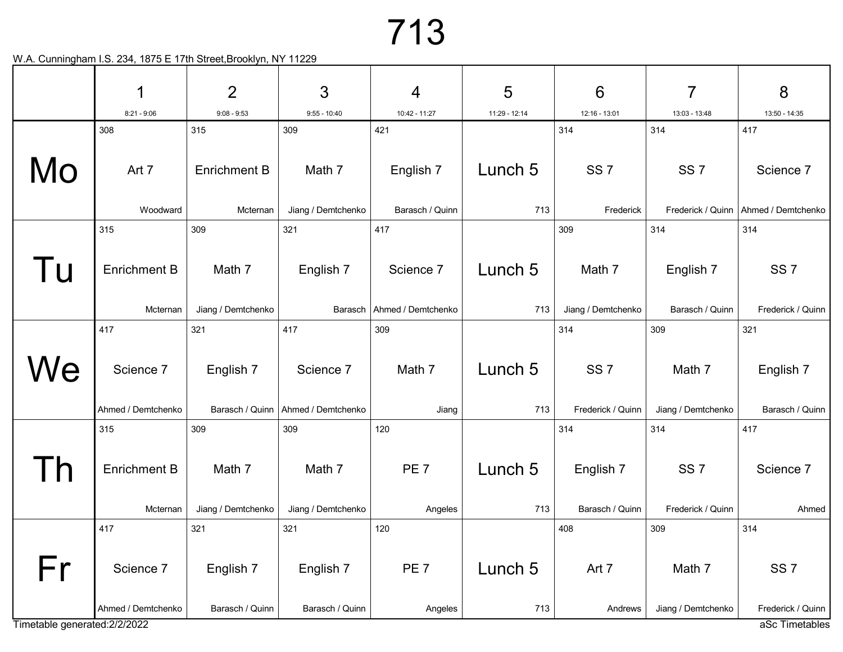|                               | 1                   | $\overline{2}$      | 3                  | 4                  | 5             | 6                  | $\overline{7}$     | 8                                   |
|-------------------------------|---------------------|---------------------|--------------------|--------------------|---------------|--------------------|--------------------|-------------------------------------|
|                               | $8:21 - 9:06$       | $9:08 - 9:53$       | $9:55 - 10:40$     | 10:42 - 11:27      | 11:29 - 12:14 | 12:16 - 13:01      | 13:03 - 13:48      | 13:50 - 14:35                       |
|                               | 308                 | 315                 | 309                | 421                |               | 314                | 314                | 417                                 |
| Mo                            | Art 7               | <b>Enrichment B</b> | Math 7             | English 7          | Lunch 5       | SS <sub>7</sub>    | SS <sub>7</sub>    | Science 7                           |
|                               | Woodward            | Mcternan            | Jiang / Demtchenko | Barasch / Quinn    | 713           | Frederick          | Frederick / Quinn  | Ahmed / Demtchenko                  |
|                               | 315                 | 309                 | 321                | 417                |               | 309                | 314                | 314                                 |
| l U                           | <b>Enrichment B</b> | Math 7              | English 7          | Science 7          | Lunch 5       | Math 7             | English 7          | SS <sub>7</sub>                     |
|                               | Mcternan            | Jiang / Demtchenko  | Barasch            | Ahmed / Demtchenko | 713           | Jiang / Demtchenko | Barasch / Quinn    | Frederick / Quinn                   |
|                               | 417                 | 321                 | 417                | 309                |               | 314                | 309                | 321                                 |
| We                            | Science 7           | English 7           | Science 7          | Math 7             | Lunch 5       | SS <sub>7</sub>    | Math 7             | English 7                           |
|                               | Ahmed / Demtchenko  | Barasch / Quinn     | Ahmed / Demtchenko | Jiang              | 713           | Frederick / Quinn  | Jiang / Demtchenko | Barasch / Quinn                     |
|                               | 315                 | 309                 | 309                | 120                |               | 314                | 314                | 417                                 |
|                               | <b>Enrichment B</b> | Math 7              | Math 7             | PE <sub>7</sub>    | Lunch 5       | English 7          | SS <sub>7</sub>    | Science 7                           |
|                               | Mcternan            | Jiang / Demtchenko  | Jiang / Demtchenko | Angeles            | 713           | Barasch / Quinn    | Frederick / Quinn  | Ahmed                               |
|                               | 417                 | 321                 | 321                | 120                |               | 408                | 309                | 314                                 |
| Fr                            | Science 7           | English 7           | English 7          | PE <sub>7</sub>    | Lunch 5       | Art 7              | Math 7             | SS <sub>7</sub>                     |
| Timetable generated: 2/2/2022 | Ahmed / Demtchenko  | Barasch / Quinn     | Barasch / Quinn    | Angeles            | 713           | Andrews            | Jiang / Demtchenko | Frederick / Quinn<br>aSc Timetables |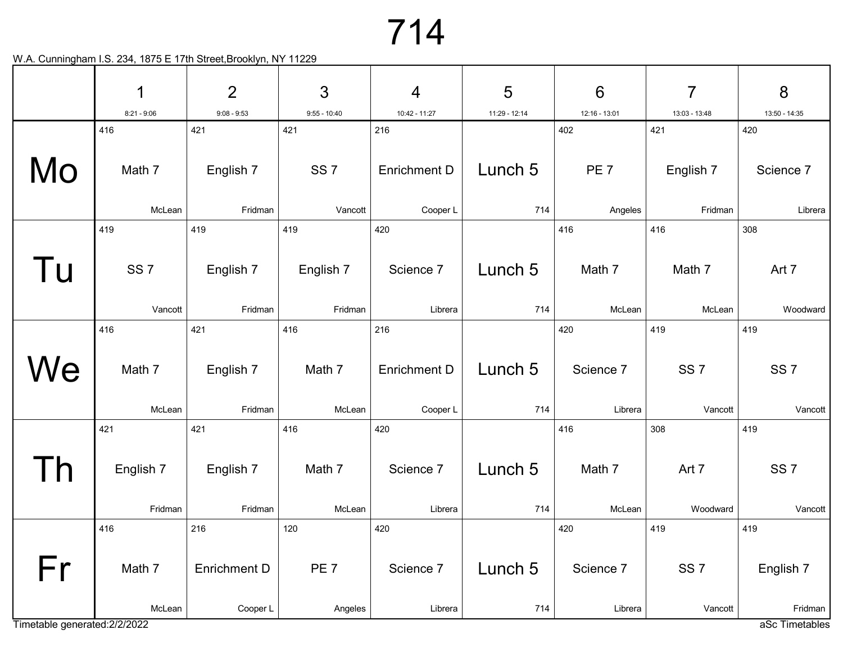|                               | 1               | $\overline{2}$      | 3               | $\overline{4}$      | 5             | $6\phantom{1}6$ | $\overline{7}$  | 8                         |
|-------------------------------|-----------------|---------------------|-----------------|---------------------|---------------|-----------------|-----------------|---------------------------|
|                               | $8:21 - 9:06$   | $9:08 - 9:53$       | $9:55 - 10:40$  | 10:42 - 11:27       | 11:29 - 12:14 | 12:16 - 13:01   | 13:03 - 13:48   | 13:50 - 14:35             |
|                               | 416             | 421                 | 421             | 216                 |               | 402             | 421             | 420                       |
| Mo                            | Math 7          | English 7           | SS <sub>7</sub> | <b>Enrichment D</b> | Lunch 5       | PE <sub>7</sub> | English 7       | Science 7                 |
|                               | McLean          | Fridman             | Vancott         | Cooper L            | 714           | Angeles         | Fridman         | Librera                   |
|                               | 419             | 419                 | 419             | 420                 |               | 416             | 416             | 308                       |
| Tu                            | SS <sub>7</sub> | English 7           | English 7       | Science 7           | Lunch 5       | Math 7          | Math 7          | Art 7                     |
|                               | Vancott         | Fridman             | Fridman         | Librera             | 714           | McLean          | McLean          | Woodward                  |
|                               | 416             | 421                 | 416             | 216                 |               | 420             | 419             | 419                       |
| We                            | Math 7          | English 7           | Math 7          | <b>Enrichment D</b> | Lunch 5       | Science 7       | SS <sub>7</sub> | SS <sub>7</sub>           |
|                               | McLean          | Fridman             | McLean          | Cooper L            | 714           | Librera         | Vancott         | Vancott                   |
|                               | 421             | 421                 | 416             | 420                 |               | 416             | 308             | 419                       |
|                               | English 7       | English 7           | Math 7          | Science 7           | Lunch 5       | Math 7          | Art 7           | SS <sub>7</sub>           |
|                               | Fridman         | Fridman             | McLean          | Librera             | 714           | McLean          | Woodward        | Vancott                   |
|                               | 416             | 216                 | 120             | 420                 |               | 420             | 419             | 419                       |
| Fr                            | Math 7          | <b>Enrichment D</b> | PE <sub>7</sub> | Science 7           | Lunch 5       | Science 7       | SS <sub>7</sub> | English 7                 |
| Timetable generated: 2/2/2022 | McLean          | Cooper L            | Angeles         | Librera             | 714           | Librera         | Vancott         | Fridman<br>aSc Timetables |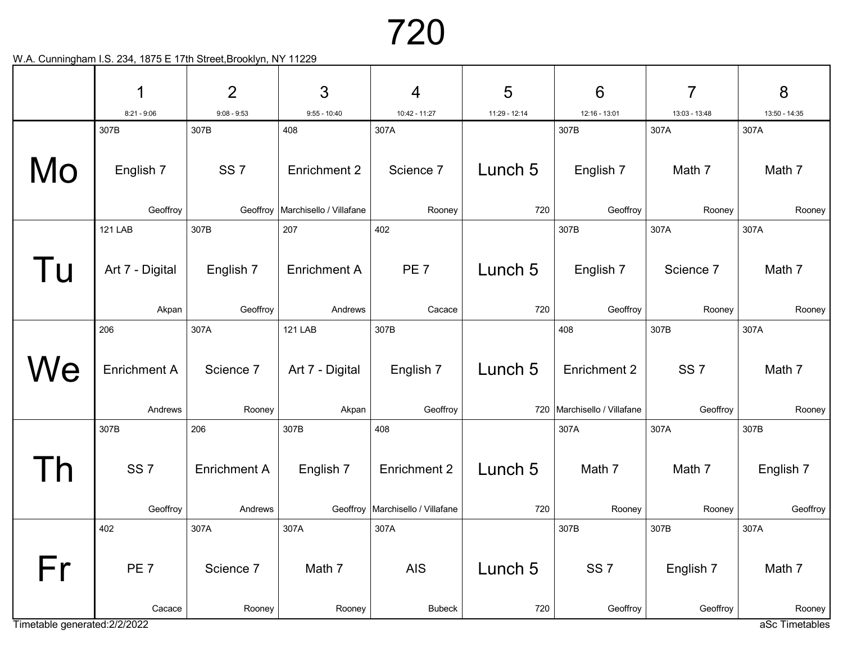|     | 1                   | $\overline{2}$        | 3                                               | $\overline{4}$                     | 5              | $6\phantom{1}6$               | $\overline{7}$  | 8             |  |  |  |  |  |
|-----|---------------------|-----------------------|-------------------------------------------------|------------------------------------|----------------|-------------------------------|-----------------|---------------|--|--|--|--|--|
|     | $8:21 - 9:06$       | $9:08 - 9:53$         | $9:55 - 10:40$                                  | 10:42 - 11:27                      | 11:29 - 12:14  | 12:16 - 13:01                 | 13:03 - 13:48   | 13:50 - 14:35 |  |  |  |  |  |
|     | 307B                | 307B                  | 408                                             | 307A                               |                | 307B                          | 307A            | 307A          |  |  |  |  |  |
| Mo  | English 7           | SS <sub>7</sub>       | <b>Enrichment 2</b>                             | Science 7                          | Lunch 5        | English 7                     | Math 7          | Math 7        |  |  |  |  |  |
|     | Geoffroy            | Geoffroy              | Marchisello / Villafane                         | Rooney                             | 720            | Geoffroy                      | Rooney          | Rooney        |  |  |  |  |  |
|     | <b>121 LAB</b>      | 307B                  | 207                                             | 402                                |                | 307B                          | 307A            | 307A          |  |  |  |  |  |
| l u | Art 7 - Digital     | English 7<br>Geoffroy | <b>Enrichment A</b><br>Andrews                  | PE <sub>7</sub><br>Cacace          | Lunch 5<br>720 | English 7<br>Geoffroy         | Science 7       | Math 7        |  |  |  |  |  |
|     | Akpan               |                       |                                                 |                                    |                |                               | Rooney          | Rooney        |  |  |  |  |  |
|     | 206                 | 307A                  | <b>121 LAB</b>                                  | 307B                               |                | 408                           | 307B            | 307A          |  |  |  |  |  |
| Nе  | <b>Enrichment A</b> | Science 7             | Art 7 - Digital                                 | English 7                          | Lunch 5        | <b>Enrichment 2</b>           | SS <sub>7</sub> | Math 7        |  |  |  |  |  |
|     | Andrews             | Rooney                | Akpan                                           | Geoffroy                           |                | 720   Marchisello / Villafane | Geoffroy        | Rooney        |  |  |  |  |  |
|     | 307B                | 206                   | 307B                                            | 408                                |                | 307A                          | 307A            | 307B          |  |  |  |  |  |
|     | SS <sub>7</sub>     | <b>Enrichment A</b>   | English 7                                       | <b>Enrichment 2</b>                | Lunch 5        | Math 7                        | Math 7          | English 7     |  |  |  |  |  |
|     | Geoffroy            | Andrews               |                                                 | Geoffroy   Marchisello / Villafane | 720            | Rooney                        | Rooney          | Geoffroy      |  |  |  |  |  |
|     | 402                 | 307A                  | 307A                                            | 307A                               |                | 307B                          | 307B            | 307A          |  |  |  |  |  |
| Fr  | PE <sub>7</sub>     | Science 7             | Math 7                                          | AIS                                | Lunch 5        | SS <sub>7</sub>               | English 7       | Math 7        |  |  |  |  |  |
|     | Cacace              | Rooney                | Rooney                                          | <b>Bubeck</b>                      | 720            | Geoffroy                      | Geoffroy        | Rooney        |  |  |  |  |  |
|     |                     |                       | Timetable generated: 2/2/2022<br>aSc Timetables |                                    |                |                               |                 |               |  |  |  |  |  |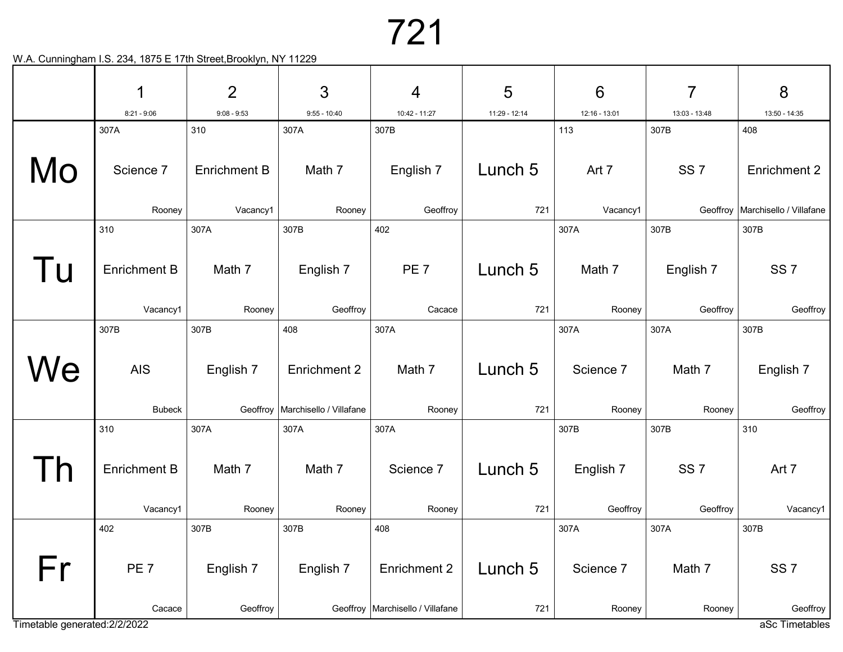|                               | 1                   | $\overline{2}$      | 3                                  | $\overline{4}$                     | 5             | $6\phantom{1}6$ | $\overline{7}$  | 8                                  |
|-------------------------------|---------------------|---------------------|------------------------------------|------------------------------------|---------------|-----------------|-----------------|------------------------------------|
|                               | $8:21 - 9:06$       | $9:08 - 9:53$       | $9:55 - 10:40$                     | 10:42 - 11:27                      | 11:29 - 12:14 | 12:16 - 13:01   | 13:03 - 13:48   | 13:50 - 14:35                      |
|                               | 307A                | 310                 | 307A                               | 307B                               |               | 113             | 307B            | 408                                |
| Mo                            | Science 7           | <b>Enrichment B</b> | Math 7                             | English 7                          | Lunch 5       | Art 7           | SS <sub>7</sub> | Enrichment 2                       |
|                               | Rooney              | Vacancy1            | Rooney                             | Geoffroy                           | 721           | Vacancy1        |                 | Geoffroy   Marchisello / Villafane |
|                               | 310                 | 307A                | 307B                               | 402                                |               | 307A            | 307B            | 307B                               |
| l U                           | <b>Enrichment B</b> | Math 7              | English 7                          | PE <sub>7</sub>                    | Lunch 5       | Math 7          | English 7       | SS <sub>7</sub>                    |
|                               | Vacancy1            | Rooney              | Geoffroy                           | Cacace                             | 721           | Rooney          | Geoffroy        | Geoffroy                           |
|                               | 307B                | 307B                | 408                                | 307A                               |               | 307A            | 307A            | 307B                               |
| We                            | <b>AIS</b>          | English 7           | <b>Enrichment 2</b>                | Math 7                             | Lunch 5       | Science 7       | Math 7          | English 7                          |
|                               | <b>Bubeck</b>       |                     | Geoffroy   Marchisello / Villafane | Rooney                             | 721           | Rooney          | Rooney          | Geoffroy                           |
|                               | 310                 | 307A                | 307A                               | 307A                               |               | 307B            | 307B            | 310                                |
|                               | <b>Enrichment B</b> | Math 7              | Math 7                             | Science 7                          | Lunch 5       | English 7       | SS <sub>7</sub> | Art 7                              |
|                               | Vacancy1            | Rooney              | Rooney                             | Rooney                             | 721           | Geoffroy        | Geoffroy        | Vacancy1                           |
|                               | 402                 | 307B                | 307B                               | 408                                |               | 307A            | 307A            | 307B                               |
| Fr                            | PE <sub>7</sub>     | English 7           | English 7                          | <b>Enrichment 2</b>                | Lunch 5       | Science 7       | Math 7          | SS <sub>7</sub>                    |
|                               | Cacace              | Geoffroy            |                                    | Geoffroy   Marchisello / Villafane | 721           | Rooney          | Rooney          | Geoffroy                           |
| Timetable generated: 2/2/2022 |                     |                     |                                    |                                    |               |                 |                 | aSc Timetables                     |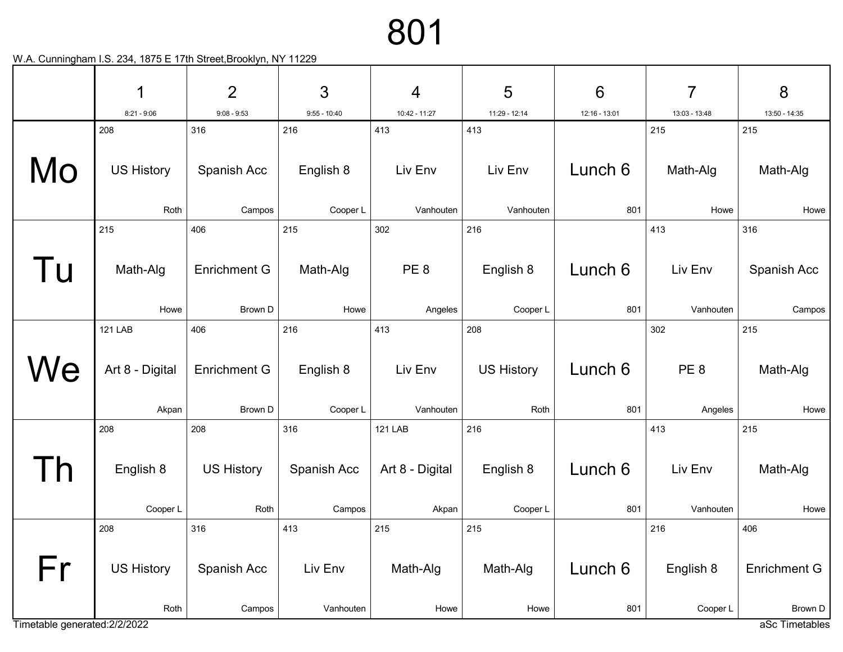|                               | 1                         | $\overline{2}$                 | 3                     | $\overline{4}$       | 5                         | $6\phantom{1}6$ | 7                          | 8                              |
|-------------------------------|---------------------------|--------------------------------|-----------------------|----------------------|---------------------------|-----------------|----------------------------|--------------------------------|
|                               | $8:21 - 9:06$             | $9:08 - 9:53$                  | $9:55 - 10:40$        | 10:42 - 11:27        | 11:29 - 12:14             | 12:16 - 13:01   | 13:03 - 13:48              | 13:50 - 14:35                  |
|                               | 208                       | 316                            | 216                   | 413                  | 413                       |                 | 215                        | 215                            |
| Mo                            | <b>US History</b>         | Spanish Acc                    | English 8             | Liv Env              | Liv Env                   | Lunch 6         | Math-Alg                   | Math-Alg                       |
|                               | Roth                      | Campos                         | Cooper L              | Vanhouten            | Vanhouten                 | 801             | Howe                       | Howe                           |
|                               | 215                       | 406                            | 215                   | 302                  | 216                       |                 | 413                        | 316                            |
| Tu                            | Math-Alg                  | <b>Enrichment G</b>            | Math-Alg              | PE <sub>8</sub>      | English 8                 | Lunch 6         | Liv Env                    | Spanish Acc                    |
|                               | Howe                      | Brown D                        | Howe                  | Angeles              | Cooper L                  | 801             | Vanhouten                  | Campos                         |
|                               | <b>121 LAB</b>            | 406                            | 216                   | 413                  | 208                       |                 | 302                        | 215                            |
| We                            | Art 8 - Digital<br>Akpan  | <b>Enrichment G</b><br>Brown D | English 8<br>Cooper L | Liv Env<br>Vanhouten | <b>US History</b><br>Roth | Lunch 6<br>801  | PE <sub>8</sub><br>Angeles | Math-Alg<br>Howe               |
|                               | 208                       | 208                            | 316                   | <b>121 LAB</b>       | 216                       |                 | 413                        | 215                            |
|                               | English 8                 | <b>US History</b>              | Spanish Acc           | Art 8 - Digital      | English 8                 | Lunch 6         | Liv Env                    | Math-Alg                       |
|                               | Cooper L                  | Roth                           | Campos                | Akpan                | Cooper L                  | 801             | Vanhouten                  | Howe                           |
|                               | 208                       | 316                            | 413                   | 215                  | 215                       |                 | 216                        | 406                            |
| Fr                            | <b>US History</b><br>Roth | Spanish Acc<br>Campos          | Liv Env<br>Vanhouten  | Math-Alg<br>Howe     | Math-Alg<br>Howe          | Lunch 6<br>801  | English 8<br>Cooper L      | <b>Enrichment G</b><br>Brown D |
| Timetable generated: 2/2/2022 |                           |                                |                       |                      |                           |                 |                            | aSc Timetables                 |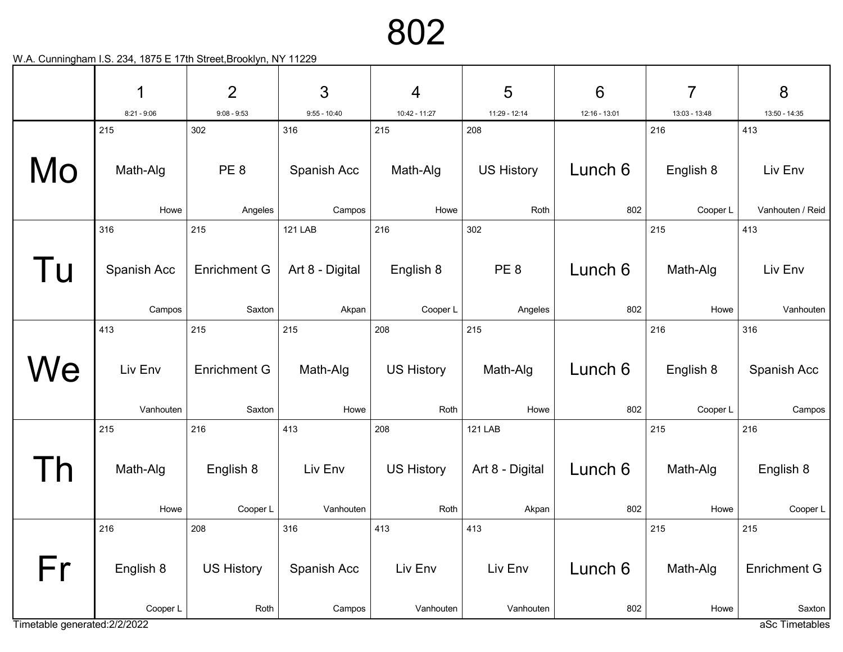|                               | 1             | $\overline{2}$                | 3                        | $\overline{4}$    | 5                 | $6\phantom{1}6$ | 7                | 8                    |
|-------------------------------|---------------|-------------------------------|--------------------------|-------------------|-------------------|-----------------|------------------|----------------------|
|                               | $8:21 - 9:06$ | $9:08 - 9:53$                 | $9:55 - 10:40$           | 10:42 - 11:27     | 11:29 - 12:14     | 12:16 - 13:01   | 13:03 - 13:48    | 13:50 - 14:35        |
|                               | 215           | 302                           | 316                      | 215               | 208               |                 | 216              | 413                  |
| Mo                            | Math-Alg      | PE <sub>8</sub>               | Spanish Acc              | Math-Alg          | <b>US History</b> | Lunch 6         | English 8        | Liv Env              |
|                               | Howe          | Angeles                       | Campos                   | Howe              | Roth              | 802             | Cooper L         | Vanhouten / Reid     |
|                               | 316           | 215                           | <b>121 LAB</b>           | 216               | 302               |                 | 215              | 413                  |
| Tu                            | Spanish Acc   | <b>Enrichment G</b><br>Saxton | Art 8 - Digital<br>Akpan | English 8         | PE <sub>8</sub>   | Lunch 6<br>802  | Math-Alg<br>Howe | Liv Env<br>Vanhouten |
|                               | Campos        |                               |                          | Cooper L          | Angeles           |                 |                  |                      |
|                               | 413           | 215                           | 215                      | 208               | 215               |                 | 216              | 316                  |
| We                            | Liv Env       | <b>Enrichment G</b>           | Math-Alg                 | <b>US History</b> | Math-Alg          | Lunch 6         | English 8        | Spanish Acc          |
|                               | Vanhouten     | Saxton                        | Howe                     | Roth              | Howe              | 802             | Cooper L         | Campos               |
|                               | 215           | 216                           | 413                      | 208               | <b>121 LAB</b>    |                 | 215              | 216                  |
|                               | Math-Alg      | English 8                     | Liv Env                  | <b>US History</b> | Art 8 - Digital   | Lunch 6         | Math-Alg         | English 8            |
|                               | Howe          | Cooper L                      | Vanhouten                | Roth              | Akpan             | 802             | Howe             | Cooper L             |
|                               | 216           | 208                           | 316                      | 413               | 413               |                 | 215              | 215                  |
| Fr                            | English 8     | <b>US History</b>             | Spanish Acc              | Liv Env           | Liv Env           | Lunch 6         | Math-Alg         | <b>Enrichment G</b>  |
|                               | Cooper L      | Roth                          | Campos                   | Vanhouten         | Vanhouten         | 802             | Howe             | Saxton               |
| Timetable generated: 2/2/2022 |               |                               |                          |                   |                   |                 |                  | aSc Timetables       |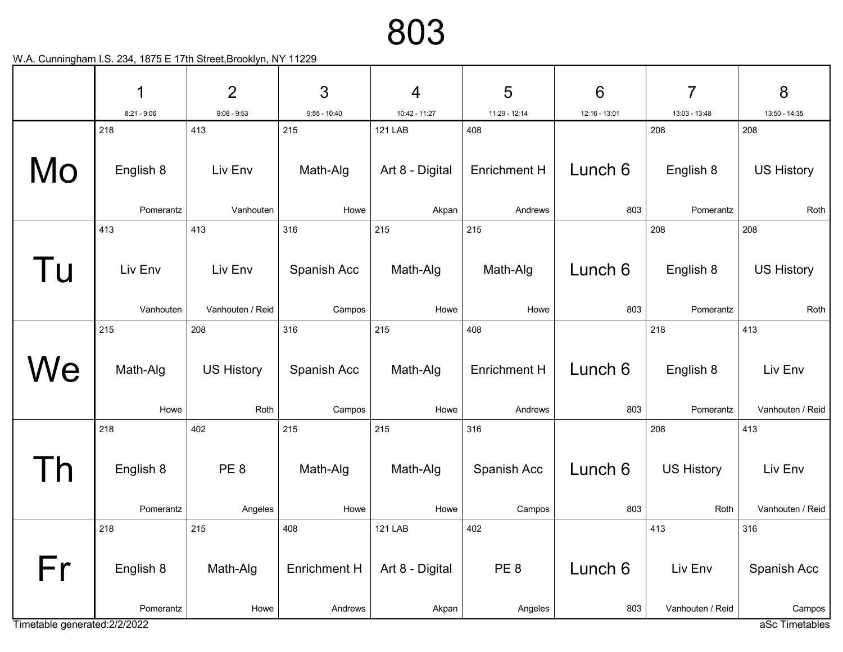|                               | 1                    | $\overline{2}$       | 3                     | $\overline{4}$                  | 5                    | $6\phantom{1}6$ | 7                    | 8                        |
|-------------------------------|----------------------|----------------------|-----------------------|---------------------------------|----------------------|-----------------|----------------------|--------------------------|
|                               | $8:21 - 9:06$<br>218 | $9:08 - 9:53$<br>413 | $9:55 - 10:40$<br>215 | 10:42 - 11:27<br><b>121 LAB</b> | 11:29 - 12:14<br>408 | 12:16 - 13:01   | 13:03 - 13:48<br>208 | 13:50 - 14:35<br>208     |
|                               |                      |                      |                       |                                 |                      |                 |                      |                          |
| Mo                            | English 8            | Liv Env              | Math-Alg              | Art 8 - Digital                 | <b>Enrichment H</b>  | Lunch 6         | English 8            | <b>US History</b>        |
|                               | Pomerantz            | Vanhouten            | Howe                  | Akpan                           | Andrews              | 803             | Pomerantz            | Roth                     |
|                               | 413                  | 413                  | 316                   | 215                             | 215                  |                 | 208                  | 208                      |
| l u                           | Liv Env              | Liv Env              | Spanish Acc           | Math-Alg                        | Math-Alg             | Lunch 6         | English 8            | <b>US History</b>        |
|                               | Vanhouten            | Vanhouten / Reid     | Campos                | Howe                            | Howe                 | 803             | Pomerantz            | Roth                     |
|                               | 215                  | 208                  | 316                   | 215                             | 408                  |                 | 218                  | 413                      |
| We                            | Math-Alg             | <b>US History</b>    | Spanish Acc           | Math-Alg                        | <b>Enrichment H</b>  | Lunch 6         | English 8            | Liv Env                  |
|                               | Howe                 | Roth                 | Campos                | Howe                            | Andrews              | 803             | Pomerantz            | Vanhouten / Reid         |
|                               | 218                  | 402                  | 215                   | 215                             | 316                  |                 | 208                  | 413                      |
|                               | English 8            | PE <sub>8</sub>      | Math-Alg              | Math-Alg                        | Spanish Acc          | Lunch 6         | <b>US History</b>    | Liv Env                  |
|                               | Pomerantz            | Angeles              | Howe                  | Howe                            | Campos               | 803             | Roth                 | Vanhouten / Reid         |
|                               | 218                  | 215                  | 408                   | <b>121 LAB</b>                  | 402                  |                 | 413                  | 316                      |
| Fr                            | English 8            | Math-Alg             | <b>Enrichment H</b>   | Art 8 - Digital                 | PE <sub>8</sub>      | Lunch 6         | Liv Env              | Spanish Acc              |
| Timetable generated: 2/2/2022 | Pomerantz            | Howe                 | Andrews               | Akpan                           | Angeles              | 803             | Vanhouten / Reid     | Campos<br>aSc Timetables |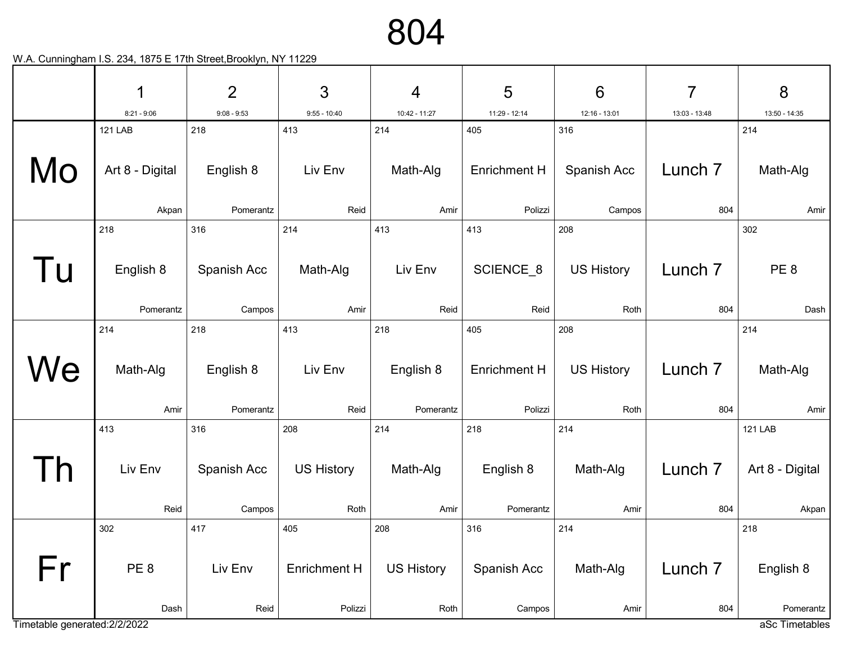804

|                               | 1                      | $\overline{2}$         | 3                   | $\overline{4}$         | 5                              | $6\phantom{1}6$           | $\overline{7}$            | 8                           |
|-------------------------------|------------------------|------------------------|---------------------|------------------------|--------------------------------|---------------------------|---------------------------|-----------------------------|
|                               | $8:21 - 9:06$          | $9:08 - 9:53$          | $9:55 - 10:40$      | 10:42 - 11:27          | 11:29 - 12:14                  | 12:16 - 13:01             | 13:03 - 13:48             | 13:50 - 14:35               |
|                               | <b>121 LAB</b>         | 218                    | 413                 | 214                    | 405                            | 316                       |                           | 214                         |
| Mo                            | Art 8 - Digital        | English 8              | Liv Env             | Math-Alg               | <b>Enrichment H</b>            | Spanish Acc               | Lunch <sub>7</sub>        | Math-Alg                    |
|                               | Akpan                  | Pomerantz              | Reid                | Amir                   | Polizzi                        | Campos                    | 804                       | Amir                        |
|                               | 218                    | 316                    | 214                 | 413                    | 413                            | 208                       |                           | 302                         |
| l u                           | English 8<br>Pomerantz | Spanish Acc<br>Campos  | Math-Alg<br>Amir    | Liv Env<br>Reid        | SCIENCE_8<br>Reid              | <b>US History</b><br>Roth | Lunch <sub>7</sub><br>804 | PE <sub>8</sub><br>Dash     |
|                               | 214                    | 218                    | 413                 | 218                    | 405                            | 208                       |                           | 214                         |
| We                            | Math-Alg<br>Amir       | English 8<br>Pomerantz | Liv Env<br>Reid     | English 8<br>Pomerantz | <b>Enrichment H</b><br>Polizzi | <b>US History</b><br>Roth | Lunch <sub>7</sub><br>804 | Math-Alg<br>Amir            |
|                               | 413                    | 316                    | 208                 | 214                    | 218                            | 214                       |                           | <b>121 LAB</b>              |
|                               | Liv Env                | Spanish Acc            | <b>US History</b>   | Math-Alg               | English 8                      | Math-Alg                  | Lunch <sub>7</sub>        | Art 8 - Digital             |
|                               | Reid                   | Campos                 | Roth                | Amir                   | Pomerantz                      | Amir                      | 804                       | Akpan                       |
|                               | 302                    | 417                    | 405                 | 208                    | 316                            | 214                       |                           | 218                         |
| Fr                            | PE <sub>8</sub>        | Liv Env                | <b>Enrichment H</b> | <b>US History</b>      | Spanish Acc                    | Math-Alg                  | Lunch <sub>7</sub>        | English 8                   |
|                               |                        |                        |                     |                        |                                |                           |                           |                             |
| Timetable generated: 2/2/2022 | Dash                   | Reid                   | Polizzi             | Roth                   | Campos                         | Amir                      | 804                       | Pomerantz<br>aSc Timetables |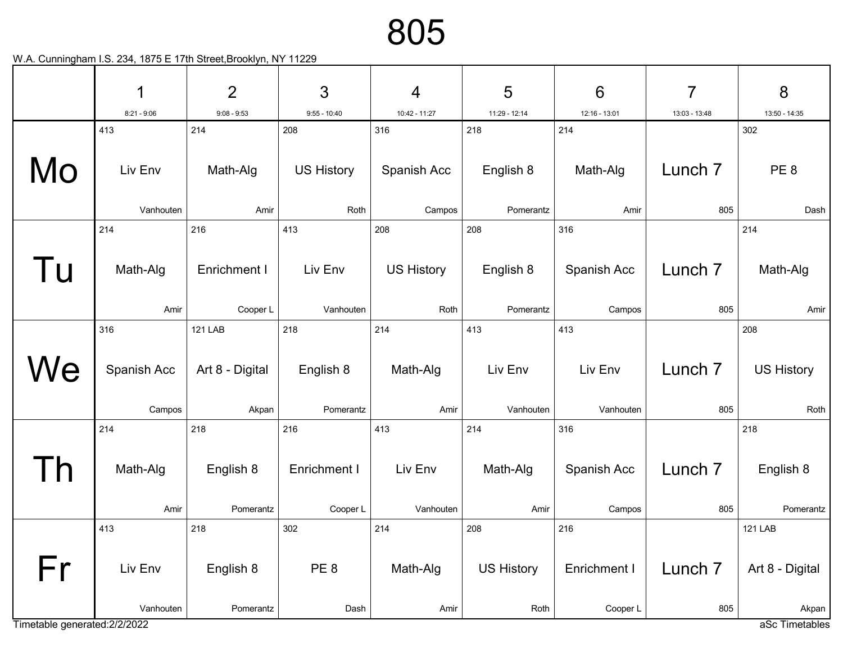|                               | 1             | $\overline{2}$  | 3                 | $\overline{4}$    | 5                 | $6\phantom{1}6$ | 7                  | 8                       |
|-------------------------------|---------------|-----------------|-------------------|-------------------|-------------------|-----------------|--------------------|-------------------------|
|                               | $8:21 - 9:06$ | $9:08 - 9:53$   | $9:55 - 10:40$    | 10:42 - 11:27     | 11:29 - 12:14     | 12:16 - 13:01   | 13:03 - 13:48      | 13:50 - 14:35           |
|                               | 413           | 214             | 208               | 316               | 218               | 214             |                    | 302                     |
| Mo                            | Liv Env       | Math-Alg        | <b>US History</b> | Spanish Acc       | English 8         | Math-Alg        | Lunch <sub>7</sub> | PE <sub>8</sub>         |
|                               | Vanhouten     | Amir            | Roth              | Campos            | Pomerantz         | Amir            | 805                | Dash                    |
|                               | 214           | 216             | 413               | 208               | 208               | 316             |                    | 214                     |
| l u                           | Math-Alg      | Enrichment I    | Liv Env           | <b>US History</b> | English 8         | Spanish Acc     | Lunch <sub>7</sub> | Math-Alg                |
|                               | Amir          | Cooper L        | Vanhouten         | Roth              | Pomerantz         | Campos          | 805                | Amir                    |
|                               | 316           | <b>121 LAB</b>  | 218               | 214               | 413               | 413             |                    | 208                     |
| We                            | Spanish Acc   | Art 8 - Digital | English 8         | Math-Alg          | Liv Env           | Liv Env         | Lunch <sub>7</sub> | <b>US History</b>       |
|                               | Campos        | Akpan           | Pomerantz         | Amir              | Vanhouten         | Vanhouten       | 805                | Roth                    |
|                               | 214           | 218             | 216               | 413               | 214               | 316             |                    | 218                     |
|                               | Math-Alg      | English 8       | Enrichment I      | Liv Env           | Math-Alg          | Spanish Acc     | Lunch 7            | English 8               |
|                               | Amir          | Pomerantz       | Cooper L          | Vanhouten         | Amir              | Campos          | 805                | Pomerantz               |
|                               | 413           | 218             | 302               | 214               | 208               | 216             |                    | <b>121 LAB</b>          |
| Fr                            | Liv Env       | English 8       | PE <sub>8</sub>   | Math-Alg          | <b>US History</b> | Enrichment I    | Lunch <sub>7</sub> | Art 8 - Digital         |
| Timetable generated: 2/2/2022 | Vanhouten     | Pomerantz       | Dash              | Amir              | Roth              | Cooper L        | 805                | Akpan<br>aSc Timetables |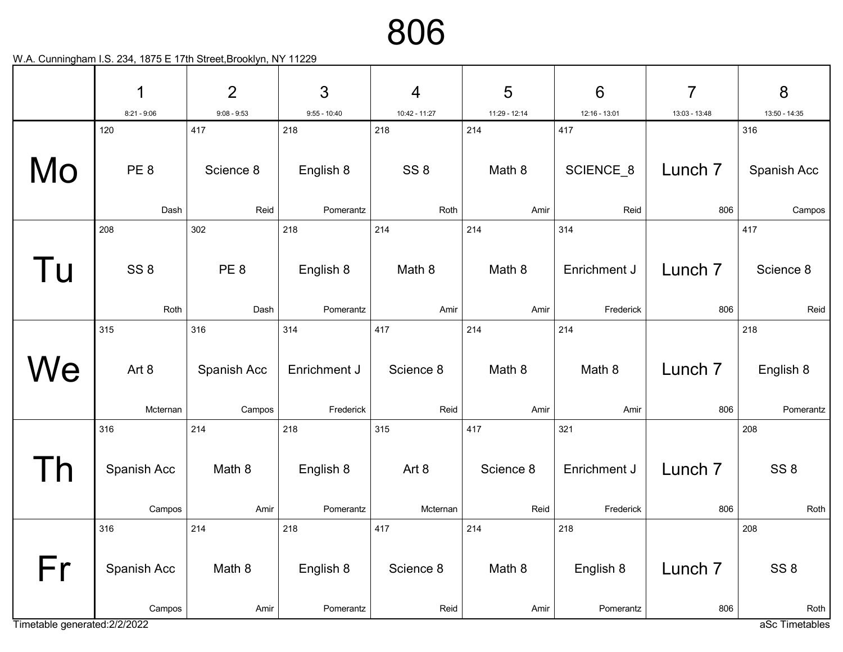|                               | 1               | $\overline{2}$  | 3              | $\overline{4}$  | 5             | $6\phantom{1}6$ | $\overline{7}$     | 8               |
|-------------------------------|-----------------|-----------------|----------------|-----------------|---------------|-----------------|--------------------|-----------------|
|                               | $8:21 - 9:06$   | $9:08 - 9:53$   | $9:55 - 10:40$ | 10:42 - 11:27   | 11:29 - 12:14 | 12:16 - 13:01   | 13:03 - 13:48      | 13:50 - 14:35   |
|                               | 120             | 417             | 218            | 218             | 214           | 417             |                    | 316             |
| Mo                            | PE <sub>8</sub> | Science 8       | English 8      | SS <sub>8</sub> | Math 8        | SCIENCE_8       | Lunch <sub>7</sub> | Spanish Acc     |
|                               | Dash            | Reid            | Pomerantz      | Roth            | Amir          | Reid            | 806                | Campos          |
|                               | 208             | 302             | 218            | 214             | 214           | 314             |                    | 417             |
| l u                           | SS <sub>8</sub> | PE <sub>8</sub> | English 8      | Math 8          | Math 8        | Enrichment J    | Lunch <sub>7</sub> | Science 8       |
|                               | Roth            | Dash            | Pomerantz      | Amir            | Amir          | Frederick       | 806                | Reid            |
|                               | 315             | 316             | 314            | 417             | 214           | 214             |                    | 218             |
| We                            | Art 8           | Spanish Acc     | Enrichment J   | Science 8       | Math 8        | Math 8          | Lunch <sub>7</sub> | English 8       |
|                               | Mcternan        | Campos          | Frederick      | Reid            | Amir          | Amir            | 806                | Pomerantz       |
|                               | 316             | 214             | 218            | 315             | 417           | 321             |                    | 208             |
|                               | Spanish Acc     | Math 8          | English 8      | Art 8           | Science 8     | Enrichment J    | Lunch <sub>7</sub> | SS <sub>8</sub> |
|                               | Campos          | Amir            | Pomerantz      | Mcternan        | Reid          | Frederick       | 806                | Roth            |
|                               | 316             | 214             | 218            | 417             | 214           | 218             |                    | 208             |
| Fr                            | Spanish Acc     | Math 8          | English 8      | Science 8       | Math 8        | English 8       | Lunch <sub>7</sub> | SS <sub>8</sub> |
|                               | Campos          | Amir            | Pomerantz      | Reid            | Amir          | Pomerantz       | 806                | Roth            |
| Timetable generated: 2/2/2022 |                 |                 |                |                 |               |                 |                    | aSc Timetables  |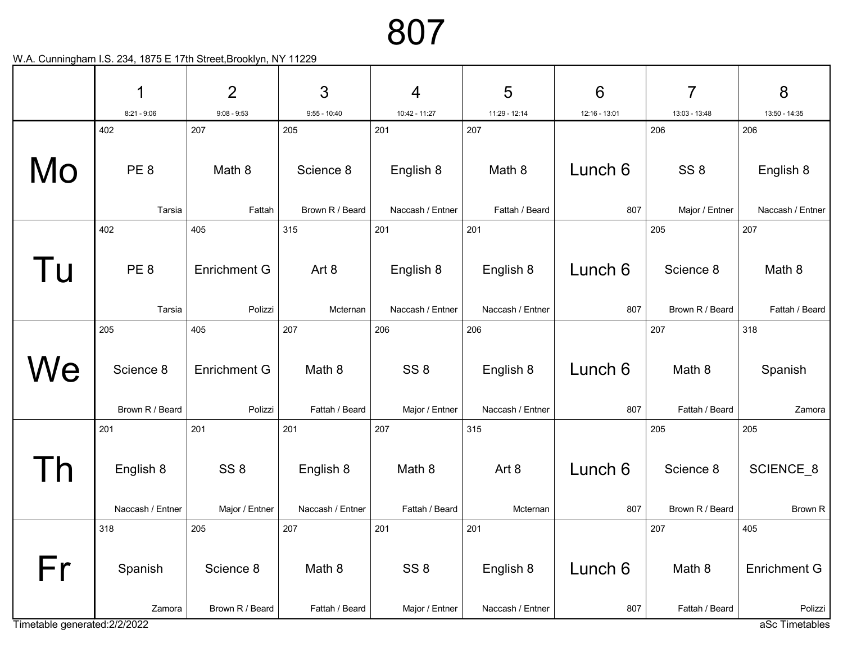|                               | 1                | $\overline{2}$      | $\mathfrak{S}$   | 4                | 5                | 6             | 7               | 8                         |
|-------------------------------|------------------|---------------------|------------------|------------------|------------------|---------------|-----------------|---------------------------|
|                               | $8:21 - 9:06$    | $9:08 - 9:53$       | $9:55 - 10:40$   | 10:42 - 11:27    | 11:29 - 12:14    | 12:16 - 13:01 | 13:03 - 13:48   | 13:50 - 14:35             |
|                               | 402              | 207                 | 205              | 201              | 207              |               | 206             | 206                       |
| Mo                            | PE <sub>8</sub>  | Math 8              | Science 8        | English 8        | Math 8           | Lunch 6       | SS <sub>8</sub> | English 8                 |
|                               | Tarsia           | Fattah              | Brown R / Beard  | Naccash / Entner | Fattah / Beard   | 807           | Major / Entner  | Naccash / Entner          |
|                               | 402              | 405                 | 315              | 201              | 201              |               | 205             | 207                       |
| l U                           | PE <sub>8</sub>  | <b>Enrichment G</b> | Art 8            | English 8        | English 8        | Lunch 6       | Science 8       | Math 8                    |
|                               | Tarsia           | Polizzi             | Mcternan         | Naccash / Entner | Naccash / Entner | 807           | Brown R / Beard | Fattah / Beard            |
|                               | 205              | 405                 | 207              | 206              | 206              |               | 207             | 318                       |
| We                            | Science 8        | <b>Enrichment G</b> | Math 8           | SS <sub>8</sub>  | English 8        | Lunch 6       | Math 8          | Spanish                   |
|                               | Brown R / Beard  | Polizzi             | Fattah / Beard   | Major / Entner   | Naccash / Entner | 807           | Fattah / Beard  | Zamora                    |
|                               | 201              | 201                 | 201              | 207              | 315              |               | 205             | 205                       |
|                               | English 8        | SS <sub>8</sub>     | English 8        | Math 8           | Art 8            | Lunch 6       | Science 8       | SCIENCE <sub>8</sub>      |
|                               | Naccash / Entner | Major / Entner      | Naccash / Entner | Fattah / Beard   | Mcternan         | 807           | Brown R / Beard | Brown R                   |
|                               | 318              | 205                 | 207              | 201              | 201              |               | 207             | 405                       |
| Fr                            | Spanish          | Science 8           | Math 8           | SS <sub>8</sub>  | English 8        | Lunch 6       | Math 8          | <b>Enrichment G</b>       |
| Timetable generated: 2/2/2022 | Zamora           | Brown R / Beard     | Fattah / Beard   | Major / Entner   | Naccash / Entner | 807           | Fattah / Beard  | Polizzi<br>aSc Timetables |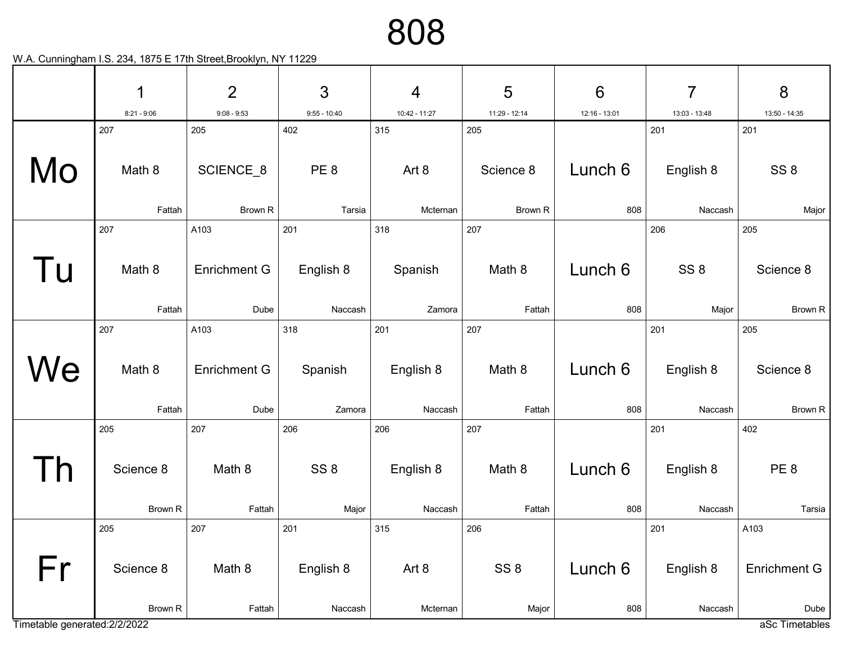|                               | 1             | $\overline{2}$      | $\mathfrak{S}$         | $\overline{4}$ | 5                | $6\phantom{1}6$ | 7                | 8                      |
|-------------------------------|---------------|---------------------|------------------------|----------------|------------------|-----------------|------------------|------------------------|
|                               | $8:21 - 9:06$ | $9:08 - 9:53$       | $9:55 - 10:40$         | 10:42 - 11:27  | 11:29 - 12:14    | 12:16 - 13:01   | 13:03 - 13:48    | 13:50 - 14:35          |
| Mo                            | 207<br>Math 8 | 205<br>SCIENCE_8    | 402<br>PE <sub>8</sub> | 315<br>Art 8   | 205<br>Science 8 | Lunch 6         | 201<br>English 8 | 201<br>SS <sub>8</sub> |
|                               | Fattah        | Brown R             | Tarsia                 | Mcternan       | Brown R          | 808             | Naccash          | Major                  |
|                               | 207           | A103                | 201                    | 318            | 207              |                 | 206              | 205                    |
| l u                           | Math 8        | <b>Enrichment G</b> | English 8              | Spanish        | Math 8           | Lunch 6         | SS <sub>8</sub>  | Science 8              |
|                               | Fattah        | Dube                | Naccash                | Zamora         | Fattah           | 808             | Major            | Brown R                |
|                               | 207           | A103                | 318                    | 201            | 207              |                 | 201              | 205                    |
| We                            | Math 8        | <b>Enrichment G</b> | Spanish                | English 8      | Math 8           | Lunch 6         | English 8        | Science 8              |
|                               | Fattah        | Dube                | Zamora                 | Naccash        | Fattah           | 808             | Naccash          | Brown R                |
|                               | 205           | 207                 | 206                    | 206            | 207              |                 | 201              | 402                    |
|                               | Science 8     | Math 8              | SS <sub>8</sub>        | English 8      | Math 8           | Lunch 6         | English 8        | PE <sub>8</sub>        |
|                               | Brown R       | Fattah              | Major                  | Naccash        | Fattah           | 808             | Naccash          | Tarsia                 |
|                               | 205           | 207                 | 201                    | 315            | 206              |                 | 201              | A103                   |
| Fr                            | Science 8     | Math 8              | English 8              | Art 8          | SS <sub>8</sub>  | Lunch 6         | English 8        | <b>Enrichment G</b>    |
| Timetable generated: 2/2/2022 | Brown R       | Fattah              | Naccash                | Mcternan       | Major            | 808             | Naccash          | Dube<br>aSc Timetables |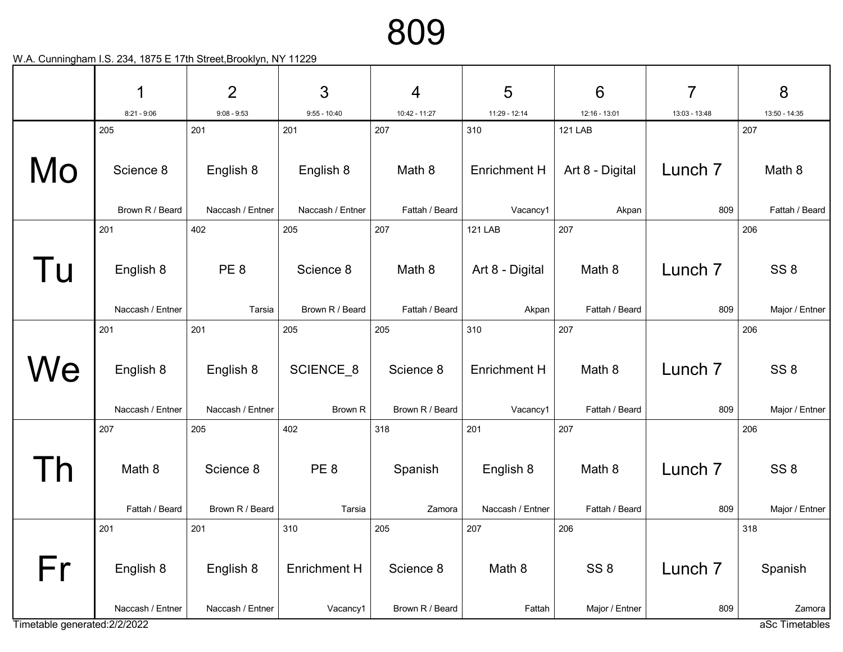|                               | 1                             | $\overline{2}$                | 3                               | $\overline{4}$               | 5                             | $6\phantom{1}6$                   | 7                         | 8                                 |
|-------------------------------|-------------------------------|-------------------------------|---------------------------------|------------------------------|-------------------------------|-----------------------------------|---------------------------|-----------------------------------|
|                               | $8:21 - 9:06$                 | $9:08 - 9:53$                 | $9:55 - 10:40$                  | 10:42 - 11:27                | 11:29 - 12:14                 | 12:16 - 13:01                     | 13:03 - 13:48             | 13:50 - 14:35                     |
| Mo                            | 205<br>Science 8              | 201<br>English 8              | 201<br>English 8                | 207<br>Math 8                | 310<br><b>Enrichment H</b>    | <b>121 LAB</b><br>Art 8 - Digital | Lunch <sub>7</sub>        | 207<br>Math 8                     |
|                               | Brown R / Beard               | Naccash / Entner              | Naccash / Entner                | Fattah / Beard               | Vacancy1                      | Akpan                             | 809                       | Fattah / Beard                    |
|                               | 201                           | 402                           | 205                             | 207                          | <b>121 LAB</b>                | 207                               |                           | 206                               |
| l u                           | English 8                     | PE <sub>8</sub>               | Science 8                       | Math 8                       | Art 8 - Digital               | Math 8                            | Lunch <sub>7</sub>        | SS <sub>8</sub>                   |
|                               | Naccash / Entner              | Tarsia                        | Brown R / Beard                 | Fattah / Beard               | Akpan                         | Fattah / Beard                    | 809                       | Major / Entner                    |
|                               | 201                           | 201                           | 205                             | 205                          | 310                           | 207                               |                           | 206                               |
| We                            | English 8<br>Naccash / Entner | English 8<br>Naccash / Entner | SCIENCE_8<br>Brown R            | Science 8<br>Brown R / Beard | Enrichment H<br>Vacancy1      | Math 8<br>Fattah / Beard          | Lunch <sub>7</sub><br>809 | SS <sub>8</sub><br>Major / Entner |
|                               | 207                           | 205                           | 402                             | 318                          | 201                           | 207                               |                           | 206                               |
|                               | Math 8<br>Fattah / Beard      | Science 8<br>Brown R / Beard  | PE <sub>8</sub><br>Tarsia       | Spanish<br>Zamora            | English 8<br>Naccash / Entner | Math 8<br>Fattah / Beard          | Lunch <sub>7</sub><br>809 | SS <sub>8</sub><br>Major / Entner |
|                               | 201                           | 201                           | 310                             | 205                          | 207                           | 206                               |                           | 318                               |
| Fr                            | English 8<br>Naccash / Entner | English 8<br>Naccash / Entner | <b>Enrichment H</b><br>Vacancy1 | Science 8<br>Brown R / Beard | Math 8<br>Fattah              | SS <sub>8</sub><br>Major / Entner | Lunch <sub>7</sub><br>809 | Spanish<br>Zamora                 |
| Timetable generated: 2/2/2022 |                               |                               |                                 |                              |                               |                                   |                           | aSc Timetables                    |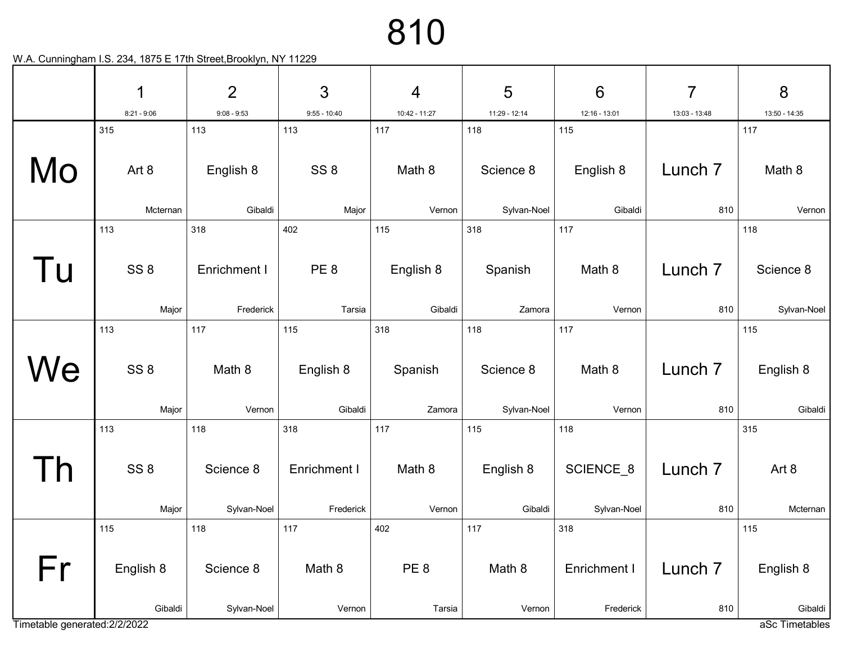|                               |     | 1               | $\overline{2}$      | 3               | $\overline{4}$  | 5             | $6\phantom{1}6$ | $\overline{7}$     | 8              |
|-------------------------------|-----|-----------------|---------------------|-----------------|-----------------|---------------|-----------------|--------------------|----------------|
|                               |     | $8:21 - 9:06$   | $9:08 - 9:53$       | $9:55 - 10:40$  | 10:42 - 11:27   | 11:29 - 12:14 | 12:16 - 13:01   | 13:03 - 13:48      | 13:50 - 14:35  |
|                               | 315 |                 | 113                 | 113             | 117             | 118           | 115             |                    | 117            |
| Mo                            |     | Art 8           | English 8           | SS <sub>8</sub> | Math 8          | Science 8     | English 8       | Lunch <sub>7</sub> | Math 8         |
|                               |     | Mcternan        | Gibaldi             | Major           | Vernon          | Sylvan-Noel   | Gibaldi         | 810                | Vernon         |
|                               | 113 |                 | 318                 | 402             | 115             | 318           | 117             |                    | 118            |
|                               |     |                 |                     |                 |                 |               |                 |                    |                |
| l U                           |     | SS <sub>8</sub> | <b>Enrichment I</b> | PE <sub>8</sub> | English 8       | Spanish       | Math 8          | Lunch <sub>7</sub> | Science 8      |
|                               |     |                 |                     |                 |                 |               |                 |                    |                |
|                               |     | Major           | Frederick           | Tarsia          | Gibaldi         | Zamora        | Vernon          | 810                | Sylvan-Noel    |
|                               | 113 |                 | 117                 | 115             | 318             | 118           | 117             |                    | 115            |
|                               |     |                 |                     |                 |                 |               |                 |                    |                |
| We                            |     | SS <sub>8</sub> | Math 8              | English 8       | Spanish         | Science 8     | Math 8          | Lunch <sub>7</sub> | English 8      |
|                               |     |                 |                     |                 |                 |               |                 |                    |                |
|                               |     | Major           | Vernon              | Gibaldi         | Zamora          | Sylvan-Noel   | Vernon          | 810                | Gibaldi        |
|                               | 113 |                 | 118                 | 318             | 117             | 115           | 118             |                    | 315            |
|                               |     |                 |                     |                 |                 |               |                 |                    |                |
|                               |     | SS <sub>8</sub> | Science 8           | Enrichment I    | Math 8          | English 8     | SCIENCE_8       | Lunch <sub>7</sub> | Art 8          |
|                               |     |                 |                     |                 |                 |               |                 |                    |                |
|                               |     | Major           | Sylvan-Noel         | Frederick       | Vernon          | Gibaldi       | Sylvan-Noel     | 810                | Mcternan       |
|                               | 115 |                 | 118                 | 117             | 402             | 117           | 318             |                    | 115            |
|                               |     |                 |                     |                 |                 |               |                 |                    |                |
| Fr                            |     | English 8       | Science 8           | Math 8          | PE <sub>8</sub> | Math 8        | Enrichment I    | Lunch <sub>7</sub> | English 8      |
|                               |     |                 |                     |                 |                 |               |                 |                    |                |
|                               |     | Gibaldi         | Sylvan-Noel         | Vernon          | Tarsia          | Vernon        | Frederick       | 810                | Gibaldi        |
| Timetable generated: 2/2/2022 |     |                 |                     |                 |                 |               |                 |                    | aSc Timetables |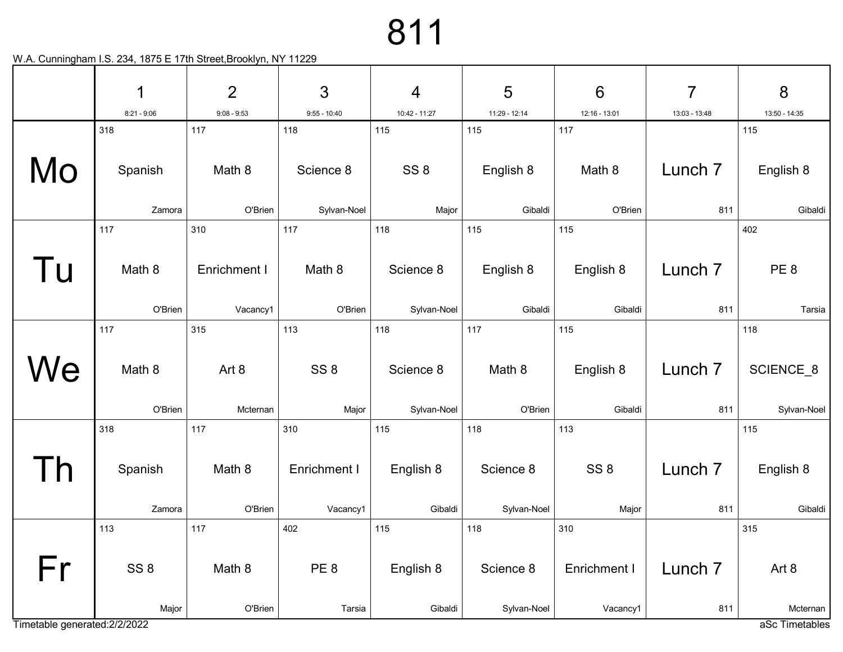|                               | 1                 | $\overline{2}$           | 3                 | $\overline{4}$           | 5                    | $6\phantom{1}6$      | 7                         | 8                         |
|-------------------------------|-------------------|--------------------------|-------------------|--------------------------|----------------------|----------------------|---------------------------|---------------------------|
|                               | $8:21 - 9:06$     | $9:08 - 9:53$            | $9:55 - 10:40$    | 10:42 - 11:27            | 11:29 - 12:14        | 12:16 - 13:01        | 13:03 - 13:48             | 13:50 - 14:35             |
|                               | 318               | 117                      | 118               | 115                      | 115                  | 117                  |                           | 115                       |
| Mo                            | Spanish           | Math 8                   | Science 8         | SS <sub>8</sub>          | English 8            | Math 8               | Lunch <sub>7</sub>        | English 8                 |
|                               | Zamora            | O'Brien                  | Sylvan-Noel       | Major                    | Gibaldi              | O'Brien              | 811                       | Gibaldi                   |
|                               | 117               | 310                      | 117               | 118                      | 115                  | 115                  |                           | 402                       |
| Tu                            | Math 8<br>O'Brien | Enrichment I<br>Vacancy1 | Math 8<br>O'Brien | Science 8<br>Sylvan-Noel | English 8<br>Gibaldi | English 8<br>Gibaldi | Lunch <sub>7</sub><br>811 | PE <sub>8</sub><br>Tarsia |
|                               |                   |                          |                   |                          |                      |                      |                           |                           |
|                               | 117               | 315                      | 113               | 118                      | 117                  | 115                  |                           | 118                       |
| We                            | Math 8            | Art 8                    | SS <sub>8</sub>   | Science 8                | Math 8               | English 8            | Lunch <sub>7</sub>        | SCIENCE_8                 |
|                               | O'Brien           | Mcternan                 | Major             | Sylvan-Noel              | O'Brien              | Gibaldi              | 811                       | Sylvan-Noel               |
|                               | 318               | 117                      | 310               | 115                      | 118                  | 113                  |                           | 115                       |
| $\overline{D}$                | Spanish           | Math 8                   | Enrichment I      | English 8                | Science 8            | SS <sub>8</sub>      | Lunch <sub>7</sub>        | English 8                 |
|                               | Zamora            | O'Brien                  | Vacancy1          | Gibaldi                  | Sylvan-Noel          | Major                | 811                       | Gibaldi                   |
|                               | 113               | 117                      | 402               | 115                      | 118                  | 310                  |                           | 315                       |
| Fr                            | SS <sub>8</sub>   | Math 8                   | PE <sub>8</sub>   | English 8                | Science 8            | Enrichment I         | Lunch <sub>7</sub>        | Art 8                     |
|                               | Major             | O'Brien                  | Tarsia            | Gibaldi                  | Sylvan-Noel          | Vacancy1             | 811                       | Mcternan                  |
| Timetable generated: 2/2/2022 |                   |                          |                   |                          |                      |                      |                           | aSc Timetables            |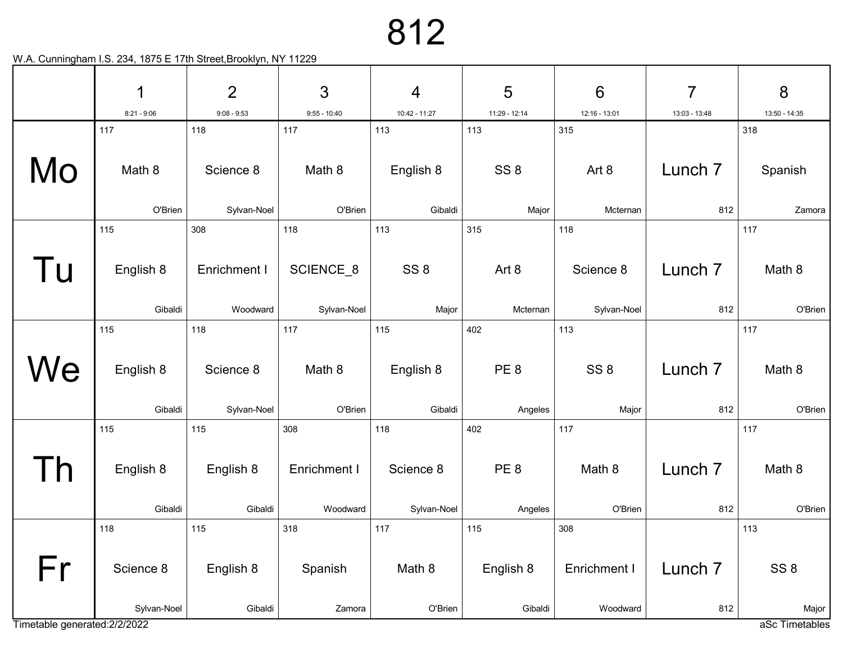|                               | 1                    | $\overline{2}$           | 3                        | $\overline{4}$           | 5                 | $6\phantom{1}6$          | $\overline{7}$            | 8                       |
|-------------------------------|----------------------|--------------------------|--------------------------|--------------------------|-------------------|--------------------------|---------------------------|-------------------------|
|                               | $8:21 - 9:06$        | $9:08 - 9:53$            | $9:55 - 10:40$           | 10:42 - 11:27            | 11:29 - 12:14     | 12:16 - 13:01            | 13:03 - 13:48             | 13:50 - 14:35           |
|                               | 117                  | 118                      | 117                      | 113                      | 113               | 315                      |                           | 318                     |
| Mo                            | Math 8               | Science 8                | Math 8                   | English 8                | SS <sub>8</sub>   | Art 8                    | Lunch <sub>7</sub>        | Spanish                 |
|                               | O'Brien              | Sylvan-Noel              | O'Brien                  | Gibaldi                  | Major             | Mcternan                 | 812                       | Zamora                  |
|                               | 115                  | 308                      | 118                      | 113                      | 315               | 118                      |                           | 117                     |
| Tu                            | English 8<br>Gibaldi | Enrichment I<br>Woodward | SCIENCE_8<br>Sylvan-Noel | SS <sub>8</sub><br>Major | Art 8<br>Mcternan | Science 8<br>Sylvan-Noel | Lunch <sub>7</sub><br>812 | Math 8<br>O'Brien       |
|                               | 115                  | 118                      | 117                      | 115                      | 402               | 113                      |                           | 117                     |
| We                            | English 8            | Science 8                | Math 8                   | English 8                | PE <sub>8</sub>   | SS <sub>8</sub>          | Lunch <sub>7</sub>        | Math 8                  |
|                               | Gibaldi              | Sylvan-Noel              | O'Brien                  | Gibaldi                  | Angeles           | Major                    | 812                       | O'Brien                 |
|                               | 115                  | 115                      | 308                      | 118                      | 402               | 117                      |                           | 117                     |
| $\overline{D}$                | English 8            | English 8                | Enrichment I             | Science 8                | PE <sub>8</sub>   | Math 8                   | Lunch <sub>7</sub>        | Math 8                  |
|                               | Gibaldi              | Gibaldi                  | Woodward                 | Sylvan-Noel              | Angeles           | O'Brien                  | 812                       | O'Brien                 |
|                               | 118                  | 115                      | 318                      | 117                      | 115               | 308                      |                           | 113                     |
| Fr                            | Science 8            | English 8                | Spanish                  | Math 8                   | English 8         | Enrichment I             | Lunch <sub>7</sub>        | SS <sub>8</sub>         |
| Timetable generated: 2/2/2022 | Sylvan-Noel          | Gibaldi                  | Zamora                   | O'Brien                  | Gibaldi           | Woodward                 | 812                       | Major<br>aSc Timetables |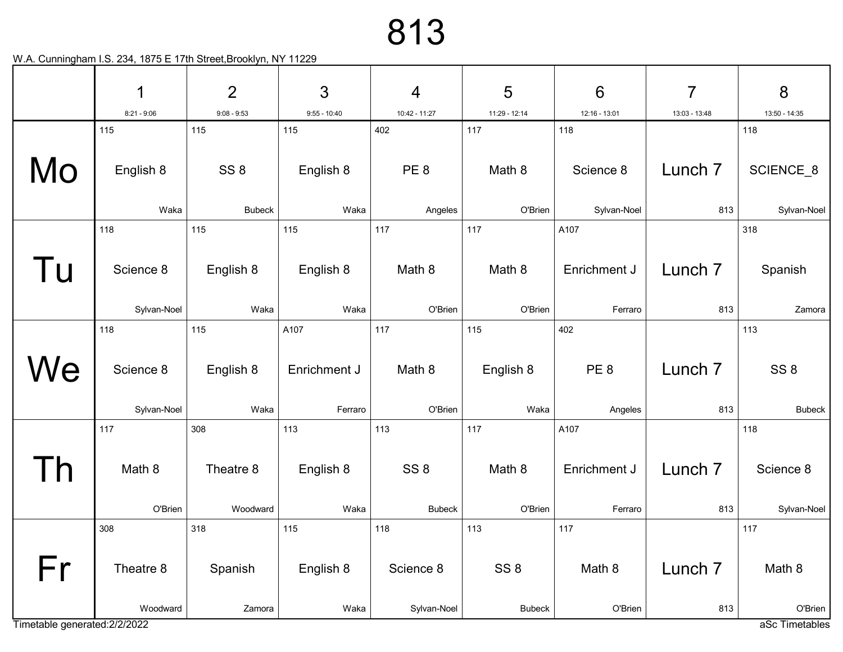|                               | 1                        | $\overline{2}$        | 3                       | $\overline{4}$                   | 5                                | $6\phantom{1}6$            | $\overline{7}$            | 8                                |
|-------------------------------|--------------------------|-----------------------|-------------------------|----------------------------------|----------------------------------|----------------------------|---------------------------|----------------------------------|
|                               | $8:21 - 9:06$            | $9:08 - 9:53$         | $9:55 - 10:40$          | 10:42 - 11:27                    | 11:29 - 12:14                    | 12:16 - 13:01              | 13:03 - 13:48             | 13:50 - 14:35                    |
|                               | 115                      | 115                   | 115                     | 402                              | 117                              | 118                        |                           | 118                              |
| Mo                            | English 8                | SS <sub>8</sub>       | English 8               | PE <sub>8</sub>                  | Math 8                           | Science 8                  | Lunch <sub>7</sub>        | SCIENCE_8                        |
|                               | Waka                     | <b>Bubeck</b>         | Waka                    | Angeles                          | O'Brien                          | Sylvan-Noel                | 813                       | Sylvan-Noel                      |
|                               | 118                      | 115                   | 115                     | 117                              | 117                              | A107                       |                           | 318                              |
| Tu                            | Science 8                | English 8             | English 8               | Math 8                           | Math 8                           | Enrichment J               | Lunch 7                   | Spanish                          |
|                               | Sylvan-Noel              | Waka                  | Waka                    | O'Brien                          | O'Brien                          | Ferraro                    | 813                       | Zamora                           |
|                               | 118                      | 115                   | A107                    | 117                              | 115                              | 402                        |                           | 113                              |
| We                            | Science 8<br>Sylvan-Noel | English 8<br>Waka     | Enrichment J<br>Ferraro | Math 8<br>O'Brien                | English 8<br>Waka                | PE <sub>8</sub><br>Angeles | Lunch <sub>7</sub><br>813 | SS <sub>8</sub><br><b>Bubeck</b> |
|                               | 117                      | 308                   | 113                     | 113                              | 117                              | A107                       |                           | 118                              |
|                               | Math 8<br>O'Brien        | Theatre 8<br>Woodward | English 8<br>Waka       | SS <sub>8</sub><br><b>Bubeck</b> | Math 8<br>O'Brien                | Enrichment J<br>Ferraro    | Lunch <sub>7</sub><br>813 | Science 8<br>Sylvan-Noel         |
|                               | 308                      | 318                   | 115                     | 118                              | 113                              | 117                        |                           | 117                              |
| Fr                            | Theatre 8<br>Woodward    | Spanish<br>Zamora     | English 8<br>Waka       | Science 8<br>Sylvan-Noel         | SS <sub>8</sub><br><b>Bubeck</b> | Math 8<br>O'Brien          | Lunch <sub>7</sub><br>813 | Math 8<br>O'Brien                |
| Timetable generated: 2/2/2022 |                          |                       |                         |                                  |                                  |                            |                           | aSc Timetables                   |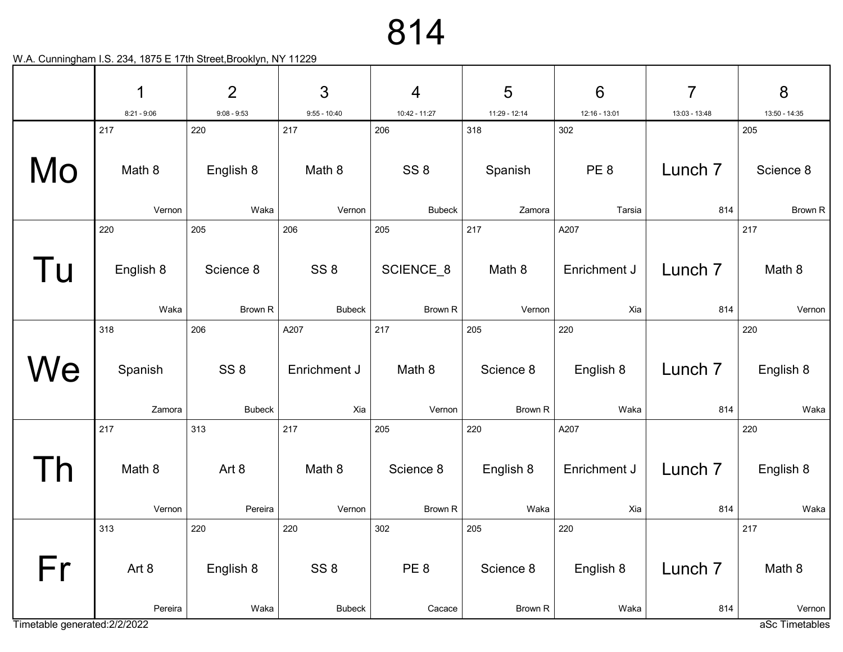|                               | 1                 | $\overline{2}$                   | 3                                | $\overline{4}$            | 5                    | $6\phantom{1}6$     | $\overline{7}$            | 8                 |
|-------------------------------|-------------------|----------------------------------|----------------------------------|---------------------------|----------------------|---------------------|---------------------------|-------------------|
|                               | $8:21 - 9:06$     | $9:08 - 9:53$                    | $9:55 - 10:40$                   | 10:42 - 11:27             | 11:29 - 12:14        | 12:16 - 13:01       | 13:03 - 13:48             | 13:50 - 14:35     |
|                               | 217               | 220                              | 217                              | 206                       | 318                  | 302                 |                           | 205               |
| Mo                            | Math 8            | English 8                        | Math 8                           | SS <sub>8</sub>           | Spanish              | PE <sub>8</sub>     | Lunch <sub>7</sub>        | Science 8         |
|                               | Vernon            | Waka                             | Vernon                           | <b>Bubeck</b>             | Zamora               | Tarsia              | 814                       | Brown R           |
|                               | 220               | 205                              | 206                              | 205                       | 217                  | A207                |                           | 217               |
| Tu                            | English 8         | Science 8                        | SS <sub>8</sub>                  | SCIENCE_8                 | Math 8               | Enrichment J        | Lunch <sub>7</sub>        | Math 8            |
|                               | Waka              | Brown R                          | <b>Bubeck</b>                    | Brown R                   | Vernon               | Xia                 | 814                       | Vernon            |
|                               | 318               | 206                              | A207                             | 217                       | 205                  | 220                 |                           | 220               |
| We                            | Spanish<br>Zamora | SS <sub>8</sub><br><b>Bubeck</b> | Enrichment J<br>Xia              | Math 8<br>Vernon          | Science 8<br>Brown R | English 8<br>Waka   | Lunch <sub>7</sub><br>814 | English 8<br>Waka |
|                               | 217               | 313                              | 217                              | 205                       | 220                  | A207                |                           | 220               |
|                               | Math 8<br>Vernon  | Art 8<br>Pereira                 | Math 8<br>Vernon                 | Science 8<br>Brown R      | English 8<br>Waka    | Enrichment J<br>Xia | Lunch <sub>7</sub><br>814 | English 8<br>Waka |
|                               | 313               | 220                              | 220                              | 302                       | 205                  | 220                 |                           | 217               |
| Fr                            | Art 8<br>Pereira  | English 8<br>Waka                | SS <sub>8</sub><br><b>Bubeck</b> | PE <sub>8</sub><br>Cacace | Science 8<br>Brown R | English 8<br>Waka   | Lunch <sub>7</sub><br>814 | Math 8<br>Vernon  |
| Timetable generated: 2/2/2022 |                   |                                  |                                  |                           |                      |                     |                           | aSc Timetables    |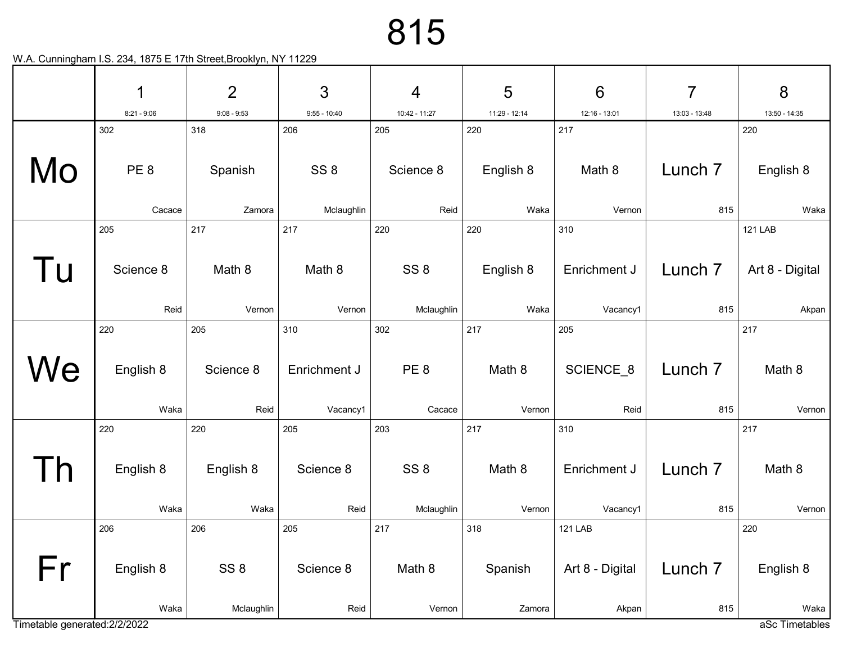|                               | 1                      | $\overline{2}$   | 3                      | $\overline{4}$         | 5                | $6\phantom{1}6$     | $\overline{7}$     | 8                      |
|-------------------------------|------------------------|------------------|------------------------|------------------------|------------------|---------------------|--------------------|------------------------|
|                               | $8:21 - 9:06$          | $9:08 - 9:53$    | $9:55 - 10:40$         | 10:42 - 11:27          | 11:29 - 12:14    | 12:16 - 13:01       | 13:03 - 13:48      | 13:50 - 14:35          |
| Mo                            | 302<br>PE <sub>8</sub> | 318<br>Spanish   | 206<br>SS <sub>8</sub> | 205<br>Science 8       | 220<br>English 8 | 217<br>Math 8       | Lunch <sub>7</sub> | 220<br>English 8       |
|                               | Cacace                 | Zamora           | Mclaughlin             | Reid                   | Waka             | Vernon              | 815                | Waka                   |
|                               | 205                    | 217              | 217                    | 220                    | 220              | 310                 |                    | <b>121 LAB</b>         |
| Tu                            | Science 8              | Math 8           | Math 8                 | SS <sub>8</sub>        | English 8        | Enrichment J        | Lunch <sub>7</sub> | Art 8 - Digital        |
|                               | Reid                   | Vernon           | Vernon                 | Mclaughlin             | Waka             | Vacancy1            | 815                | Akpan                  |
|                               | 220                    | 205              | 310                    | 302                    | 217              | 205                 |                    | 217                    |
| We                            | English 8              | Science 8        | Enrichment J           | PE <sub>8</sub>        | Math 8           | SCIENCE_8           | Lunch <sub>7</sub> | Math 8                 |
|                               | Waka                   | Reid             | Vacancy1               | Cacace                 | Vernon           | Reid                | 815                | Vernon                 |
| $\mathsf{D}$                  | 220<br>English 8       | 220<br>English 8 | 205<br>Science 8       | 203<br>SS <sub>8</sub> | 217<br>Math 8    | 310<br>Enrichment J | Lunch <sub>7</sub> | 217<br>Math 8          |
|                               | Waka                   | Waka             | Reid                   | Mclaughlin             | Vernon           | Vacancy1            | 815                | Vernon                 |
|                               | 206                    | 206              | 205                    | 217                    | 318              | <b>121 LAB</b>      |                    | 220                    |
| Fr                            | English 8              | SS <sub>8</sub>  | Science 8              | Math 8                 | Spanish          | Art 8 - Digital     | Lunch <sub>7</sub> | English 8              |
| Timetable generated: 2/2/2022 | Waka                   | Mclaughlin       | Reid                   | Vernon                 | Zamora           | Akpan               | 815                | Waka<br>aSc Timetables |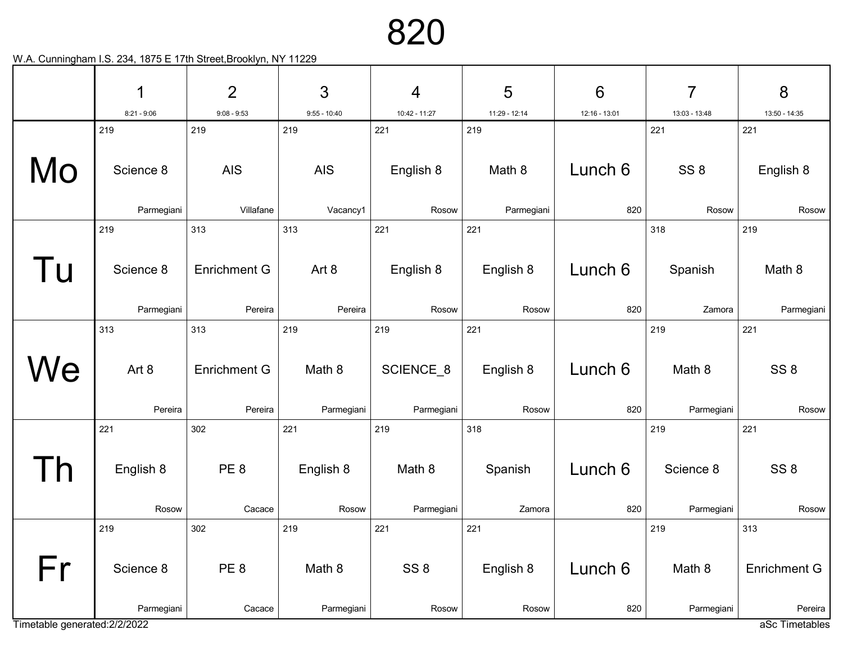| $\overline{2}$<br>3<br>1<br>$\overline{4}$                                   | 5             | $6\phantom{1}6$ | 7               | 8                         |
|------------------------------------------------------------------------------|---------------|-----------------|-----------------|---------------------------|
| $8:21 - 9:06$<br>$9:08 - 9:53$<br>$9:55 - 10:40$<br>10:42 - 11:27            | 11:29 - 12:14 | 12:16 - 13:01   | 13:03 - 13:48   | 13:50 - 14:35             |
| 219<br>219<br>219<br>221                                                     | 219           |                 | 221             | 221                       |
| Mo<br>Science 8<br><b>AIS</b><br><b>AIS</b><br>English 8                     | Math 8        | Lunch 6         | SS <sub>8</sub> | English 8                 |
| Parmegiani<br>Villafane<br>Vacancy1<br>Rosow                                 | Parmegiani    | 820             | Rosow           | Rosow                     |
| 219<br>313<br>313<br>221                                                     | 221           |                 | 318             | 219                       |
| l u<br>English 8<br>Science 8<br><b>Enrichment G</b><br>Art 8                | English 8     | Lunch 6         | Spanish         | Math 8                    |
| Pereira<br>Pereira<br>Parmegiani<br>Rosow                                    | Rosow         | 820             | Zamora          | Parmegiani                |
| 313<br>313<br>219<br>219                                                     | 221           |                 | 219             | 221                       |
| We<br>SCIENCE_8<br>Art 8<br><b>Enrichment G</b><br>Math 8                    | English 8     | Lunch 6         | Math 8          | SS <sub>8</sub>           |
| Pereira<br>Pereira<br>Parmegiani<br>Parmegiani                               | Rosow         | 820             | Parmegiani      | Rosow                     |
| 302<br>221<br>219<br>221                                                     | 318           |                 | 219             | 221                       |
| PE <sub>8</sub><br>English 8<br>Math 8<br>English 8                          | Spanish       | Lunch 6         | Science 8       | SS <sub>8</sub>           |
| Rosow<br>Parmegiani<br>Rosow<br>Cacace                                       | Zamora        | 820             | Parmegiani      | Rosow                     |
| 219<br>302<br>219<br>221                                                     | 221           |                 | 219             | 313                       |
| Fr<br>PE8<br>SS <sub>8</sub><br>Math 8<br>Science 8                          | English 8     | Lunch 6         | Math 8          | <b>Enrichment G</b>       |
| Parmegiani<br>Cacace<br>Parmegiani<br>Rosow<br>Timetable generated: 2/2/2022 | Rosow         | 820             | Parmegiani      | Pereira<br>aSc Timetables |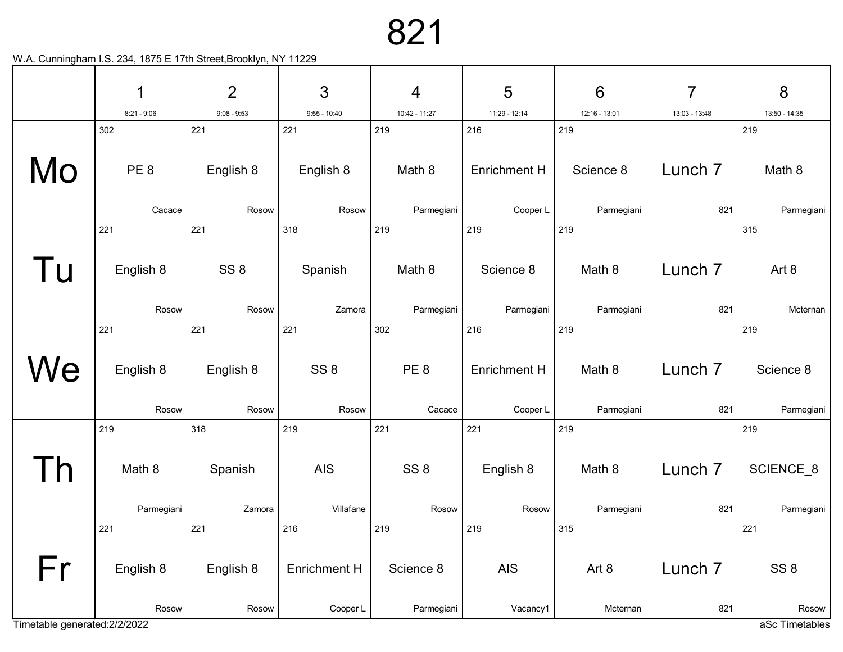|                               | 1                      | $\overline{2}$   | $\mathfrak{S}$   | $\overline{4}$  | 5                   | $6\phantom{1}6$  | 7                  | 8                         |
|-------------------------------|------------------------|------------------|------------------|-----------------|---------------------|------------------|--------------------|---------------------------|
|                               | $8:21 - 9:06$          | $9:08 - 9:53$    | $9:55 - 10:40$   | 10:42 - 11:27   | 11:29 - 12:14       | 12:16 - 13:01    | 13:03 - 13:48      | 13:50 - 14:35             |
| Mo                            | 302<br>PE <sub>8</sub> | 221<br>English 8 | 221<br>English 8 | 219<br>Math 8   | 216<br>Enrichment H | 219<br>Science 8 | Lunch <sub>7</sub> | 219<br>Math 8             |
|                               | Cacace                 | Rosow            | Rosow            | Parmegiani      | Cooper L            | Parmegiani       | 821                | Parmegiani                |
|                               | 221                    | 221              | 318              | 219             | 219                 | 219              |                    | 315                       |
| l u                           | English 8              | SS <sub>8</sub>  | Spanish          | Math 8          | Science 8           | Math 8           | Lunch <sub>7</sub> | Art 8                     |
|                               | Rosow                  | Rosow            | Zamora           | Parmegiani      | Parmegiani          | Parmegiani       | 821                | Mcternan                  |
|                               | 221                    | 221              | 221              | 302             | 216                 | 219              |                    | 219                       |
| We                            | English 8              | English 8        | SS <sub>8</sub>  | PE <sub>8</sub> | <b>Enrichment H</b> | Math 8           | Lunch <sub>7</sub> | Science 8                 |
|                               | Rosow                  | Rosow            | Rosow            | Cacace          | Cooper L            | Parmegiani       | 821                | Parmegiani                |
|                               | 219                    | 318              | 219              | 221             | 221                 | 219              |                    | 219                       |
|                               | Math 8                 | Spanish          | <b>AIS</b>       | SS <sub>8</sub> | English 8           | Math 8           | Lunch <sub>7</sub> | SCIENCE <sub>8</sub>      |
|                               | Parmegiani             | Zamora           | Villafane        | Rosow           | Rosow               | Parmegiani       | 821                | Parmegiani                |
|                               | 221                    | 221              | 216              | 219             | 219                 | 315              |                    | 221                       |
| Fr                            | English 8              | English 8        | Enrichment H     | Science 8       | <b>AIS</b>          | Art 8            | Lunch <sub>7</sub> | SS <sub>8</sub>           |
| Timetable generated: 2/2/2022 | Rosow                  | Rosow            | Cooper L         | Parmegiani      | Vacancy1            | Mcternan         | 821                | Rosow  <br>aSc Timetables |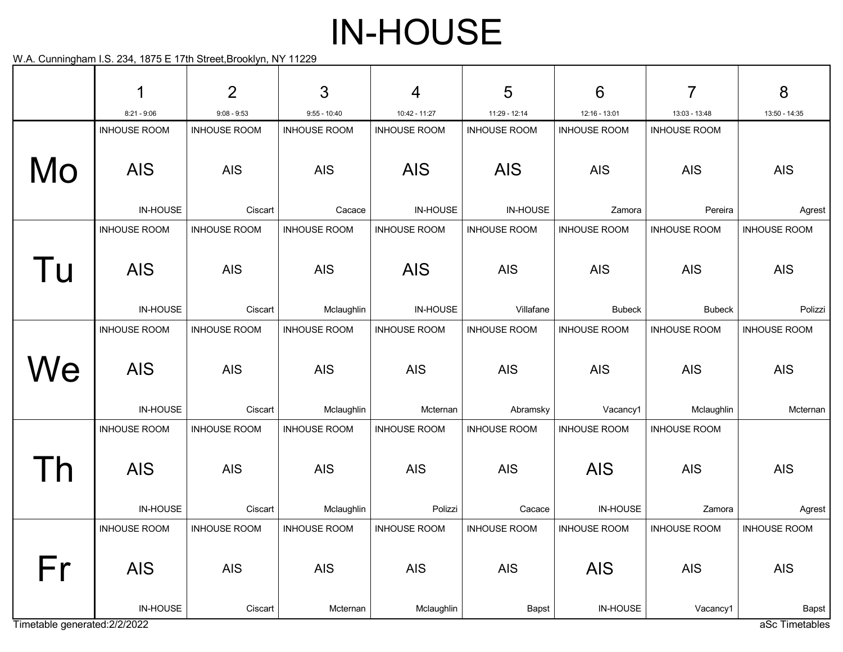# IN-HOUSE

| $\overline{2}$<br>3<br>1<br>4                                                                                      | 5                      | 6                      | 7                        | 8                       |
|--------------------------------------------------------------------------------------------------------------------|------------------------|------------------------|--------------------------|-------------------------|
| $8:21 - 9:06$<br>$9:08 - 9:53$<br>$9:55 - 10:40$<br>10:42 - 11:27                                                  | 11:29 - 12:14          | 12:16 - 13:01          | 13:03 - 13:48            | 13:50 - 14:35           |
| <b>INHOUSE ROOM</b><br><b>INHOUSE ROOM</b><br><b>INHOUSE ROOM</b><br><b>INHOUSE ROOM</b>                           | <b>INHOUSE ROOM</b>    | <b>INHOUSE ROOM</b>    | <b>INHOUSE ROOM</b>      |                         |
| Mo<br><b>AIS</b><br><b>AIS</b><br><b>AIS</b><br><b>AIS</b>                                                         | <b>AIS</b>             | <b>AIS</b>             | <b>AIS</b>               | <b>AIS</b>              |
| IN-HOUSE<br>Ciscart<br><b>IN-HOUSE</b><br>Cacace                                                                   | <b>IN-HOUSE</b>        | Zamora                 | Pereira                  | Agrest                  |
| <b>INHOUSE ROOM</b><br><b>INHOUSE ROOM</b><br><b>INHOUSE ROOM</b><br><b>INHOUSE ROOM</b>                           | <b>INHOUSE ROOM</b>    | <b>INHOUSE ROOM</b>    | <b>INHOUSE ROOM</b>      | <b>INHOUSE ROOM</b>     |
| Tu<br><b>AIS</b><br><b>AIS</b><br><b>AIS</b><br><b>AIS</b>                                                         | <b>AIS</b>             | <b>AIS</b>             | <b>AIS</b>               | <b>AIS</b>              |
| IN-HOUSE<br><b>IN-HOUSE</b><br>Ciscart<br>Mclaughlin                                                               | Villafane              | <b>Bubeck</b>          | <b>Bubeck</b>            | Polizzi                 |
| <b>INHOUSE ROOM</b><br><b>INHOUSE ROOM</b><br><b>INHOUSE ROOM</b><br><b>INHOUSE ROOM</b>                           | <b>INHOUSE ROOM</b>    | <b>INHOUSE ROOM</b>    | <b>INHOUSE ROOM</b>      | <b>INHOUSE ROOM</b>     |
| We<br><b>AIS</b><br><b>AIS</b><br><b>AIS</b><br><b>AIS</b><br><b>IN-HOUSE</b><br>Ciscart<br>Mclaughlin<br>Mcternan | <b>AIS</b><br>Abramsky | <b>AIS</b><br>Vacancy1 | <b>AIS</b><br>Mclaughlin | <b>AIS</b><br>Mcternan  |
| <b>INHOUSE ROOM</b><br><b>INHOUSE ROOM</b><br><b>INHOUSE ROOM</b><br><b>INHOUSE ROOM</b>                           | <b>INHOUSE ROOM</b>    | <b>INHOUSE ROOM</b>    | <b>INHOUSE ROOM</b>      |                         |
| <b>AIS</b><br><b>AIS</b><br><b>AIS</b><br><b>AIS</b>                                                               | <b>AIS</b>             | <b>AIS</b>             | <b>AIS</b>               | <b>AIS</b>              |
| IN-HOUSE<br>Ciscart<br>Mclaughlin<br>Polizzi                                                                       | Cacace                 | IN-HOUSE               | Zamora                   | Agrest                  |
| <b>INHOUSE ROOM</b><br><b>INHOUSE ROOM</b><br><b>INHOUSE ROOM</b><br><b>INHOUSE ROOM</b>                           | <b>INHOUSE ROOM</b>    | <b>INHOUSE ROOM</b>    | <b>INHOUSE ROOM</b>      | <b>INHOUSE ROOM</b>     |
| Fr<br><b>AIS</b><br>AIS<br>AIS<br><b>AIS</b>                                                                       | <b>AIS</b>             | <b>AIS</b>             | <b>AIS</b>               | AIS                     |
| IN-HOUSE<br>Ciscart<br>Mcternan<br>Mclaughlin<br>Timetable generated: 2/2/2022                                     | Bapst                  | IN-HOUSE               | Vacancy1                 | Bapst<br>aSc Timetables |